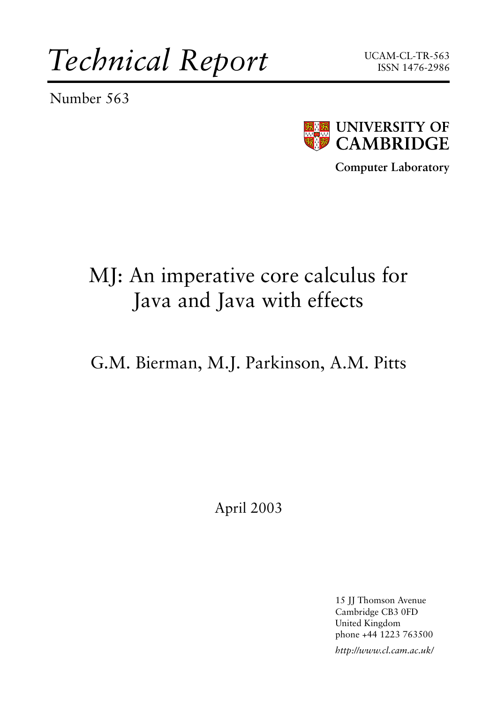*Technical Report*

Number 563





**Computer Laboratory**

# MJ: An imperative core calculus for Java and Java with effects

G.M. Bierman, M.J. Parkinson, A.M. Pitts

April 2003

15 JJ Thomson Avenue Cambridge CB3 0FD United Kingdom phone +44 1223 763500

*http://www.cl.cam.ac.uk/*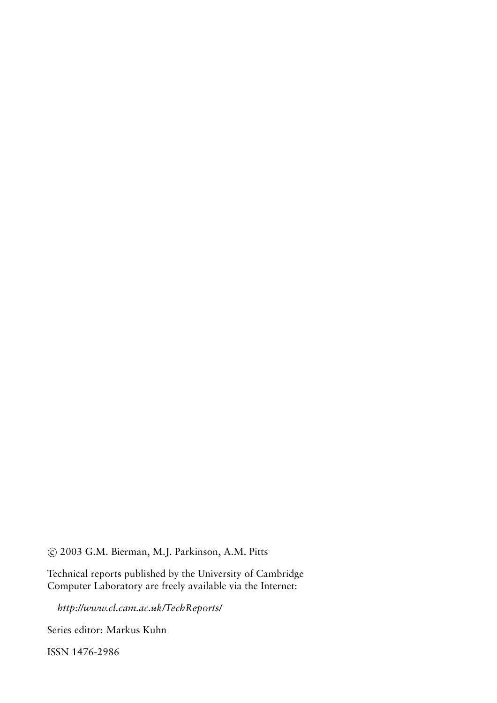c 2003 G.M. Bierman, M.J. Parkinson, A.M. Pitts

Technical reports published by the University of Cambridge Computer Laboratory are freely available via the Internet:

*http://www.cl.cam.ac.uk/TechReports/*

Series editor: Markus Kuhn

ISSN 1476-2986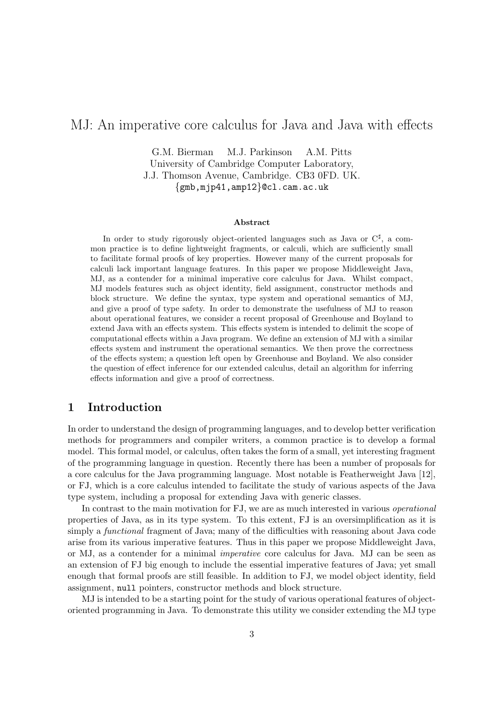# MJ: An imperative core calculus for Java and Java with effects

G.M. Bierman M.J. Parkinson A.M. Pitts University of Cambridge Computer Laboratory, J.J. Thomson Avenue, Cambridge. CB3 0FD. UK. {gmb,mjp41,amp12}@cl.cam.ac.uk

#### Abstract

In order to study rigorously object-oriented languages such as Java or  $C^{\sharp}$ , a common practice is to define lightweight fragments, or calculi, which are sufficiently small to facilitate formal proofs of key properties. However many of the current proposals for calculi lack important language features. In this paper we propose Middleweight Java, MJ, as a contender for a minimal imperative core calculus for Java. Whilst compact, MJ models features such as object identity, field assignment, constructor methods and block structure. We define the syntax, type system and operational semantics of MJ, and give a proof of type safety. In order to demonstrate the usefulness of MJ to reason about operational features, we consider a recent proposal of Greenhouse and Boyland to extend Java with an effects system. This effects system is intended to delimit the scope of computational effects within a Java program. We define an extension of MJ with a similar effects system and instrument the operational semantics. We then prove the correctness of the effects system; a question left open by Greenhouse and Boyland. We also consider the question of effect inference for our extended calculus, detail an algorithm for inferring effects information and give a proof of correctness.

# 1 Introduction

In order to understand the design of programming languages, and to develop better verification methods for programmers and compiler writers, a common practice is to develop a formal model. This formal model, or calculus, often takes the form of a small, yet interesting fragment of the programming language in question. Recently there has been a number of proposals for a core calculus for the Java programming language. Most notable is Featherweight Java [12], or FJ, which is a core calculus intended to facilitate the study of various aspects of the Java type system, including a proposal for extending Java with generic classes.

In contrast to the main motivation for FJ, we are as much interested in various operational properties of Java, as in its type system. To this extent, FJ is an oversimplification as it is simply a *functional* fragment of Java; many of the difficulties with reasoning about Java code arise from its various imperative features. Thus in this paper we propose Middleweight Java, or MJ, as a contender for a minimal imperative core calculus for Java. MJ can be seen as an extension of FJ big enough to include the essential imperative features of Java; yet small enough that formal proofs are still feasible. In addition to FJ, we model object identity, field assignment, null pointers, constructor methods and block structure.

MJ is intended to be a starting point for the study of various operational features of objectoriented programming in Java. To demonstrate this utility we consider extending the MJ type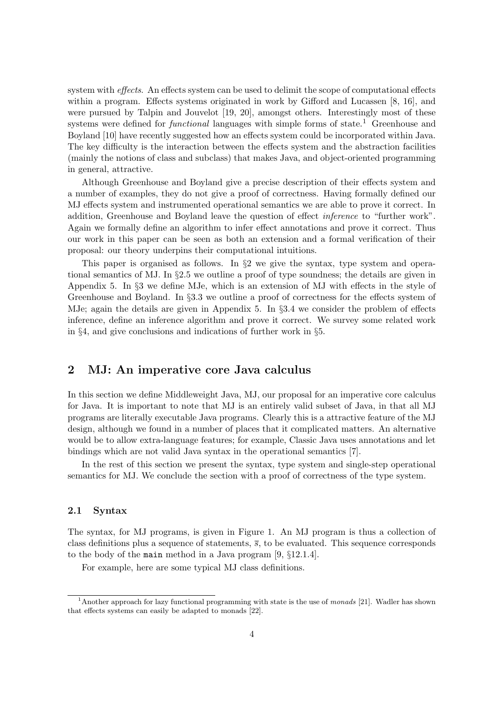system with *effects*. An effects system can be used to delimit the scope of computational effects within a program. Effects systems originated in work by Gifford and Lucassen [8, 16], and were pursued by Talpin and Jouvelot [19, 20], amongst others. Interestingly most of these systems were defined for *functional* languages with simple forms of state.<sup>1</sup> Greenhouse and Boyland [10] have recently suggested how an effects system could be incorporated within Java. The key difficulty is the interaction between the effects system and the abstraction facilities (mainly the notions of class and subclass) that makes Java, and object-oriented programming in general, attractive.

Although Greenhouse and Boyland give a precise description of their effects system and a number of examples, they do not give a proof of correctness. Having formally defined our MJ effects system and instrumented operational semantics we are able to prove it correct. In addition, Greenhouse and Boyland leave the question of effect inference to "further work". Again we formally define an algorithm to infer effect annotations and prove it correct. Thus our work in this paper can be seen as both an extension and a formal verification of their proposal: our theory underpins their computational intuitions.

This paper is organised as follows. In §2 we give the syntax, type system and operational semantics of MJ. In §2.5 we outline a proof of type soundness; the details are given in Appendix 5. In §3 we define MJe, which is an extension of MJ with effects in the style of Greenhouse and Boyland. In §3.3 we outline a proof of correctness for the effects system of MJe; again the details are given in Appendix 5. In §3.4 we consider the problem of effects inference, define an inference algorithm and prove it correct. We survey some related work in §4, and give conclusions and indications of further work in §5.

# 2 MJ: An imperative core Java calculus

In this section we define Middleweight Java, MJ, our proposal for an imperative core calculus for Java. It is important to note that MJ is an entirely valid subset of Java, in that all MJ programs are literally executable Java programs. Clearly this is a attractive feature of the MJ design, although we found in a number of places that it complicated matters. An alternative would be to allow extra-language features; for example, Classic Java uses annotations and let bindings which are not valid Java syntax in the operational semantics [7].

In the rest of this section we present the syntax, type system and single-step operational semantics for MJ. We conclude the section with a proof of correctness of the type system.

# 2.1 Syntax

The syntax, for MJ programs, is given in Figure 1. An MJ program is thus a collection of class definitions plus a sequence of statements,  $\overline{s}$ , to be evaluated. This sequence corresponds to the body of the main method in a Java program [9, §12.1.4].

For example, here are some typical MJ class definitions.

<sup>&</sup>lt;sup>1</sup>Another approach for lazy functional programming with state is the use of monads [21]. Wadler has shown that effects systems can easily be adapted to monads [22].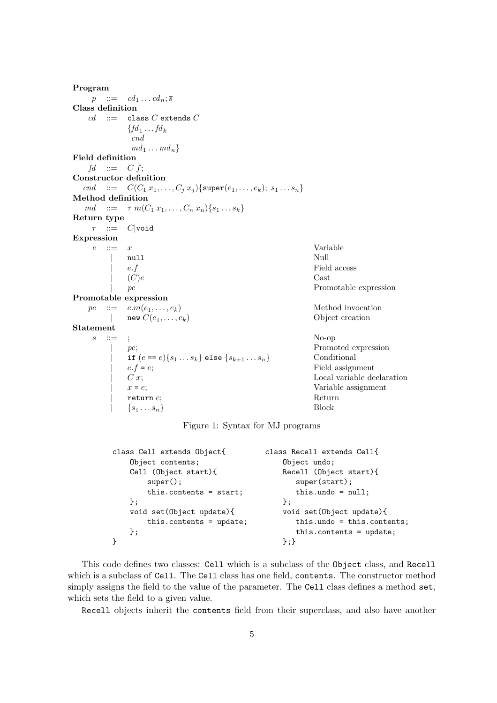Program  $p$  ::=  $cd_1 \dots cd_n; \overline{s}$ Class definition  $cd$  ::= class C extends C  ${fd_1 \dots fd_k}$ cnd  $md_1 \ldots md_n$ Field definition  $fd$  ::= C f; Constructor definition cnd ::=  $C(C_1 x_1, ..., C_j x_j)$ {super $(e_1, ..., e_k)$ ;  $s_1 ... s_n$ } Method definition  $md \ ::= \ \tau \ m(C_1 \ x_1, \ldots, C_n \ x_n) \{s_1 \ldots s_k\}$ Return type  $\tau$  ::=  $C$ |void Expression  $e$  ::=  $x$  Variable | null Null  $e.f$  Field access  $(C)e$  Cast  $(C)e$  Cast | pe Promotable expression Promotable expression  $pe$  ::=  $e.m(e_1, ..., e_k)$  Method invocation | new  $C(e_1, \ldots, e_k)$  Object creation Statement  $s$  ::= ; No-op pe;<br>  $\text{if } (e == e) \{s_1 \dots s_k\} \text{ else } \{s_{k+1} \dots s_n\}$  Conditional if  $(e == e){s_1 ... s_k}$  else  ${s_{k+1} ... s_n}$ <br> $e.f = e;$  $e.f = e$ ;<br>  $C x$ ;<br>  $\qquad \qquad$  Eield assignment<br>
Local variable de  $C x;$  Local variable declaration  $x = e;$  Variable assignment  ${\rm Variant}$   ${\rm Return}$ return  $e$ ; Return e; Return e; Return e; Return e; Return e; Return e; Return e; Return e; Return e; Return e; Return e; Return e; Return e; Return e; Return e; Return e; Return e; Return e; Return e; Return e; Return e;  $\{s_1 \ldots s_n\}$ 

Figure 1: Syntax for MJ programs

| class Cell extends Object{ | class Recell extends Cell{       |
|----------------------------|----------------------------------|
| Object contents;           | Object undo;                     |
| Cell (Object start){       | Recell (Object start){           |
| $super()$ ;                | super(start);                    |
| this.contents = $start$ ;  | this. undo = $null$ ;            |
| };                         | $\}$ :                           |
| void set (Object update) { | void set (Object update) {       |
| this.contents = update;    | $this.$ undo = $this.$ contents; |
| } ;                        | this.contents = $update;$        |
|                            | ን ፡ ን                            |

This code defines two classes: Cell which is a subclass of the Object class, and Recell which is a subclass of Cell. The Cell class has one field, contents. The constructor method simply assigns the field to the value of the parameter. The Cell class defines a method set, which sets the field to a given value.

Recell objects inherit the contents field from their superclass, and also have another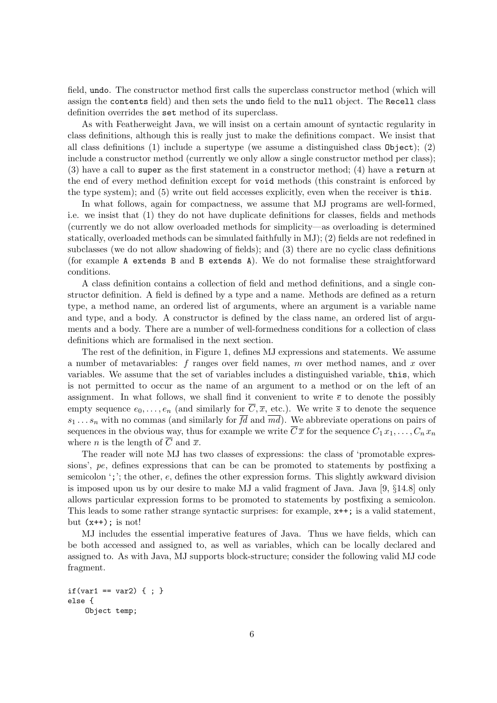field, undo. The constructor method first calls the superclass constructor method (which will assign the contents field) and then sets the undo field to the null object. The Recell class definition overrides the set method of its superclass.

As with Featherweight Java, we will insist on a certain amount of syntactic regularity in class definitions, although this is really just to make the definitions compact. We insist that all class definitions (1) include a supertype (we assume a distinguished class Object); (2) include a constructor method (currently we only allow a single constructor method per class); (3) have a call to super as the first statement in a constructor method; (4) have a return at the end of every method definition except for void methods (this constraint is enforced by the type system); and (5) write out field accesses explicitly, even when the receiver is this.

In what follows, again for compactness, we assume that MJ programs are well-formed, i.e. we insist that (1) they do not have duplicate definitions for classes, fields and methods (currently we do not allow overloaded methods for simplicity—as overloading is determined statically, overloaded methods can be simulated faithfully in MJ); (2) fields are not redefined in subclasses (we do not allow shadowing of fields); and (3) there are no cyclic class definitions (for example A extends B and B extends A). We do not formalise these straightforward conditions.

A class definition contains a collection of field and method definitions, and a single constructor definition. A field is defined by a type and a name. Methods are defined as a return type, a method name, an ordered list of arguments, where an argument is a variable name and type, and a body. A constructor is defined by the class name, an ordered list of arguments and a body. There are a number of well-formedness conditions for a collection of class definitions which are formalised in the next section.

The rest of the definition, in Figure 1, defines MJ expressions and statements. We assume a number of metavariables:  $f$  ranges over field names,  $m$  over method names, and  $x$  over variables. We assume that the set of variables includes a distinguished variable, this, which is not permitted to occur as the name of an argument to a method or on the left of an assignment. In what follows, we shall find it convenient to write  $\bar{e}$  to denote the possibly empty sequence  $e_0, \ldots, e_n$  (and similarly for  $\overline{C}, \overline{x}$ , etc.). We write  $\overline{s}$  to denote the sequence  $s_1 \ldots s_n$  with no commas (and similarly for  $\overline{fd}$  and  $\overline{md}$ ). We abbreviate operations on pairs of sequences in the obvious way, thus for example we write  $\overline{C}\overline{x}$  for the sequence  $C_1 x_1, \ldots, C_n x_n$ where *n* is the length of  $\overline{C}$  and  $\overline{x}$ .

The reader will note MJ has two classes of expressions: the class of 'promotable expressions', pe, defines expressions that can be can be promoted to statements by postfixing a semicolon  $\cdot$ ;  $\cdot$ ; the other,  $e$ , defines the other expression forms. This slightly awkward division is imposed upon us by our desire to make MJ a valid fragment of Java. Java [9, §14.8] only allows particular expression forms to be promoted to statements by postfixing a semicolon. This leads to some rather strange syntactic surprises: for example, x++; is a valid statement, but  $(x++)$ ; is not!

MJ includes the essential imperative features of Java. Thus we have fields, which can be both accessed and assigned to, as well as variables, which can be locally declared and assigned to. As with Java, MJ supports block-structure; consider the following valid MJ code fragment.

```
if(var1 == var2) { ; }
else {
   Object temp;
```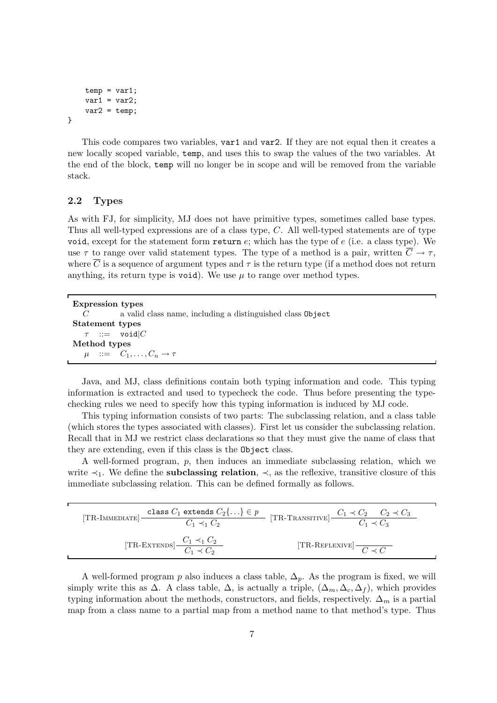```
temp = var1;var1 = var2;var2 = temp;
```
}

This code compares two variables, var1 and var2. If they are not equal then it creates a new locally scoped variable, temp, and uses this to swap the values of the two variables. At the end of the block, temp will no longer be in scope and will be removed from the variable stack.

### 2.2 Types

As with FJ, for simplicity, MJ does not have primitive types, sometimes called base types. Thus all well-typed expressions are of a class type, C. All well-typed statements are of type void, except for the statement form return  $e$ ; which has the type of  $e$  (i.e. a class type). We use  $\tau$  to range over valid statement types. The type of a method is a pair, written  $\overline{C} \to \tau$ , where  $\overline{C}$  is a sequence of argument types and  $\tau$  is the return type (if a method does not return anything, its return type is void). We use  $\mu$  to range over method types.

| <b>Expression types</b>                                    |  |
|------------------------------------------------------------|--|
| a valid class name, including a distinguished class Object |  |
| Statement types                                            |  |
| $\tau$ ::= void $ C $                                      |  |
| Method types                                               |  |
| $\mu$ ::= $C_1, \ldots, C_n \rightarrow \tau$              |  |

Java, and MJ, class definitions contain both typing information and code. This typing information is extracted and used to typecheck the code. Thus before presenting the typechecking rules we need to specify how this typing information is induced by MJ code.

This typing information consists of two parts: The subclassing relation, and a class table (which stores the types associated with classes). First let us consider the subclassing relation. Recall that in MJ we restrict class declarations so that they must give the name of class that they are extending, even if this class is the Object class.

A well-formed program,  $p$ , then induces an immediate subclassing relation, which we write  $\prec_1$ . We define the **subclassing relation**,  $\prec$ , as the reflexive, transitive closure of this immediate subclassing relation. This can be defined formally as follows.

|                                                      | [TR-IMMEDIATE] class $C_1$ extends $C_2\{ \} \in p$<br>$C_1 \prec C_2$ $C_2 \prec C_3$<br>$C_1 \prec C_2$ $C_2 \prec C_3$ |  |
|------------------------------------------------------|---------------------------------------------------------------------------------------------------------------------------|--|
| [TR-EXTENDS] $\frac{C_1 \prec_1 C_2}{C_1 \prec C_2}$ | [TR-REFLEXIVE] $C \prec C$                                                                                                |  |

A well-formed program p also induces a class table,  $\Delta_p$ . As the program is fixed, we will simply write this as  $\Delta$ . A class table,  $\Delta$ , is actually a triple,  $(\Delta_m, \Delta_c, \Delta_f)$ , which provides typing information about the methods, constructors, and fields, respectively.  $\Delta_m$  is a partial map from a class name to a partial map from a method name to that method's type. Thus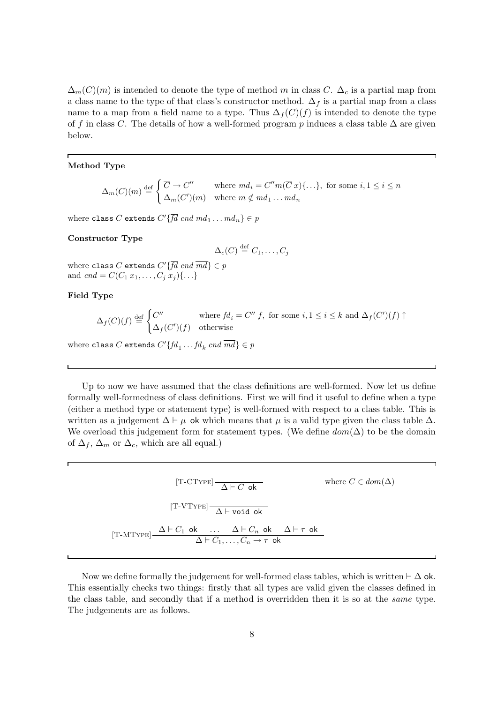$\Delta_m(C)(m)$  is intended to denote the type of method m in class C.  $\Delta_c$  is a partial map from a class name to the type of that class's constructor method.  $\Delta_f$  is a partial map from a class name to a map from a field name to a type. Thus  $\Delta_f(C)(f)$  is intended to denote the type of f in class C. The details of how a well-formed program p induces a class table  $\Delta$  are given below.

#### Method Type

 $\Delta_m(C)(m) \stackrel{{\rm def}}{=}$  $\int \overline{C} \to C''$  where  $m d_i = C'' m(\overline{C} \overline{x}) \{ \dots \}$ , for some  $i, 1 \le i \le n$  $\Delta_m(C')(m)$  where  $m \notin md_1 \dots md_n$ 

where class C extends  $C'\{fd\;cmd\;md_1\ldotsmd_n\}\in p$ 

#### Constructor Type

$$
\Delta_c(C) \stackrel{\text{def}}{=} C_1, \dots, C_j
$$

where class C extends  $C'\{fd\,end\} \in p$ and  $cnd = C(C_1 x_1, \ldots, C_j x_j) \{ \ldots \}$ 

### Field Type

$$
\Delta_f(C)(f) \stackrel{\text{def}}{=} \begin{cases} C'' & \text{where } fd_i = C'' \ f, \text{ for some } i, 1 \leq i \leq k \text{ and } \Delta_f(C')(f) \uparrow \\ \Delta_f(C')(f) & \text{otherwise} \end{cases}
$$

where class C extends  $C'\{fd_1 \dots fd_k \; cnd \; md\} \in p$ 

Up to now we have assumed that the class definitions are well-formed. Now let us define formally well-formedness of class definitions. First we will find it useful to define when a type (either a method type or statement type) is well-formed with respect to a class table. This is written as a judgement  $\Delta \vdash \mu$  ok which means that  $\mu$  is a valid type given the class table  $\Delta$ . We overload this judgement form for statement types. (We define  $dom(\Delta)$  to be the domain of  $\Delta_f$ ,  $\Delta_m$  or  $\Delta_c$ , which are all equal.)

> $\text{[T-CType]}\xrightarrow[\Delta\vdash C\text{ ok}]{\Delta\vdash C\text{ ok}}\text{ where }C\in dom(\Delta)$  $[T-VType]$   $\overline{\Delta}$   $\vdash$  void ok  $[T-MType] \triangleq \frac{\Delta \vdash C_1 \text{ ok} \dots \Delta \vdash C_n \text{ ok} \Delta \vdash \tau \text{ ok}}{A \vdash C_1 \dots C_n}$  $\Delta \vdash C_1, \ldots, C_n \rightarrow \tau$  ok

Now we define formally the judgement for well-formed class tables, which is written  $\vdash \Delta$  ok. This essentially checks two things: firstly that all types are valid given the classes defined in the class table, and secondly that if a method is overridden then it is so at the same type. The judgements are as follows.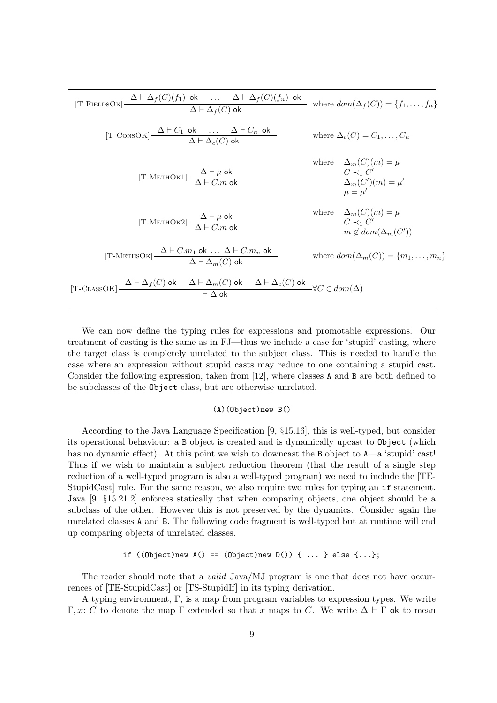$$
[\text{T-FIELDSOK}] \frac{\Delta \vdash \Delta_f(C)(f_1) \text{ ok}}{\Delta \vdash \Delta_f(C) \text{ ok}} \text{ where } dom(\Delta_f(C)) = \{f_1, \dots, f_n\}
$$
  
\n
$$
[\text{T-CONSOK}] \frac{\Delta \vdash C_1 \text{ ok}}{\Delta \vdash \Delta_c(C) \text{ ok}} \text{ where } \Delta_c(C) = C_1, \dots, C_n
$$
  
\n
$$
\text{where } \Delta_c(C) = C_1, \dots, C_n
$$
  
\n
$$
\text{where } \Delta_m(C)(m) = \mu
$$
  
\n
$$
[\text{T-METHOK1}] \frac{\Delta \vdash \mu \text{ ok}}{\Delta \vdash C.m \text{ ok}} \text{ where } \Delta_m(C')(m) = \mu
$$
  
\n
$$
[\text{T-METHOK2}] \frac{\Delta \vdash \mu \text{ ok}}{\Delta \vdash C.m \text{ ok}} \text{ where } \Delta_m(C)(m) = \mu
$$
  
\n
$$
\mu = \mu'
$$
  
\n
$$
[\text{T-METHOK2}] \frac{\Delta \vdash \mu \text{ ok}}{\Delta \vdash C.m \text{ ok}} \text{ where } \Delta_m(C)(m) = \mu
$$
  
\n
$$
\Delta_m(C)(m) = \mu
$$
  
\n
$$
\Delta_m(C)(m) = \mu
$$
  
\n
$$
\Delta_m(C)(m) = \mu
$$
  
\n
$$
\Delta_m(C)(m) = \mu
$$
  
\n
$$
\Delta_m(C)(m) = \mu
$$
  
\n
$$
\Delta_m(C)(m) = \mu
$$
  
\n
$$
\Delta_m(C)(m) = \mu
$$
  
\n
$$
\Delta_m(C)(m) = \mu
$$
  
\n
$$
\Delta_m(C)(m) = \mu
$$
  
\n
$$
\Delta_m(C)(m) = \mu
$$
  
\n
$$
\Delta_m(C)(m) = \mu
$$
  
\n
$$
\Delta_m(C)(m) = \mu
$$
  
\n
$$
\Delta_m(C)(m) = \mu
$$
  
\n
$$
\Delta_m(C)(m) = \mu
$$
  
\n
$$
\Delta_m(C)(m) = \mu
$$
  
\n
$$
\Delta_m(C)(m) = \mu
$$
  
\n
$$
\Delta_m(C)(m) = \mu
$$
  
\

We can now define the typing rules for expressions and promotable expressions. Our treatment of casting is the same as in FJ—thus we include a case for 'stupid' casting, where the target class is completely unrelated to the subject class. This is needed to handle the case where an expression without stupid casts may reduce to one containing a stupid cast. Consider the following expression, taken from [12], where classes A and B are both defined to be subclasses of the Object class, but are otherwise unrelated.

### (A)(Object)new B()

According to the Java Language Specification [9, §15.16], this is well-typed, but consider its operational behaviour: a B object is created and is dynamically upcast to Object (which has no dynamic effect). At this point we wish to downcast the B object to  $A$ —a 'stupid' cast! Thus if we wish to maintain a subject reduction theorem (that the result of a single step reduction of a well-typed program is also a well-typed program) we need to include the [TE-StupidCast rule. For the same reason, we also require two rules for typing an if statement. Java [9, §15.21.2] enforces statically that when comparing objects, one object should be a subclass of the other. However this is not preserved by the dynamics. Consider again the unrelated classes A and B. The following code fragment is well-typed but at runtime will end up comparing objects of unrelated classes.

#### if  $((Object)$ new  $A() == (Object)$ new  $D())$   $\{ \ldots \}$  else  $\{ \ldots \}$ ;

The reader should note that a *valid* Java/MJ program is one that does not have occurrences of [TE-StupidCast] or [TS-StupidIf] in its typing derivation.

A typing environment, Γ, is a map from program variables to expression types. We write Γ, x: C to denote the map Γ extended so that x maps to C. We write  $\Delta \vdash \Gamma$  ok to mean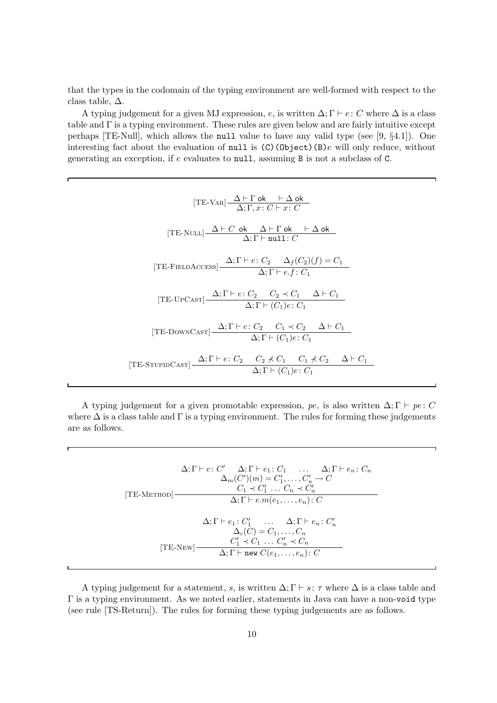that the types in the codomain of the typing environment are well-formed with respect to the class table,  $\Delta$ .

A typing judgement for a given MJ expression, e, is written  $\Delta; \Gamma \vdash e : C$  where  $\Delta$  is a class table and Γ is a typing environment. These rules are given below and are fairly intuitive except perhaps [TE-Null], which allows the null value to have any valid type (see [9, §4.1]). One interesting fact about the evaluation of null is  $(C)(Object)(B)e$  will only reduce, without generating an exception, if e evaluates to null, assuming B is not a subclass of C.

| $[TE-VAR] \frac{\Delta \vdash \Gamma \circ k \vdash \Delta \circ k}{\Delta \cdot \Gamma \cdot r \cdot C \vdash r \cdot C}$                                   |
|--------------------------------------------------------------------------------------------------------------------------------------------------------------|
| $[\text{TE-NULL}] \frac{\Delta \vdash C \text{ ok } \Delta \vdash \Gamma \text{ ok } \vdash \Delta \text{ ok } }{\Delta; \Gamma \vdash \texttt{null}: C}$    |
| [TE-FIELDACCESS] $\frac{\Delta; \Gamma \vdash e : C_2 \quad \Delta_f(C_2)(f) = C_1}{\Delta; \Gamma \vdash e.f : C_1}$                                        |
| [TE-UPCAST] $\frac{\Delta; \Gamma \vdash e: C_2 \quad C_2 \prec C_1 \quad \Delta \vdash C_1}{\Delta; \Gamma \vdash (C_1)e: C_1}$                             |
| [TE-DOWNCAST] $\frac{\Delta; \Gamma \vdash e: C_2 \quad C_1 \prec C_2 \quad \Delta \vdash C_1}{\Delta; \Gamma \vdash (C_1)e: C_1}$                           |
| [TE-STUPIDCAST] $\frac{\Delta; \Gamma \vdash e : C_2 \quad C_2 \nless C_1 \quad C_1 \nless C_2 \quad \Delta \vdash C_1}{\Delta; \Gamma \vdash (C_1)e : C_1}$ |

A typing judgement for a given promotable expression, pe, is also written  $\Delta; \Gamma \vdash pe : C$ where  $\Delta$  is a class table and  $\Gamma$  is a typing environment. The rules for forming these judgements are as follows.

$$
\Delta; \Gamma \vdash e \colon C' \quad \Delta; \Gamma \vdash e_1 \colon C_1 \quad \dots \quad \Delta; \Gamma \vdash e_n \colon C_n
$$
\n
$$
\Delta_m(C')(m) = C'_1, \dots, C'_n \to C
$$
\n[TE-METHOD]\n
$$
C_1 \prec C'_1 \quad \dots \quad C_n \prec C'_n
$$
\n
$$
\Delta; \Gamma \vdash e.m(e_1, \dots, e_n) \colon C
$$
\n
$$
\Delta; \Gamma \vdash e_1 \colon C'_1 \quad \dots \quad \Delta; \Gamma \vdash e_n \colon C'_n
$$
\n
$$
\Delta_c(C) = C_1, \dots, C_n
$$
\n[TE-New]\n
$$
\Delta; \Gamma \vdash \text{new } C(e_1, \dots, e_n) \colon C
$$

A typing judgement for a statement, s, is written  $\Delta; \Gamma \vdash s: \tau$  where  $\Delta$  is a class table and Γ is a typing environment. As we noted earlier, statements in Java can have a non-void type (see rule [TS-Return]). The rules for forming these typing judgements are as follows.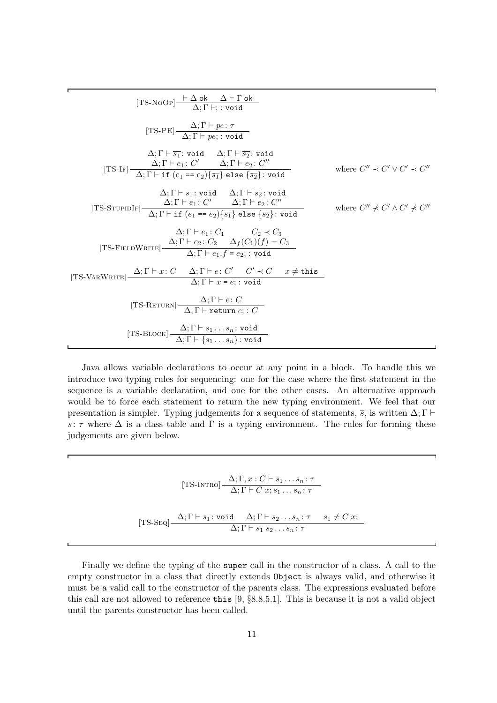[TS-NoOp] ` <sup>∆</sup> ok <sup>∆</sup> ` <sup>Γ</sup> ok ∆; Γ `; : void [TS-PE] ∆; <sup>Γ</sup> ` pe : <sup>τ</sup> ∆; Γ ` pe; : void ∆; Γ ` s<sup>1</sup> : void ∆; Γ ` s<sup>2</sup> : void ∆; Γ ` e<sup>1</sup> : C <sup>0</sup> ∆; Γ ` e<sup>2</sup> : C 00 where C <sup>00</sup> ≺ C <sup>0</sup> ∨ C <sup>0</sup> ≺ C [TS-If] 00 ∆; Γ ` if (e<sup>1</sup> == e2){s1} else {s2}: void ∆; Γ ` s<sup>1</sup> : void ∆; Γ ` s<sup>2</sup> : void ∆; Γ ` e<sup>1</sup> : C <sup>0</sup> ∆; Γ ` e<sup>2</sup> : C 00 [TS-StupidIf] where C <sup>00</sup> ⊀ C <sup>0</sup> ∧ C <sup>0</sup> ⊀ C 00 ∆; Γ ` if (e<sup>1</sup> == e2){s1} else {s2}: void ∆; Γ ` e<sup>1</sup> : C<sup>1</sup> C<sup>2</sup> ≺ C<sup>3</sup> ∆; Γ ` e<sup>2</sup> : C<sup>2</sup> ∆<sup>f</sup> (C1)(f) = C<sup>3</sup> [TS-FieldWrite] ∆; Γ ` e1.f = e2; : void [TS-VarWrite] ∆; <sup>Γ</sup> ` <sup>x</sup>: <sup>C</sup> ∆; <sup>Γ</sup> ` <sup>e</sup>: <sup>C</sup> 0 C <sup>0</sup> ≺ C x 6= this ∆; Γ ` x = e; : void [TS-Return] ∆; <sup>Γ</sup> ` <sup>e</sup>: <sup>C</sup> ∆; Γ ` return e; : C [TS-Block] ∆; <sup>Γ</sup> ` <sup>s</sup><sup>1</sup> . . . <sup>s</sup><sup>n</sup> : void ∆; Γ ` {s<sup>1</sup> . . . sn}: void 

Java allows variable declarations to occur at any point in a block. To handle this we introduce two typing rules for sequencing: one for the case where the first statement in the sequence is a variable declaration, and one for the other cases. An alternative approach would be to force each statement to return the new typing environment. We feel that our presentation is simpler. Typing judgements for a sequence of statements,  $\overline{s}$ , is written  $\Delta; \Gamma \vdash$  $\overline{s}$ :  $\tau$  where  $\Delta$  is a class table and  $\Gamma$  is a typing environment. The rules for forming these judgements are given below.

$$
[\text{TS-INTRO}] \frac{\Delta; \Gamma, x : C \vdash s_1 \dots s_n : \tau}{\Delta; \Gamma \vdash C \ x; s_1 \dots s_n : \tau}
$$

$$
[\text{TS-Seq}] \frac{\Delta; \Gamma \vdash s_1 : \text{void} \quad \Delta; \Gamma \vdash s_2 \dots s_n : \tau \quad s_1 \neq C \ x;}{\Delta; \Gamma \vdash s_1 \ s_2 \dots s_n : \tau}
$$

Finally we define the typing of the super call in the constructor of a class. A call to the empty constructor in a class that directly extends Object is always valid, and otherwise it must be a valid call to the constructor of the parents class. The expressions evaluated before this call are not allowed to reference this [9, §8.8.5.1]. This is because it is not a valid object until the parents constructor has been called.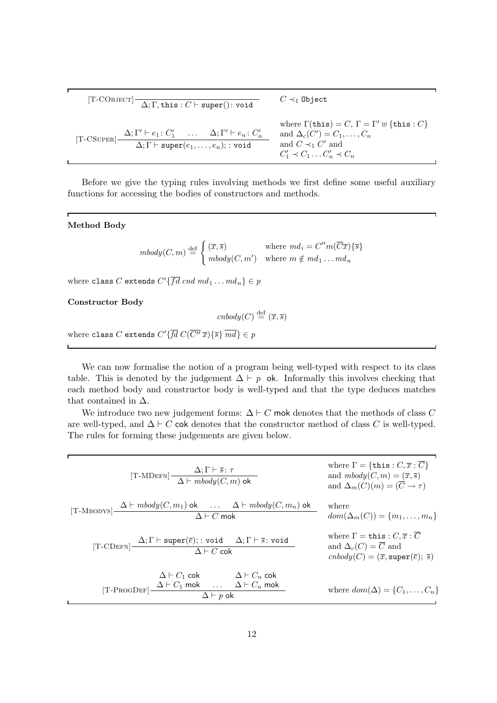$$
[\text{T-COBIECT}] \begin{array}{c|c} & C \prec_1 \text{Object} \\ \hline \Delta; \Gamma, \text{this}: C \vdash \text{super}(): \text{void} \\ & \text{where } \Gamma(\text{this}) = C, \Gamma = \Gamma' \uplus \{\text{this}: C\} \\ \text{where } \Gamma(\text{this}) = C, \Gamma = \Gamma' \uplus \{\text{this}: C\} \\ \hline \Delta; \Gamma \vdash \text{super}(e_1, \ldots, e_n); : \text{void} \\ & \text{and } \Delta_c(C') = C_1, \ldots, C_n \\ & \text{and } C \prec_1 C' \text{ and} \\ & C'_1 \prec C_1 \ldots C'_n \prec C_n \end{array}
$$

Before we give the typing rules involving methods we first define some useful auxiliary functions for accessing the bodies of constructors and methods.

### Method Body

'n

$$
mbody(C, m) \stackrel{\text{def}}{=} \begin{cases} (\overline{x}, \overline{s}) & \text{where } md_i = C''m(\overline{C}\overline{x})\{\overline{s}\} \\ mbody(C, m') & \text{where } m \notin md_1 \dots md_n \end{cases}
$$

where class C extends  $C'\{fd\,end\,md}$   $md_1 \ldots md_n\} \in p$ 

#### Constructor Body

$$
cnbody(C) \stackrel{\text{def}}{=} (\overline{x}, \overline{s})
$$

where class C extends  $C'\{fd\ C(C''\ \overline{x})\{\overline{s}\}\ md\} \in p$ 

We can now formalise the notion of a program being well-typed with respect to its class table. This is denoted by the judgement  $\Delta \vdash p$  ok. Informally this involves checking that each method body and constructor body is well-typed and that the type deduces matches that contained in  $\Delta$ .

We introduce two new judgement forms:  $\Delta \vdash C$  mok denotes that the methods of class C are well-typed, and  $\Delta \vdash C$  cok denotes that the constructor method of class C is well-typed. The rules for forming these judgements are given below.

| [T-MDEFN] $\frac{\Delta; \Gamma \vdash \overline{s} : \tau}{\Delta \vdash \text{mbody}(C, m) \text{ ok}}$                                                            | where $\Gamma = {\text{this}: C, \overline{x} : \overline{C}}$<br>and $mbody(C, m) = (\overline{x}, \overline{s})$<br>and $\Delta_m(C)(m) = (\overline{C} \to \tau)$    |
|----------------------------------------------------------------------------------------------------------------------------------------------------------------------|-------------------------------------------------------------------------------------------------------------------------------------------------------------------------|
| [T-MBODYS] $\frac{\Delta \vdash mbody(C, m_1)$ ok $\ldots \Delta \vdash mbody(C, m_n)$ ok $\Delta \vdash C$ mok                                                      | where<br>$dom(\Delta_m(C)) = \{m_1, \ldots, m_n\}$                                                                                                                      |
| [T-CDEFN] $\frac{\Delta; \Gamma \vdash \texttt{super}(\overline{e})$ ; : void $\Delta; \Gamma \vdash \overline{s}$ : void<br>$\Delta \vdash C$ cok                   | where $\Gamma = \text{this}: C, \overline{x} : \overline{C}$<br>and $\Delta_c(C) = \overline{C}$ and<br>$cnbody(C) = (\overline{x}, super(\overline{e}); \overline{s})$ |
| $\Delta \vdash C_1$ cok $\Delta \vdash C_n$ cok<br>$\text{[T-PROGDEF]}\xrightarrow{\Delta \vdash C_1 \text{ mok}} \dots \xrightarrow{\Delta \vdash C_n \text{ mok}}$ | where $dom(\Delta) = \{C_1, \ldots, C_n\}$                                                                                                                              |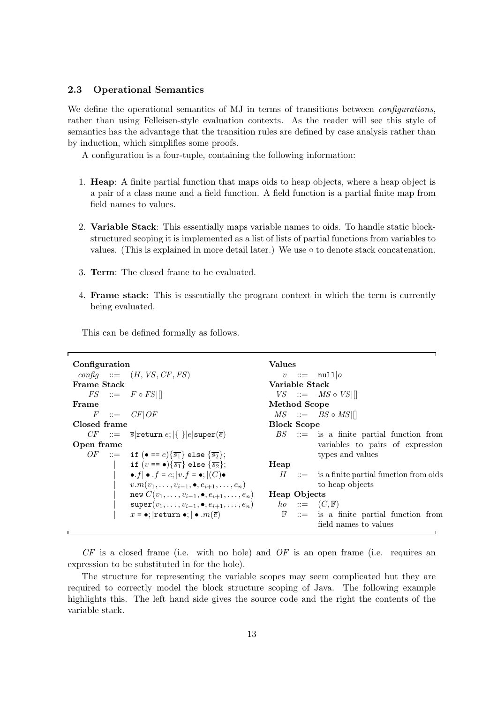### 2.3 Operational Semantics

We define the operational semantics of MJ in terms of transitions between *configurations*, rather than using Felleisen-style evaluation contexts. As the reader will see this style of semantics has the advantage that the transition rules are defined by case analysis rather than by induction, which simplifies some proofs.

A configuration is a four-tuple, containing the following information:

- 1. Heap: A finite partial function that maps oids to heap objects, where a heap object is a pair of a class name and a field function. A field function is a partial finite map from field names to values.
- 2. Variable Stack: This essentially maps variable names to oids. To handle static blockstructured scoping it is implemented as a list of lists of partial functions from variables to values. (This is explained in more detail later.) We use  $\circ$  to denote stack concatenation.
- 3. Term: The closed frame to be evaluated.
- 4. Frame stack: This is essentially the program context in which the term is currently being evaluated.

This can be defined formally as follows.

```
Configuration
 \text{confiq} ::= (H, VS, CF, FS)Frame Stack
     FS ::= F \circ FS|
Frame
      F ::= CF|OFClosed frame
    CF ::= \overline{s}|return e; |{ }|e|super(\overline{e})
Open frame
    OF ::= if (\bullet == e)\{\overline{s_1}\} else \{\overline{s_2}\};
                   if (v == \bullet) {\overline{s_1}} else {\overline{s_2}};
                   \bullet.f \bullet .f = e; |v.f = \bullet; |(C)\bulletv.m(v_1, \ldots, v_{i-1}, \bullet, e_{i+1}, \ldots, e_n)new C(v_1,\ldots,v_{i-1},\bullet,e_{i+1},\ldots,e_n){\tt super}(v_1, \ldots, v_{i-1}, \bullet, e_{i+1}, \ldots, e_n)x = \bullet; |return \bullet; | \bullet . m(\overline{e})Values
                                                                      v ::= null|oVariable Stack
                                                                   VS ::= MS \circ VS||
                                                                 Method Scope
                                                                   MS ::= BS \circ MS||
                                                                 Block Scope
                                                                   BS ::= is a finite partial function from
                                                                                  variables to pairs of expression
                                                                                  types and values
                                                                 Heap
                                                                     H ::= is a finite partial function from oids
                                                                                  to heap objects
                                                                 Heap Objects
                                                                    ho ::= (C, \mathbb{F})\mathbb{F} ::= is a finite partial function from
                                                                                  field names to values
```
 $CF$  is a closed frame (i.e. with no hole) and  $OF$  is an open frame (i.e. requires an expression to be substituted in for the hole).

The structure for representing the variable scopes may seem complicated but they are required to correctly model the block structure scoping of Java. The following example highlights this. The left hand side gives the source code and the right the contents of the variable stack.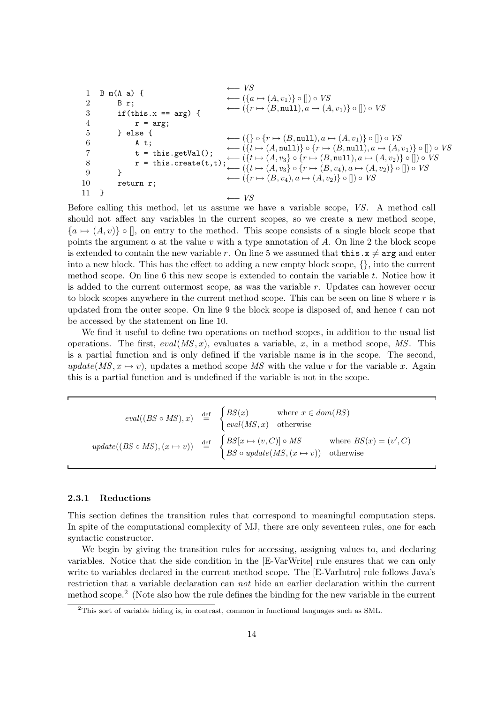```
1 B m(A a) {
 2 B r;
 3 if(this.x == arg) {
 4 r = arg;5 } else {
 6 A t;
 7 t = this.getVal();
 8 r = this.create(t,t); \left( \{t \mapsto (A, v_3) \circ \{r \mapsto (B, \text{null}), a \mapsto (A, v_2)\} \circ [] \right) \circ VS9 }
10 return r;
11 }
                                                      ← VS\longleftarrow (\{a \mapsto (A, v_1)\} \circ [] ) \circ VS\longleftarrow (\{r \mapsto (B, \text{null}), a \mapsto (A, v_1)\} \circ [] ) \circ VS\longleftarrow (\{\}\circ\{r\mapsto (B,\texttt{null}),a\mapsto (A,v_1)\}\circ\lbrack\!\rbrack)\circ V\}← ({t \mapsto (A, \text{null})} \circ {r \mapsto (B, \text{null}), a \mapsto (A, v_1)} \circ [] ﴾ V\!S\longleftarrow (\lbrace t \mapsto (A, v_3) \circ \lbrace r \mapsto (B, v_4), a \mapsto (A, v_2) \rbrace \circ [] ) \circ VS\longleftarrow (\{r \mapsto (B, v_4), a \mapsto (A, v_2)\}\circ []\circ VS←VS
```
Before calling this method, let us assume we have a variable scope, VS. A method call should not affect any variables in the current scopes, so we create a new method scope,  ${a \mapsto (A, v)} \circ \Box$ , on entry to the method. This scope consists of a single block scope that points the argument  $a$  at the value  $v$  with a type annotation of  $A$ . On line 2 the block scope is extended to contain the new variable r. On line 5 we assumed that **this.**  $x \neq \arg$  and enter into a new block. This has the effect to adding a new empty block scope, {}, into the current method scope. On line 6 this new scope is extended to contain the variable t. Notice how it is added to the current outermost scope, as was the variable  $r$ . Updates can however occur to block scopes anywhere in the current method scope. This can be seen on line  $8$  where  $r$  is updated from the outer scope. On line 9 the block scope is disposed of, and hence  $t$  can not be accessed by the statement on line 10.

We find it useful to define two operations on method scopes, in addition to the usual list operations. The first,  $eval(MS, x)$ , evaluates a variable, x, in a method scope, MS. This is a partial function and is only defined if the variable name is in the scope. The second,  $update(MS, x \rightarrow v)$ , updates a method scope MS with the value v for the variable x. Again this is a partial function and is undefined if the variable is not in the scope.

$$
eval((BS \circ MS), x) \stackrel{\text{def}}{=} \begin{cases} BS(x) & \text{where } x \in dom(BS) \\ eval(MS, x) & \text{otherwise} \end{cases}
$$
  

$$
update((BS \circ MS), (x \mapsto v)) \stackrel{\text{def}}{=} \begin{cases} BS[x \mapsto (v, C)] \circ MS & \text{where } BS(x) = (v', C) \\ BS \circ update(MS, (x \mapsto v)) & \text{otherwise} \end{cases}
$$

### 2.3.1 Reductions

This section defines the transition rules that correspond to meaningful computation steps. In spite of the computational complexity of MJ, there are only seventeen rules, one for each syntactic constructor.

We begin by giving the transition rules for accessing, assigning values to, and declaring variables. Notice that the side condition in the [E-VarWrite] rule ensures that we can only write to variables declared in the current method scope. The [E-VarIntro] rule follows Java's restriction that a variable declaration can not hide an earlier declaration within the current method scope.<sup>2</sup> (Note also how the rule defines the binding for the new variable in the current

<sup>2</sup>This sort of variable hiding is, in contrast, common in functional languages such as SML.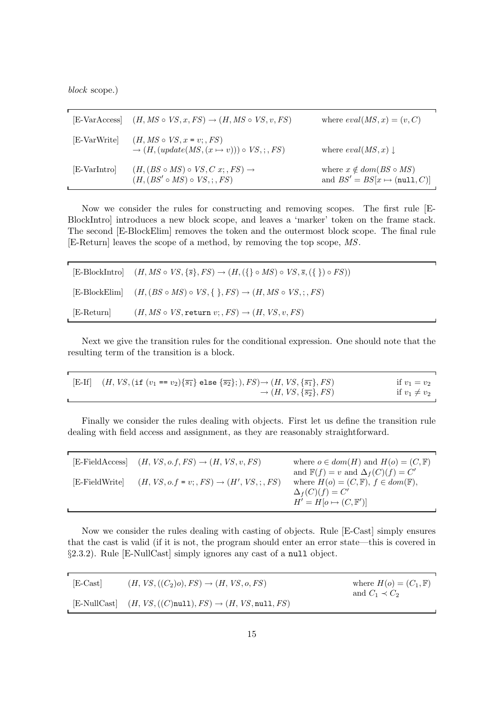block scope.)

| [E-VarAccess] | $(H, MS \circ VS, x, FS) \rightarrow (H, MS \circ VS, v, FS)$                                     | where $eval(MS, x) = (v, C)$                                             |
|---------------|---------------------------------------------------------------------------------------------------|--------------------------------------------------------------------------|
| [E-VarWrite]  | $(H, MS \circ VS, x = v; FS)$<br>$\rightarrow$ $(H, (update(MS, (x \mapsto v))) \circ VS$ ; ; FS) | where $eval(MS,x) \downarrow$                                            |
| [E-VarIntro]  | $(H, (BS \circ MS) \circ VS, C x; , FS) \rightarrow$<br>$(H, (BS' \circ MS) \circ VS, \cdot, FS)$ | where $x \notin dom(BS \circ MS)$<br>and $BS' = BS[x \mapsto (null, C)]$ |

Now we consider the rules for constructing and removing scopes. The first rule [E-BlockIntro] introduces a new block scope, and leaves a 'marker' token on the frame stack. The second [E-BlockElim] removes the token and the outermost block scope. The final rule [E-Return] leaves the scope of a method, by removing the top scope, MS.

|            | [E-BlockIntro] $(H, MS \circ VS, \{\overline{s}\}, FS) \rightarrow (H, (\{\}\circ MS) \circ VS, \overline{s}, (\{\}) \circ FS))$ |
|------------|----------------------------------------------------------------------------------------------------------------------------------|
|            | [E-BlockElim] $(H, (BS \circ MS) \circ VS, \{\,\}, FS) \rightarrow (H, MS \circ VS, \, ;, FS)$                                   |
| [E-Return] | $(H, MS \circ VS, \text{return } v; , FS) \rightarrow (H, VS, v, FS)$                                                            |

Next we give the transition rules for the conditional expression. One should note that the resulting term of the transition is a block.

| [E-If] $(H, VS, (\text{if } (v_1 == v_2)\{\overline{s_1}\})$ else $\{\overline{s_2}\};), FS) \rightarrow (H, VS, {\overline{s_1}\}, FS)$ | if $v_1 = v_2$    |
|------------------------------------------------------------------------------------------------------------------------------------------|-------------------|
| $\rightarrow (H, VS, \{\overline{s_2}\}, FS)$                                                                                            | if $v_1 \neq v_2$ |

Finally we consider the rules dealing with objects. First let us define the transition rule dealing with field access and assignment, as they are reasonably straightforward.

|                | [E-FieldAccess] $(H, VS, o.f, FS) \rightarrow (H, VS, v, FS)$ | where $o \in dom(H)$ and $H(o) = (C, \mathbb{F})$      |
|----------------|---------------------------------------------------------------|--------------------------------------------------------|
|                |                                                               | and $\mathbb{F}(f) = v$ and $\Delta_f(C)(f) = C'$      |
| [E-FieldWrite] | $(H, VS, o.f = v; , FS) \rightarrow (H', VS, ; , FS)$         | where $H(o) = (C, \mathbb{F}), f \in dom(\mathbb{F}),$ |
|                |                                                               | $\Delta_f(C)(f) = C'$                                  |
|                |                                                               | $H' = H[o \mapsto (C, \mathbb{F}')]$                   |

Now we consider the rules dealing with casting of objects. Rule [E-Cast] simply ensures that the cast is valid (if it is not, the program should enter an error state—this is covered in §2.3.2). Rule [E-NullCast] simply ignores any cast of a null object.

| [E-Cast] | $(H, VS, ((C_2)o), FS) \rightarrow (H, VS, o, FS)$                                 | where $H(o) = (C_1, \mathbb{F})$<br>and $C_1 \prec C_2$ |
|----------|------------------------------------------------------------------------------------|---------------------------------------------------------|
|          | [E-NullCast] $(H, VS, ((C) \text{null}), FS) \rightarrow (H, VS, \text{null}, FS)$ |                                                         |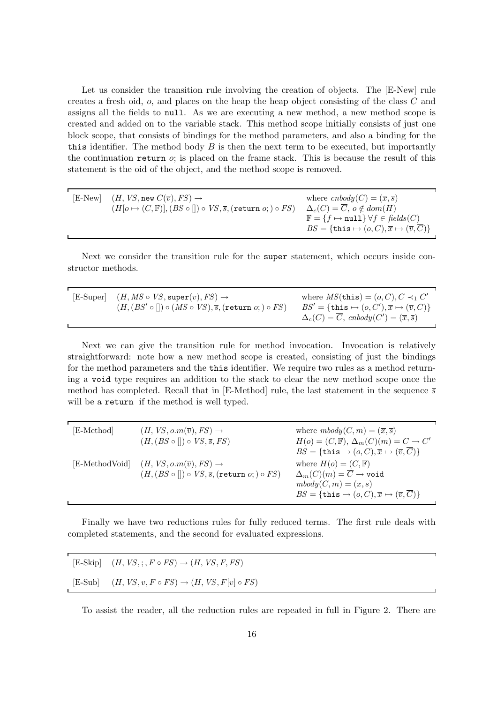Let us consider the transition rule involving the creation of objects. The [E-New] rule creates a fresh oid, o, and places on the heap the heap object consisting of the class C and assigns all the fields to null. As we are executing a new method, a new method scope is created and added on to the variable stack. This method scope initially consists of just one block scope, that consists of bindings for the method parameters, and also a binding for the this identifier. The method body  $B$  is then the next term to be executed, but importantly the continuation return  $o$ ; is placed on the frame stack. This is because the result of this statement is the oid of the object, and the method scope is removed.

| [E-New] $(H, VS, new C(\overline{v}), FS) \rightarrow$                                                 | where $cnbody(C) = (\overline{x}, \overline{s})$                                            |
|--------------------------------------------------------------------------------------------------------|---------------------------------------------------------------------------------------------|
| $(H[o \mapsto (C, \mathbb{F})], (BS \circ [] ) \circ VS, \overline{s}, (\text{return } o; ) \circ FS)$ | $\Delta_c(C) = \overline{C}, o \notin dom(H)$                                               |
|                                                                                                        | $\mathbb{F} = \{f \mapsto \text{null}\} \,\forall f \in \text{fields}(C)$                   |
|                                                                                                        | $BS = \{\texttt{this} \mapsto (o, C), \overline{x} \mapsto (\overline{v}, \overline{C})\}\$ |

Next we consider the transition rule for the super statement, which occurs inside constructor methods.

| $[E-Super]$ $(H, MS \circ VS, super(\overline{v}), FS) \rightarrow$                  | where $MS(\text{this}) = (o, C), C \prec_1 C'$                                     |
|--------------------------------------------------------------------------------------|------------------------------------------------------------------------------------|
| $(H, (BS' \circ [] ) \circ (MS \circ VS), \overline{s},$ (return $o;$ ) $\circ FS$ ) | $BS' = \{\texttt{this} \mapsto (o, C'), \overline{x} \mapsto (\overline{v}, C)\}\$ |
|                                                                                      | $\Delta_c(C) = C$ , cnbody $(C') = (\overline{x}, \overline{s})$                   |

Next we can give the transition rule for method invocation. Invocation is relatively straightforward: note how a new method scope is created, consisting of just the bindings for the method parameters and the this identifier. We require two rules as a method returning a void type requires an addition to the stack to clear the new method scope once the method has completed. Recall that in [E-Method] rule, the last statement in the sequence  $\overline{s}$ will be a **return** if the method is well typed.

| [E-Method]     | $(H, VS, o.m(\overline{v}), FS) \rightarrow$<br>$(H, (BS \circ []) \circ VS, \overline{s}, FS)$                            | where $mbody(C, m) = (\overline{x}, \overline{s})$<br>$H(o) = (C, \mathbb{F}), \Delta_m(C)(m) = \overline{C} \rightarrow C'$<br>$BS = {\text{this} \mapsto (o, C), \overline{x} \mapsto (\overline{v}, \overline{C})}$             |
|----------------|----------------------------------------------------------------------------------------------------------------------------|------------------------------------------------------------------------------------------------------------------------------------------------------------------------------------------------------------------------------------|
| [E-MethodVoid] | $(H, VS, o.m(\overline{v}), FS) \rightarrow$<br>$(H, (BS \circ []) \circ VS, \overline{s}, (\text{return } o; ) \circ FS)$ | where $H(o) = (C, \mathbb{F})$<br>$\Delta_m(C)(m) = \overline{C} \rightarrow \text{void}$<br>$mbody(C,m)=(\overline{x},\overline{s})$<br>$BS = \{\text{this} \mapsto (o, C), \overline{x} \mapsto (\overline{v}, \overline{C})\}\$ |

Finally we have two reductions rules for fully reduced terms. The first rule deals with completed statements, and the second for evaluated expressions.

| [E-Skip] $(H, VS, ;, F \circ FS) \rightarrow (H, VS, F, FS)$        |
|---------------------------------------------------------------------|
| [E-Sub] $(H, VS, v, F \circ FS) \rightarrow (H, VS, F[v] \circ FS)$ |

To assist the reader, all the reduction rules are repeated in full in Figure 2. There are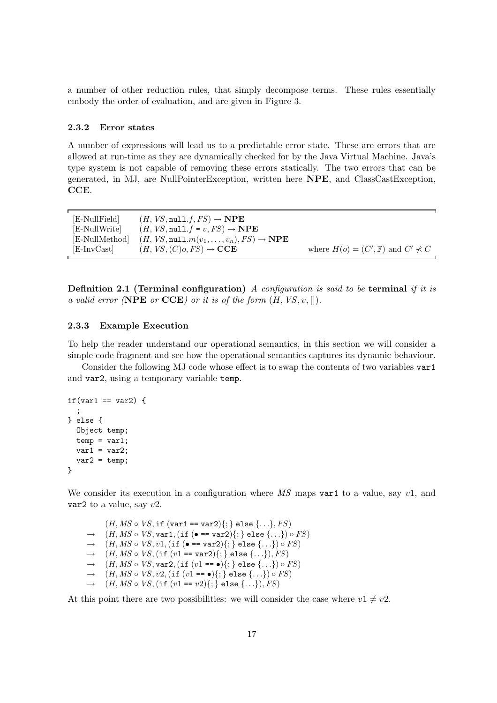a number of other reduction rules, that simply decompose terms. These rules essentially embody the order of evaluation, and are given in Figure 3.

### 2.3.2 Error states

A number of expressions will lead us to a predictable error state. These are errors that are allowed at run-time as they are dynamically checked for by the Java Virtual Machine. Java's type system is not capable of removing these errors statically. The two errors that can be generated, in MJ, are NullPointerException, written here NPE, and ClassCastException, CCE.

| [E-NullField]  | $(H, VS, null.f, FS) \rightarrow \textbf{NPE}$                          |                                                   |
|----------------|-------------------------------------------------------------------------|---------------------------------------------------|
| [E-NullWrite]  | $(H, VS, null.f = v, FS) \rightarrow \textbf{NPE}$                      |                                                   |
| [E-NullMethod] | $(H, VS, \text{null}.m(v_1, \ldots, v_n), FS) \rightarrow \textbf{NPE}$ |                                                   |
| E-InvCast      | $(H, VS, (C)$ o, $FS) \rightarrow$ CCE                                  | where $H(o) = (C', \mathbb{F})$ and $C' \nprec C$ |

**Definition 2.1 (Terminal configuration)** A configuration is said to be **terminal** if it is a valid error (NPE or CCE) or it is of the form  $(H, VS, v, []$ .

### 2.3.3 Example Execution

To help the reader understand our operational semantics, in this section we will consider a simple code fragment and see how the operational semantics captures its dynamic behaviour.

Consider the following MJ code whose effect is to swap the contents of two variables var1 and var2, using a temporary variable temp.

```
if(var1 == var2) {
  ;
} else {
 Object temp;
 temp = var1;var1 = var2;var2 = temp;}
```
We consider its execution in a configuration where  $\overline{MS}$  maps var1 to a value, say v1, and var2 to a value, say  $v2$ .

 $(H, MS \circ VS, \text{if } (\text{var1} == \text{var2})\}; \text{ else } \{...\}, FS)$  $\rightarrow$   $(H, MS \circ VS, \text{var1}, (\text{if } (\bullet == \text{var2})\{\};\} \text{ else } \{... \}) \circ FS)$  $\rightarrow$   $(H, MS \circ VS, v1, (\text{if } (\bullet == \text{var2})\{\cdot\} \text{ else } \{\dots\}) \circ FS)$  $\rightarrow$   $(H, MS \circ VS, (\text{if } (v1 == \text{var2})\{; \} \text{ else } \{... \}), FS)$  $\rightarrow$   $(H, MS \circ VS, \text{var2}, (\text{if } (v1 == \bullet) \{; \} \text{ else } \{... \}) \circ FS)$  $\rightarrow$   $(H, MS \circ VS, v2, (\text{if } (v1 == \bullet) \{ ; \} \text{ else } \{ ... \}) \circ FS)$  $\rightarrow$   $(H, MS \circ VS, (\text{if } (v1 == v2)\{\};\)$  else  $\{\ldots\}), FS)$ 

At this point there are two possibilities: we will consider the case where  $v1 \neq v2$ .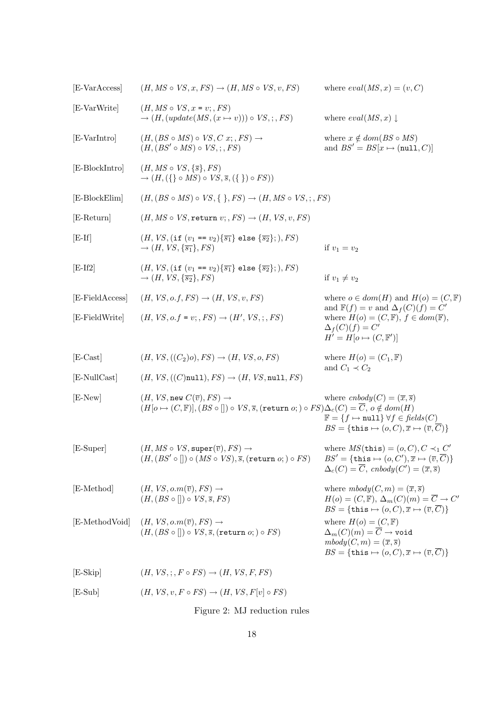| [E-VarAccess]   | $(H, MS \circ VS, x, FS) \rightarrow (H, MS \circ VS, v, FS)$                                                                                                                                        | where $eval(MS, x) = (v, C)$                                                                                                                                                                                                       |
|-----------------|------------------------------------------------------------------------------------------------------------------------------------------------------------------------------------------------------|------------------------------------------------------------------------------------------------------------------------------------------------------------------------------------------------------------------------------------|
| [E-VarWrite]    | $(H, MS \circ VS, x = v; , FS)$<br>$\rightarrow$ $(H, (update(MS, (x \mapsto v))) \circ VS$ , ; , FS)                                                                                                | where $eval(MS, x) \downarrow$                                                                                                                                                                                                     |
| [E-VarIntro]    | $(H, (BS \circ MS) \circ VS, C x; , FS) \rightarrow$<br>$(H, (BS' \circ MS) \circ VS, \cdot, FS)$                                                                                                    | where $x \notin dom(BS \circ MS)$<br>and $BS' = BS[x \mapsto (null, C)]$                                                                                                                                                           |
| [E-BlockIntro]  | $(H, MS \circ VS, \{\overline{s}\}, FS)$<br>$\rightarrow$ $(H, (\{\}\circ MS) \circ VS, \overline{s}, (\{\}) \circ FS))$                                                                             |                                                                                                                                                                                                                                    |
| [E-BlockElim]   | $(H, (BS \circ MS) \circ VS, \{ \}, FS) \rightarrow (H, MS \circ VS, \cdot, FS)$                                                                                                                     |                                                                                                                                                                                                                                    |
| [E-Return]      | $(H, MS \circ VS, \text{return } v; , FS) \rightarrow (H, VS, v, FS)$                                                                                                                                |                                                                                                                                                                                                                                    |
| $[E-If]$        | $(H, VS, (\text{if } (v_1 == v_2)\{\overline{s_1}\})$ else $\{\overline{s_2}\};), FS)$<br>$\rightarrow$ $(H, VS, {\overline{s_1}}, FS)$                                                              | if $v_1 = v_2$                                                                                                                                                                                                                     |
| $[E-If2]$       | $(H, VS, (\text{if } (v_1 == v_2)\{\overline{s_1}\}) \text{ else } \{\overline{s_2}\});), FS)$<br>$\rightarrow$ $(H, VS, \{\overline{s_2}\}, FS)$                                                    | if $v_1 \neq v_2$                                                                                                                                                                                                                  |
| [E-FieldAccess] | $(H, VS, o.f, FS) \rightarrow (H, VS, v, FS)$                                                                                                                                                        | where $o \in dom(H)$ and $H(o) = (C, \mathbb{F})$                                                                                                                                                                                  |
| [E-FieldWrite]  | $(H, VS, o.f = v; , FS) \rightarrow (H', VS, ; , FS)$                                                                                                                                                | and $\mathbb{F}(f) = v$ and $\Delta_f(C)(f) = C'$<br>where $H(o) = (C, \mathbb{F}), f \in dom(\mathbb{F}),$<br>$\Delta_f(C)(f) = C'$<br>$H' = H[0 \mapsto (C, \mathbb{F}')]$                                                       |
| $[E-Cast]$      | $(H, VS, ((C_2)o), FS) \rightarrow (H, VS, o, FS)$                                                                                                                                                   | where $H(o) = (C_1, \mathbb{F})$                                                                                                                                                                                                   |
| [E-NullCast]    | $(H, VS, ((C) \text{null}), FS) \rightarrow (H, VS, \text{null}, FS)$                                                                                                                                | and $C_1 \prec C_2$                                                                                                                                                                                                                |
| $[E-New]$       | $(H, VS, new C(\overline{v}), FS) \rightarrow$<br>$(H[o \mapsto (C, \mathbb{F})], (BS \circ [] ) \circ VS, \overline{s}, (\text{return } o; ) \circ FS) \Delta_c(C) = \overline{C}, o \notin dom(H)$ | where $cnbody(C) = (\overline{x}, \overline{s})$<br>$\mathbb{F} = \{f \mapsto \texttt{null}\} \,\forall f \in \text{fields}(C)$<br>$BS = \{\text{this} \mapsto (o, C), \overline{x} \mapsto (\overline{v}, \overline{C})\}$        |
| [E-Super]       | $(H, MS \circ VS, super(\overline{v}), FS) \rightarrow$<br>$(H, (BS' \circ [] ) \circ (MS \circ VS), \overline{s},$ (return $o; ) \circ FS)$                                                         | where $MS(\text{this}) = (o, C), C \prec_1 C'$<br>$BS' = {\text{this} \mapsto (o, C'), \overline{x} \mapsto (\overline{v}, \overline{C})}$<br>$\Delta_c(C) = \overline{C},\;cnbody(C') = (\overline{x}, \overline{s})$             |
| [E-Method]      | $(H, VS, o.m(\overline{v}), FS) \rightarrow$<br>$(H, (BS \circ [] ) \circ VS, \overline{s}, FS)$                                                                                                     | where $mbody(C, m) = (\overline{x}, \overline{s})$<br>$H(o) = (C, \mathbb{F}), \Delta_m(C)(m) = \overline{C} \rightarrow C'$<br>$BS = \{\text{this} \mapsto (o, C), \overline{x} \mapsto (\overline{v}, \overline{C})\}$           |
|                 | [E-MethodVoid] $(H, VS, o.m(\overline{v}), FS) \rightarrow$<br>$(H, (BS \circ [] ) \circ VS, \overline{s}, (return o; ) \circ FS)$                                                                   | where $H(o) = (C, \mathbb{F})$<br>$\Delta_m(C)(m) = \overline{C} \rightarrow \text{void}$<br>$mbody(C,m)=(\overline{x},\overline{s})$<br>$BS = \{\text{this} \mapsto (o, C), \overline{x} \mapsto (\overline{v}, \overline{C})\}\$ |
| $[E-Skip]$      | $(H, VS, \cdot, F \circ FS) \rightarrow (H, VS, F, FS)$                                                                                                                                              |                                                                                                                                                                                                                                    |
| $[E-Sub]$       | $(H, VS, v, F \circ FS) \rightarrow (H, VS, F[v] \circ FS)$                                                                                                                                          |                                                                                                                                                                                                                                    |

Figure 2: MJ reduction rules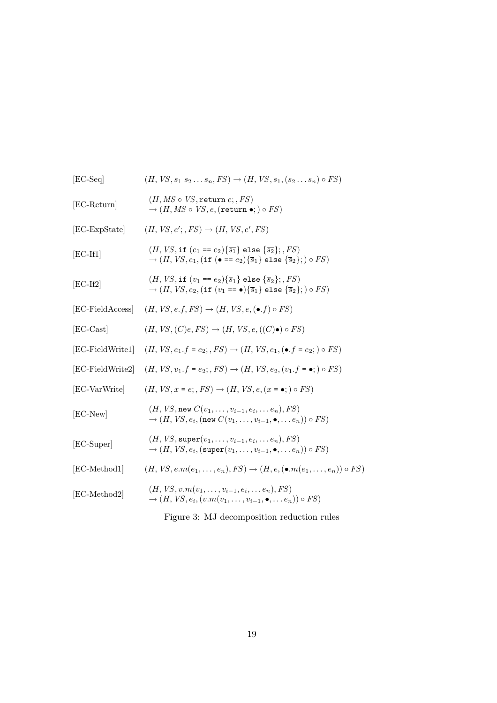| $[EC-Seq]$       | $(H, VS, s_1 s_2 \ldots s_n, FS) \rightarrow (H, VS, s_1, (s_2 \ldots s_n) \circ FS)$                                                                                                                                       |
|------------------|-----------------------------------------------------------------------------------------------------------------------------------------------------------------------------------------------------------------------------|
| $[EC-Return]$    | $(H, MS \circ VS, \texttt{return } e; , FS)$<br>$\rightarrow$ $(H, MS \circ VS, e,$ (return $\bullet$ ; ) $\circ FS$ )                                                                                                      |
| [EC-ExpState]    | $(H, VS, e';, FS) \rightarrow (H, VS, e', FS)$                                                                                                                                                                              |
| $[EC-If1]$       | $(H, VS, \text{if } (e_1 == e_2)\{\overline{s_1}\} \text{ else } \{\overline{s_2}\}; F_S)$<br>$\rightarrow$ $(H, VS, e_1, (\text{if } (\bullet == e_2)\{\overline{s}_1\} \text{ else } \{\overline{s}_2\}; ) \circ FS)$     |
| $[EC-If2]$       | $(H, VS, \text{if } (v_1 == e_2)\{\overline{s}_1\} \text{ else } \{\overline{s}_2\};, FS)$<br>$\rightarrow$ $(H, VS, e_2, (\text{if } (v_1 == \bullet) \{ \overline{s}_1 \} \text{ else } \{ \overline{s}_2 \};) \circ FS)$ |
| [EC-FieldAccess] | $(H, VS, e.f, FS) \rightarrow (H, VS, e, (\bullet, f) \circ FS)$                                                                                                                                                            |
| $[EC-Cast]$      | $(H, VS, (C)e, FS) \rightarrow (H, VS, e, ((C) \bullet) \circ FS)$                                                                                                                                                          |
| [EC-FieldWrite1] | $(H, VS, e_1.f = e_2; FS) \rightarrow (H, VS, e_1, (\bullet.f = e_2; ) \circ FS)$                                                                                                                                           |
| [EC-FieldWrite2] | $(H, VS, v_1.f = e_2; FS) \rightarrow (H, VS, e_2, (v_1.f = \bullet; ) \circ FS)$                                                                                                                                           |
| [EC-VarWrite]    | $(H, VS, x = e$ ; $FS) \rightarrow (H, VS, e, (x = \bullet; ) \circ FS)$                                                                                                                                                    |
| $[EC-New]$       | $(H, VS, new C(v_1, , v_{i-1}, e_i, , e_n), FS)$<br>$\rightarrow$ $(H, VS, e_i,$ (new $C(v_1, \ldots, v_{i-1}, \bullet, \ldots e_n)) \circ FS$ )                                                                            |
| [EC-Super]       | $(H, VS, super(v_1, \ldots, v_{i-1}, e_i, \ldots e_n), FS)$<br>$\rightarrow$ $(H, VS, e_i, (\text{super}(v_1, \ldots, v_{i-1}, \bullet, \ldots e_n)) \circ FS)$                                                             |
| [EC-Method1]     | $(H, VS, e.m(e_1, \ldots, e_n), FS) \rightarrow (H, e, (\bullet.m(e_1, \ldots, e_n)) \circ FS)$                                                                                                                             |
| [EC-Method2]     | $(H, VS, v.m(v_1, \ldots, v_{i-1}, e_i, \ldots e_n), FS)$<br>$\rightarrow$ $(H, VS, e_i, (v.m(v_1, \ldots, v_{i-1}, \bullet, \ldots e_n)) \circ FS)$                                                                        |
|                  |                                                                                                                                                                                                                             |

Figure 3: MJ decomposition reduction rules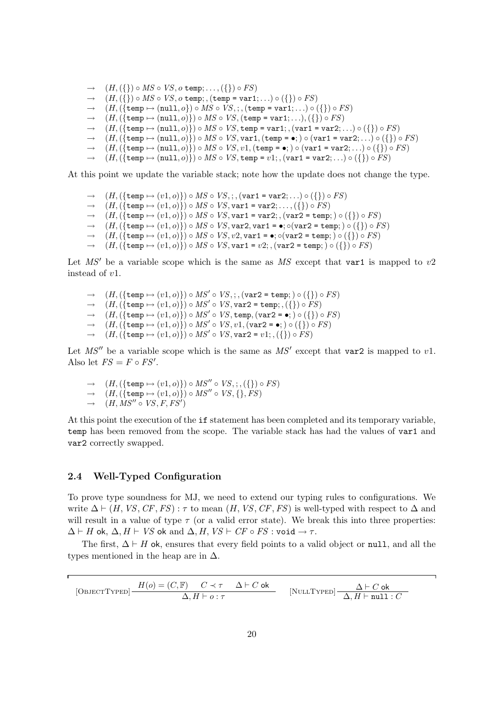$\rightarrow$   $(H, (\{\}) \circ MS \circ VS, o \text{ temp}; \dots, (\{\}) \circ FS)$  $\rightarrow$   $(H, (\{\}) \circ MS \circ VS, o \text{ temp}; (\text{temp} = \text{var1}; \ldots) \circ (\{\}) \circ FS$ <br>  $\rightarrow$   $(H, (\text{temp} \mapsto (\text{null} \ o) \circ MS \circ VS \cdot (\text{temp} = \text{var1}; \ldots) \circ (\}$  $(H,({\text{temp}} \mapsto (\text{null}, o)) \circ MS \circ VS$ ;,  $(\text{temp} = \text{var1};...) \circ ({\text{max}}) \circ FS)$  $\rightarrow$   $(H,({\text{temp}\mapsto(\text{null}, o)})) \circ MS \circ VS,({\text{temp}\text{ = var1}; \ldots), (\{\}) \circ FS})$  $\rightarrow$   $(H,({\text{temp}\mapsto(\text{null}, o)}\, \circ \, MS \circ \, VS, \text{temp} = \text{var1};$ ,  $(\text{var1} = \text{var2}; ...) \circ ({\{\}) \circ FS}$  $\rightarrow$   $(H,({\text{temp }\mapsto \text{(null}, o)} \circ MS \circ VS, \text{var1},({\text{temp = \bullet}};) \circ (\text{var1 = var2}; \ldots) \circ ({\text{}}) \circ FS)$  $\rightarrow$   $(H,({\text{temp}\mapsto(\text{null}, o)}\circ MS \circ VS, v1,({\text{temp}\text{ = o}};) \circ (\text{var1 = var2}; \ldots) \circ ({\text{}}) \circ FS)$  $\rightarrow$   $(H,({\text{temp}\mapsto(\text{null}, o)})) \circ MS \circ VS,$  temp =  $v1;$ ,  $(\text{var1 = var2};...) \circ ({\{\}) \circ FS})$ 

At this point we update the variable stack; note how the update does not change the type.

 $\rightarrow$   $(H,({\text{temp} \mapsto (v1, o)})) \circ MS \circ VS;$ ; ,  $(\text{var1 = var2};...) \circ ({\text{}}) \circ FS)$  $\rightarrow$   $(H,({\text{temp} \mapsto (v1, o)})) \circ MS \circ VS, \text{var1} = \text{var2}; \dots, (\{\}) \circ FS)$  $\rightarrow$   $(H,({\text{temp}\mapsto (v1,o)})) \circ MS \circ VS, \text{var1} = \text{var2};$ ,  $(\text{var2} = \text{temp};) \circ ({\{\}) \circ FS})$  $\rightarrow$   $(H,({\text{temp}\mapsto (v1,o)})) \circ MS \circ VS, \text{var2}, \text{var1} = \bullet; \circ(\text{var2} = \text{temp};) \circ ({\{\}) \circ FS})$  $\rightarrow$   $(H,({\{\text{temp }\mapsto (v1,o)\}})\circ MS \circ VS, v2, v2, \text{var1 = \bullet}; \circ(var2 = \text{temp};\circ) \circ ({\{\}) \circ FS})$  $\rightarrow$   $(H,({\text{temp}\mapsto (v1,o)}) \circ MS \circ VS, \text{var1} = v2;$ ,  $(\text{var2} = \text{temp}; ) \circ ({\text{ }}) \circ FS)$ 

Let MS' be a variable scope which is the same as MS except that var1 is mapped to  $v2$ instead of v1.

- $\rightarrow \quad (H,(\{\texttt{temp} \mapsto (v1,o)\}) \circ MS' \circ VS, \cdot, (\texttt{var2}=\texttt{temp};) \circ (\{\}) \circ FS)$  $\rightarrow$   $(H,(\{\text{temp} \mapsto (v1,o)\}) \circ MS' \circ VS, \text{var2} = \text{temp}; , (\{\}) \circ FS)$  $\rightarrow$   $(H,(\{\text{temp} \mapsto (v1,o)\}) \circ MS' \circ VS, \text{temp},(\text{var2} = \bullet;)\circ (\{\}) \circ FS)$
- $\rightarrow$   $(H,(\{\text{temp} \mapsto (v1,o)\}) \circ MS' \circ VS, v1,(\text{var2} = \bullet)) \circ (\{\}) \circ FS)$  $\rightarrow$   $(H,(\{\text{temp} \mapsto (v1,o)\}) \circ MS' \circ VS, \text{var2} = v1; ,(\{\}) \circ FS)$
- Let  $MS''$  be a variable scope which is the same as  $MS'$  except that var2 is mapped to v1. Also let  $FS = F \circ FS'$ .
	- $\rightarrow$   $(H,(\{\text{temp} \mapsto (v1, o)\}) \circ MS'' \circ VS;$ ;  $(\{\}) \circ FS$
	- $\rightarrow$   $(H, (\{\text{temp} \mapsto (v1, o)\}) \circ MS'' \circ VS, \{\}, FS)$
	- $\rightarrow$   $(H, MS'' \circ VS, F, FS')$

At this point the execution of the if statement has been completed and its temporary variable, temp has been removed from the scope. The variable stack has had the values of var1 and var2 correctly swapped.

### 2.4 Well-Typed Configuration

To prove type soundness for MJ, we need to extend our typing rules to configurations. We write  $\Delta \vdash (H, VS, CF, FS)$ :  $\tau$  to mean  $(H, VS, CF, FS)$  is well-typed with respect to  $\Delta$  and will result in a value of type  $\tau$  (or a valid error state). We break this into three properties:  $\Delta \vdash H$  ok,  $\Delta, H \vdash VS$  ok and  $\Delta, H, VS \vdash CF \circ FS : \text{void} \to \tau$ .

The first,  $\Delta \vdash H$  ok, ensures that every field points to a valid object or null, and all the types mentioned in the heap are in  $\Delta$ .

$$
[{\rm ObJECTType D}] \frac{H(o) = (C, \mathbb{F}) \quad C \prec \tau \quad \Delta \vdash C \text{ ok}}{\Delta, H \vdash o : \tau} \qquad [{\rm NULL Type D}] \frac{\Delta \vdash C \text{ ok}}{\Delta, H \vdash \texttt{null} : C}
$$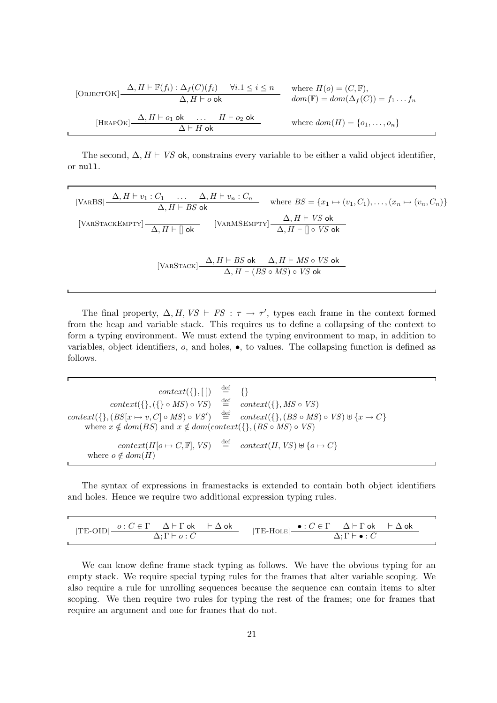[
$$
[O\text{BJECTOK}] \xrightarrow{\Delta, H \vdash \mathbb{F}(f_i) : \Delta_f(C)(f_i) \quad \forall i. 1 \le i \le n} \quad \text{where } H(o) = (C, \mathbb{F}),
$$
  

$$
\Delta, H \vdash o \text{ ok } \quad \text{dom}(\mathbb{F}) = dom(\Delta_f(C)) = f_1 \dots f_n
$$
  
[
$$
[HEAPOK] \xrightarrow{\Delta, H \vdash o_1 \text{ ok } \dots \quad H \vdash o_2 \text{ ok } \dots \quad H \vdash o_2 \text{ ok } \dots \text{ where } dom(H) = \{o_1, \dots, o_n\}
$$

The second,  $\Delta$ ,  $H \vdash VS$  ok, constrains every variable to be either a valid object identifier, or null.

[VARS] 
$$
\frac{\Delta, H \vdash v_1 : C_1 \qquad \dots \qquad \Delta, H \vdash v_n : C_n}{\Delta, H \vdash BS \text{ ok}}
$$
 where  $BS = \{x_1 \mapsto (v_1, C_1), \dots, (x_n \mapsto (v_n, C_n)\}$   
\n[VARSTACKEMENT]  $\frac{}{\Delta, H \vdash \Box$  ok  $\frac{}{\Delta, H \vdash \Box \circ VS \text{ ok}}$   
\n[VARSTACK]  $\frac{}{\Delta, H \vdash BS \text{ ok}} \qquad \Delta, H \vdash MS \circ VS \text{ ok}}$   
\n[VARSTACK]  $\frac{}{\Delta, H \vdash BS \text{ ok}} \qquad \Delta, H \vdash MS \circ VS \text{ ok}}$ 

The final property,  $\Delta, H, VS \vdash FS : \tau \to \tau'$ , types each frame in the context formed from the heap and variable stack. This requires us to define a collapsing of the context to form a typing environment. We must extend the typing environment to map, in addition to variables, object identifiers,  $o$ , and holes,  $\bullet$ , to values. The collapsing function is defined as follows.

 $context({}, |) \stackrel{\text{def}}{=} {\{ \}}$ <br> $\{ \} \circ MS \circ VS \stackrel{\text{def}}{=} cc$  $context({},({}) \circ MS) \circ VS)$  $\stackrel{\text{def}}{=} \text{context}(\{\}, MS \circ VS)$  $\stackrel{\text{def}}{=} \text{context}(\{\}, (BS \circ MS)$  $context({}, (BS[x \mapsto v, C] \circ MS) \circ VS')$ context({},(BS ◦ MS) ◦ VS)  $\uplus$  {x  $\mapsto C$ } where  $x \notin dom(BS)$  and  $x \notin dom(context({}, BS \circ MS) \circ VS)$  $context(H[o \mapsto C, \mathbb{F}], VS)$  $\stackrel{\text{def}}{=} \text{context}(H, VS) \uplus \{o \mapsto C\}$ where  $o \notin dom(H)$ 

The syntax of expressions in framestacks is extended to contain both object identifiers and holes. Hence we require two additional expression typing rules.

|  | $[TE-OLD]$ $\frac{o: C \in \Gamma$ $\Delta \vdash \Gamma$ ok $\vdash \Delta$ ok | $[TE\text{-Hole}]$ $\bullet: C \in \Gamma$ $\Delta \vdash \Gamma$ ok $\vdash \Delta$ ok |                                     |  |
|--|---------------------------------------------------------------------------------|-----------------------------------------------------------------------------------------|-------------------------------------|--|
|  | $\Delta: \Gamma \vdash o:C$                                                     |                                                                                         | $\Delta: \Gamma \vdash \bullet : C$ |  |

We can know define frame stack typing as follows. We have the obvious typing for an empty stack. We require special typing rules for the frames that alter variable scoping. We also require a rule for unrolling sequences because the sequence can contain items to alter scoping. We then require two rules for typing the rest of the frames; one for frames that require an argument and one for frames that do not.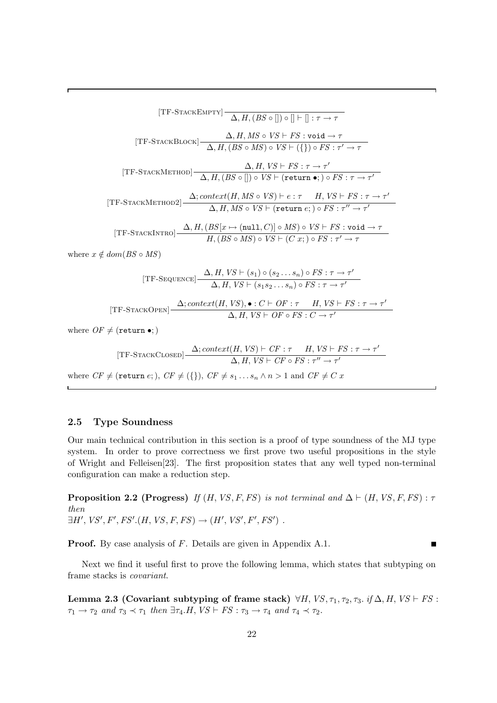[TF-STATEMPT] 
$$
\Delta
$$
,  $H$ ,  $(BS \circ [] ) \circ [] + [] : \tau \rightarrow \tau$   
\n[TF-STATEBLOCK]  $\Delta$ ,  $H$ ,  $MS \circ VS \vdash FS : void \rightarrow \tau$   
\n[TF-STATEMETHOD]  $\Delta$ ,  $H$ ,  $(BS \circ MS) \circ VS \vdash (\{\}) \circ FS : \tau' \rightarrow \tau$   
\n[TF-STATEMETHOD]  $\Delta$ ,  $H$ ,  $(BS \circ [] ) \circ VS \vdash (\text{return } \bullet)$ ,  $\circ FS : \tau \rightarrow \tau'$   
\n[TF-STATEMETHOD2]  $\Delta$ ;  $context(H, MS \circ VS) \vdash e : \tau$   $H$ ,  $VS \vdash FS : \tau \rightarrow \tau'$   
\n[TF-STATEMETHOD2]  $\Delta$ ;  $context(H, MS \circ VS) \vdash e : \tau$   $H$ ,  $VS \vdash FS : \tau \rightarrow \tau'$   
\n[TF-STATEMETHOD]  $\Delta$ ,  $H$ ,  $MS \circ VS \vdash (\text{return } e; ) \circ FS : \tau'' \rightarrow \tau'$   
\n[TF-STATEMETRO]  $\frac{\Delta}{H}$ ,  $(BS \circ MS) \circ VS \vdash (Cx; ) \circ FS : \tau' \rightarrow \tau$   
\nwhere  $x \notin dom(BS \circ MS)$   
\n[TF-SEQUENCE]  $\frac{\Delta}{H}$ ,  $VS \vdash (s_1) \circ (s_2 \ldots s_n) \circ FS : \tau \rightarrow \tau'$   
\n $\Delta$ ,  $H$ ,  $VS \vdash (s_1s_2 \ldots s_n) \circ FS : \tau \rightarrow \tau'$ 

[TF-STATEOPEN] 
$$
\frac{\Delta; context(H, VS), \bullet : C \vdash OF : \tau \quad H, VS \vdash FS : \tau \to \tau'}{\Delta, H, VS \vdash OF \circ FS : C \to \tau'}
$$

where  $OF \neq$  (return •;)

[TF-STATEUCSED] 
$$
\frac{\Delta; context(H, VS) \vdash CF : \tau \quad H, VS \vdash FS : \tau \to \tau'}{\Delta, H, VS \vdash CF \circ FS : \tau'' \to \tau'}
$$

where  $CF \neq$  (return e; ),  $CF \neq (\{\})$ ,  $CF \neq s_1 \dots s_n \land n > 1$  and  $CF \neq C x$ 

### 2.5 Type Soundness

Our main technical contribution in this section is a proof of type soundness of the MJ type system. In order to prove correctness we first prove two useful propositions in the style of Wright and Felleisen[23]. The first proposition states that any well typed non-terminal configuration can make a reduction step.

**Proposition 2.2 (Progress)** If  $(H, VS, F, FS)$  is not terminal and  $\Delta \vdash (H, VS, F, FS) : \tau$ then  $\exists H',\,VS',\,F',\,FS'.(H,\,VS,\,F,\,FS)\rightarrow (H',\,VS',\,F',\,FS')\,$ .

Proof. By case analysis of F. Details are given in Appendix A.1.

Next we find it useful first to prove the following lemma, which states that subtyping on frame stacks is covariant.

Lemma 2.3 (Covariant subtyping of frame stack)  $\forall H, VS, \tau_1, \tau_2, \tau_3$ . if  $\Delta, H, VS \vdash FS$ :  $\tau_1 \rightarrow \tau_2$  and  $\tau_3 \prec \tau_1$  then  $\exists \tau_4.H, VS \vdash FS : \tau_3 \rightarrow \tau_4$  and  $\tau_4 \prec \tau_2$ .

 $\blacksquare$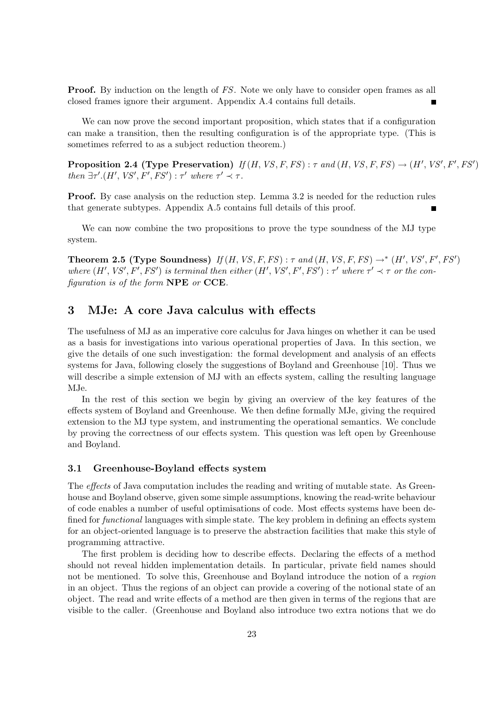**Proof.** By induction on the length of FS. Note we only have to consider open frames as all closed frames ignore their argument. Appendix A.4 contains full details.

We can now prove the second important proposition, which states that if a configuration can make a transition, then the resulting configuration is of the appropriate type. (This is sometimes referred to as a subject reduction theorem.)

Proposition 2.4 (Type Preservation)  $If (H, VS, F, FS): \tau$  and  $(H, VS, F, FS) \rightarrow (H', VS', F', FS')$ then  $\exists \tau'.(H',\textit{VS}',\textit{F}',\textit{FS}') : \tau'$  where  $\tau' \prec \tau$ .

Proof. By case analysis on the reduction step. Lemma 3.2 is needed for the reduction rules that generate subtypes. Appendix A.5 contains full details of this proof.

We can now combine the two propositions to prove the type soundness of the MJ type system.

**Theorem 2.5 (Type Soundness)** If  $(H, VS, F, FS)$  :  $\tau$  and  $(H, VS, F, FS) \rightarrow^* (H', VS', F', FS')$ where  $(H', VS', F', FS')$  is terminal then either  $(H', VS', F', FS')$  :  $\tau'$  where  $\tau' \prec \tau$  or the configuration is of the form NPE or CCE.

# 3 MJe: A core Java calculus with effects

The usefulness of MJ as an imperative core calculus for Java hinges on whether it can be used as a basis for investigations into various operational properties of Java. In this section, we give the details of one such investigation: the formal development and analysis of an effects systems for Java, following closely the suggestions of Boyland and Greenhouse [10]. Thus we will describe a simple extension of MJ with an effects system, calling the resulting language MJe.

In the rest of this section we begin by giving an overview of the key features of the effects system of Boyland and Greenhouse. We then define formally MJe, giving the required extension to the MJ type system, and instrumenting the operational semantics. We conclude by proving the correctness of our effects system. This question was left open by Greenhouse and Boyland.

### 3.1 Greenhouse-Boyland effects system

The *effects* of Java computation includes the reading and writing of mutable state. As Greenhouse and Boyland observe, given some simple assumptions, knowing the read-write behaviour of code enables a number of useful optimisations of code. Most effects systems have been defined for functional languages with simple state. The key problem in defining an effects system for an object-oriented language is to preserve the abstraction facilities that make this style of programming attractive.

The first problem is deciding how to describe effects. Declaring the effects of a method should not reveal hidden implementation details. In particular, private field names should not be mentioned. To solve this, Greenhouse and Boyland introduce the notion of a region in an object. Thus the regions of an object can provide a covering of the notional state of an object. The read and write effects of a method are then given in terms of the regions that are visible to the caller. (Greenhouse and Boyland also introduce two extra notions that we do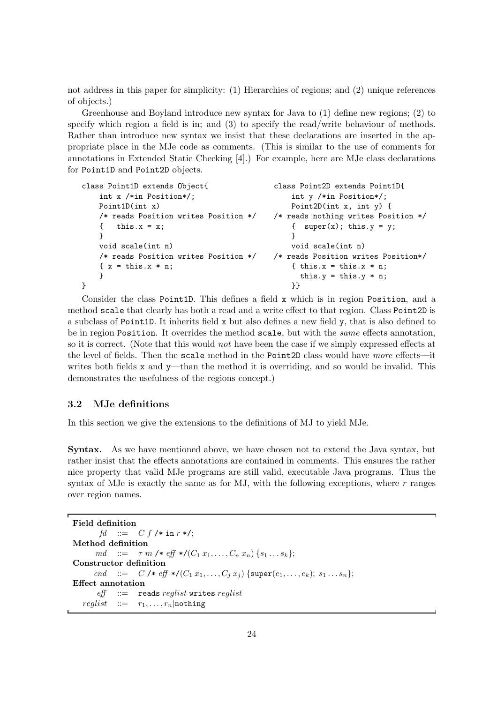not address in this paper for simplicity: (1) Hierarchies of regions; and (2) unique references of objects.)

Greenhouse and Boyland introduce new syntax for Java to (1) define new regions; (2) to specify which region a field is in; and (3) to specify the read/write behaviour of methods. Rather than introduce new syntax we insist that these declarations are inserted in the appropriate place in the MJe code as comments. (This is similar to the use of comments for annotations in Extended Static Checking [4].) For example, here are MJe class declarations for Point1D and Point2D objects.

| class Point1D extends Object{        | class Point2D extends Point1D{      |
|--------------------------------------|-------------------------------------|
| int $x$ /*in Position*/;             | int $y$ /*in Position*/;            |
| Point1D(int x)                       | Point2D(int x, int y) {             |
| /* reads Position writes Position */ | /* reads nothing writes Position */ |
| this. $x = x$ ;<br>⊀                 | { $super(x)$ ; this.y = y;          |
|                                      |                                     |
| void scale(int n)                    | void scale(int n)                   |
| /* reads Position writes Position */ | /* reads Position writes Position*/ |
| $\{x = \text{this.x} * n\}$          | { this.x = this.x $*$ n;            |
|                                      | this. $y = this.y * n$ ;            |
|                                      | ļ}                                  |

Consider the class Point1D. This defines a field x which is in region Position, and a method scale that clearly has both a read and a write effect to that region. Class Point2D is a subclass of Point1D. It inherits field x but also defines a new field y, that is also defined to be in region Position. It overrides the method scale, but with the same effects annotation, so it is correct. (Note that this would *not* have been the case if we simply expressed effects at the level of fields. Then the scale method in the Point2D class would have more effects—it writes both fields x and y—than the method it is overriding, and so would be invalid. This demonstrates the usefulness of the regions concept.)

### 3.2 MJe definitions

In this section we give the extensions to the definitions of MJ to yield MJe.

Syntax. As we have mentioned above, we have chosen not to extend the Java syntax, but rather insist that the effects annotations are contained in comments. This ensures the rather nice property that valid MJe programs are still valid, executable Java programs. Thus the syntax of MJe is exactly the same as for MJ, with the following exceptions, where  $r$  ranges over region names.

```
Field definition
       fd ::= C f /* in r */;
Method definition
      md ::= \tau m \neq \text{eff} \neq (C_1 x_1, \ldots, C_n x_n) \{s_1 \ldots s_k\};Constructor definition
      cnd ::= C /* eff */(C_1 x_1, ..., C_j x_j) {super(e_1, ..., e_k); s_1 ... s_n};
Effect annotation
       \textit{eff} ::= reads reglist writes reglist
   \text{reglist} ::= r_1, \ldots, r_n nothing
```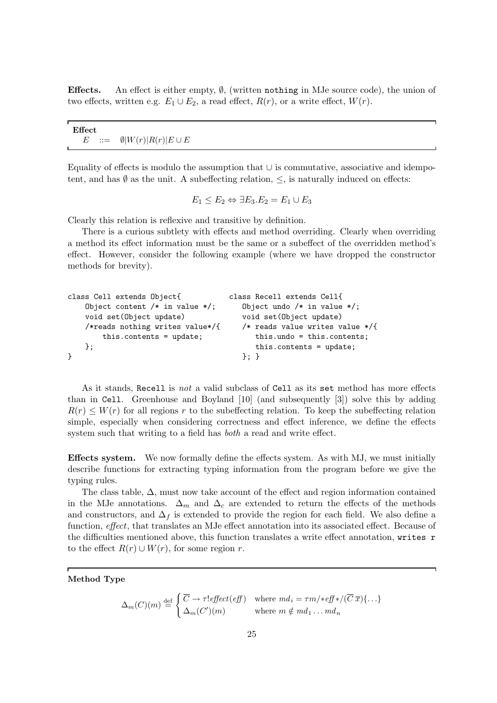**Effects.** An effect is either empty,  $\emptyset$ , (written nothing in MJe source code), the union of two effects, written e.g.  $E_1 \cup E_2$ , a read effect,  $R(r)$ , or a write effect,  $W(r)$ .

| Effect |                                           |  |  |
|--------|-------------------------------------------|--|--|
|        |                                           |  |  |
|        |                                           |  |  |
|        | $E$ ::= $\emptyset  W(r)  R(r)  E \cup E$ |  |  |
|        |                                           |  |  |

Equality of effects is modulo the assumption that ∪ is commutative, associative and idempotent, and has  $\emptyset$  as the unit. A subeffecting relation,  $\leq$ , is naturally induced on effects:

$$
E_1 \le E_2 \Leftrightarrow \exists E_3.E_2 = E_1 \cup E_3
$$

Clearly this relation is reflexive and transitive by definition.

There is a curious subtlety with effects and method overriding. Clearly when overriding a method its effect information must be the same or a subeffect of the overridden method's effect. However, consider the following example (where we have dropped the constructor methods for brevity).

```
class Cell extends Object{ class Recell extends Cell{
  Object content /* in value */; Object undo /* in value */;
  void set(Object update) void set(Object update)
  /*reads nothing writes value*/{ /* reads value writes value */{
     this.contents = update; this.undo = this.contents;
  }; this.contents = update;
} }; }
```
As it stands, Recell is *not* a valid subclass of Cell as its set method has more effects than in Cell. Greenhouse and Boyland [10] (and subsequently [3]) solve this by adding  $R(r) \leq W(r)$  for all regions r to the subeffecting relation. To keep the subeffecting relation simple, especially when considering correctness and effect inference, we define the effects system such that writing to a field has *both* a read and write effect.

Effects system. We now formally define the effects system. As with MJ, we must initially describe functions for extracting typing information from the program before we give the typing rules.

The class table,  $\Delta$ , must now take account of the effect and region information contained in the MJe annotations.  $\Delta_m$  and  $\Delta_c$  are extended to return the effects of the methods and constructors, and  $\Delta_f$  is extended to provide the region for each field. We also define a function, *effect*, that translates an MJe effect annotation into its associated effect. Because of the difficulties mentioned above, this function translates a write effect annotation, writes r to the effect  $R(r) \cup W(r)$ , for some region r.

### Method Type

$$
\Delta_m(C)(m) \stackrel{\text{def}}{=} \begin{cases} \overline{C} \to \tau! \, \text{effect}(\text{eff}) & \text{where } md_i = \tau m \cdot \text{eff} \cdot \text{tf} \cdot \text{tf} \cdot (\overline{C} \, \overline{x}) \{ \dots \} \\ \Delta_m(C')(m) & \text{where } m \notin md_1 \dots md_n \end{cases}
$$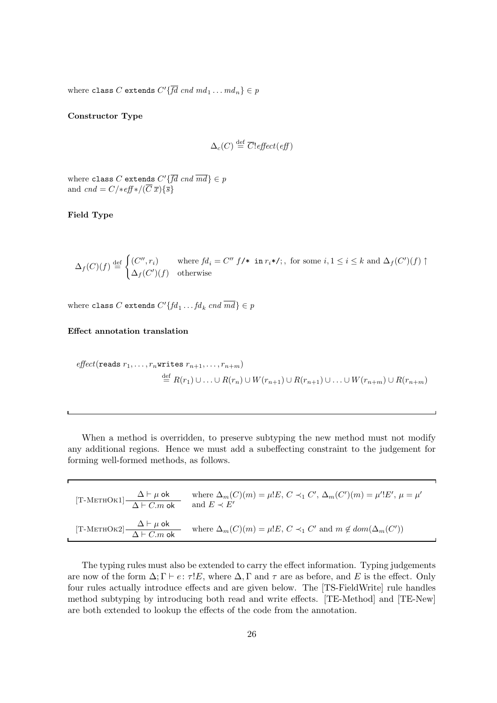where class C extends  $C'\{fd\; end\; md_1 \dots m d_n\} \in p$ 

Constructor Type

$$
\Delta_c(C) \stackrel{\text{def}}{=} \overline{C!} \text{effect}(\text{eff})
$$

where class C extends  $C'\{fd\,end\} \in p$ and cnd =  $C$ /\*eff\*/( $\overline{C} \overline{x}$ ){ $\overline{s}$ }

### Field Type

 $\Delta_f(C)(f) \stackrel{\text{def}}{=}$  $\int (C'', r_i)$  where  $fd_i = C'' f$ /\* in  $r_i$ \*/;, for some  $i, 1 \le i \le k$  and  $\Delta_f(C')(f)$   $\uparrow$  $\Delta_f(C')(f)$  otherwise

where class C extends  $C'\{fd_1 \dots fd_k \; cnd \; md\} \in p$ 

Effect annotation translation

$$
effect(\text{reads } r_1, \ldots, r_n \text{writes } r_{n+1}, \ldots, r_{n+m})
$$
  
\n
$$
\stackrel{\text{def}}{=} R(r_1) \cup \ldots \cup R(r_n) \cup W(r_{n+1}) \cup R(r_{n+1}) \cup \ldots \cup W(r_{n+m}) \cup R(r_{n+m})
$$

When a method is overridden, to preserve subtyping the new method must not modify any additional regions. Hence we must add a subeffecting constraint to the judgement for forming well-formed methods, as follows.

| [T-METHOK1] $\frac{\Delta \vdash \mu \text{ ok}}{\Delta \vdash C.m \text{ ok}}$ | where $\Delta_m(C)(m) = \mu E, C \prec_1 C', \Delta_m(C')(m) = \mu' E', \mu = \mu'$<br>and $E \prec E'$ |
|---------------------------------------------------------------------------------|---------------------------------------------------------------------------------------------------------|
| [T-METHOK2] $\frac{\Delta \vdash \mu \text{ ok}}{\Delta \vdash C.m \text{ ok}}$ | where $\Delta_m(C)(m) = \mu E$ , $C \prec_1 C'$ and $m \notin dom(\Delta_m(C'))$                        |

The typing rules must also be extended to carry the effect information. Typing judgements are now of the form  $\Delta; \Gamma \vdash e: \tau!E$ , where  $\Delta, \Gamma$  and  $\tau$  are as before, and E is the effect. Only four rules actually introduce effects and are given below. The [TS-FieldWrite] rule handles method subtyping by introducing both read and write effects. [TE-Method] and [TE-New] are both extended to lookup the effects of the code from the annotation.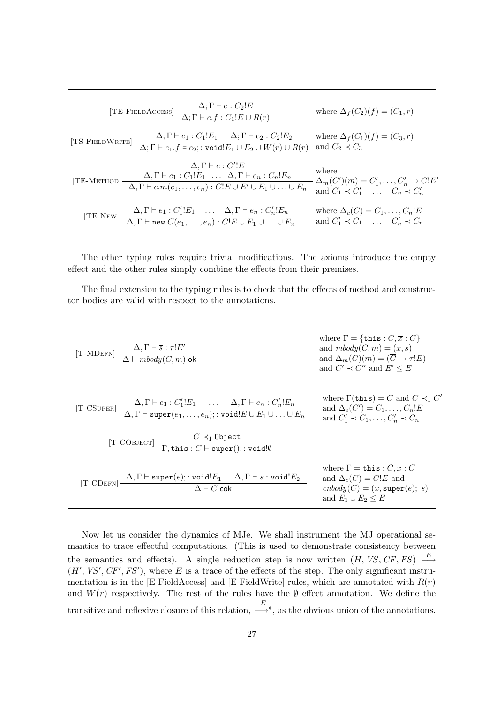[TE-FELDACCES] 
$$
\frac{\Delta; \Gamma \vdash e : C_2!E}{\Delta; \Gamma \vdash e.f : C_1!E \cup R(r)}
$$
 where  $\Delta_f(C_2)(f) = (C_1, r)$   
\n[TS-FELDWRTTE] 
$$
\frac{\Delta; \Gamma \vdash e_1 : C_1!E_1 \quad \Delta; \Gamma \vdash e_2 : C_2!E_2}{\Delta; \Gamma \vdash e_1.f = e_2; : \text{void}!E_1 \cup E_2 \cup W(r) \cup R(r)}
$$
 and  $C_2 \prec C_3$   
\n
$$
\Delta, \Gamma \vdash e_1 : C_1!E_1 \quad \dots \quad \Delta, \Gamma \vdash e_n : C_n!E_n
$$
 where  
\n[TE-METHOD] 
$$
\frac{\Delta, \Gamma \vdash e_1 : C_1!E_1 \quad \dots \quad \Delta, \Gamma \vdash e_n : C_n!E_n}{\Delta, \Gamma \vdash e.m(e_1, \dots, e_n) : C!E \cup E' \cup E_1 \cup \dots \cup E_n}
$$
 where  $\Delta_m(C')(m) = C'_1, \dots, C'_n \rightarrow C!E'$   
\n[TE-NEW] 
$$
\frac{\Delta, \Gamma \vdash e_1 : C'_1!E_1 \quad \dots \quad \Delta, \Gamma \vdash e_n : C'_n!E_n}{\Delta, \Gamma \vdash \text{new } C(e_1, \dots, e_n) : C!E \cup E_1 \cup \dots \cup E_n}
$$
 where  $\Delta_c(C) = C_1, \dots, C_n!E$   
\nand  $C'_1 \prec C_1 \quad \dots \quad C'_n \prec C_n$ 

The other typing rules require trivial modifications. The axioms introduce the empty effect and the other rules simply combine the effects from their premises.

The final extension to the typing rules is to check that the effects of method and constructor bodies are valid with respect to the annotations.

[T-*CDEFN*] 
$$
\frac{\Delta, \Gamma \vdash \overline{s} : \tau!E'}{\Delta \vdash \text{m}body(C, m) \text{ ok}}
$$
\nwhere  $\Gamma = \{\text{this} : C, \overline{x} : \overline{C}\}$  and  $\text{m}body(C, m) = (\overline{x}, \overline{s})$  and  $\Delta_m(C)(m) = (\overline{C} \rightarrow \tau!E)$  and  $C' \prec C''$  and  $E' \leq E$   
\n[T-C  
\n[T-C  
\n**CDEFN**] 
$$
\frac{\Delta, \Gamma \vdash e_1 : C_1'!E_1 \dots \Delta, \Gamma \vdash e_n : C_n'!E_n}{\Delta, \Gamma \vdash \text{super}(e_1, \dots, e_n); : \text{void}!E \cup E_1 \cup \dots \cup E_n}
$$
\nwhere  $\Gamma(\text{this}) = C$  and  $C \prec_1 C'$   
\nand  $\Delta_c(C') = C_1, \dots, C_n'!E$   
\nand  $C_1' \prec C_1, \dots, C_n' \prec C_n$   
\n[T-C  
\n**CDEFN**] 
$$
\frac{C \prec_1 \text{Object}}{\Delta, \Gamma \vdash \text{super}(E); : \text{void}!E_1 \Delta, \Gamma \vdash \overline{s} : \text{void}!E_2}
$$
\nwhere  $\Gamma = \text{this} : C, \overline{x} : \overline{C}$   
\nand  $\Delta_c(C) = \overline{C}!E$  and  $\Delta_c(C) = \overline{C}!E$  and  $\Delta_c(C) = \overline{C}!E$  and  $\Delta_c(C) = \overline{C}!E$  and  $\Delta_c(C) = \overline{C}!E$  and  $\Delta_c(C) = \overline{C}!E$  and  $\Delta_c(C) = \overline{C}!E$  and  $\Delta_c(C) = \overline{C}!E$  and  $\Delta_c(C) = \overline{C}!E$  and  $\Delta_c(C) = \overline{C}!E$  and  $\Delta_c(C) = \overline{C}!E$  and  $\Delta_c(C) = \overline{C}!E$  and  $\Delta_c(C) = \overline{C}!E$  and  $\Delta_c(C) = \overline{C}!E$ 

Now let us consider the dynamics of MJe. We shall instrument the MJ operational semantics to trace effectful computations. (This is used to demonstrate consistency between the semantics and effects). A single reduction step is now written  $(H, VS, CF, FS) \xrightarrow{E}$  $(H', VS', CF', FS')$ , where E is a trace of the effects of the step. The only significant instrumentation is in the [E-FieldAccess] and [E-FieldWrite] rules, which are annotated with  $R(r)$ and  $W(r)$  respectively. The rest of the rules have the  $\emptyset$  effect annotation. We define the transitive and reflexive closure of this relation,  $\frac{E}{\sqrt{2}}$ −→<sup>∗</sup> , as the obvious union of the annotations.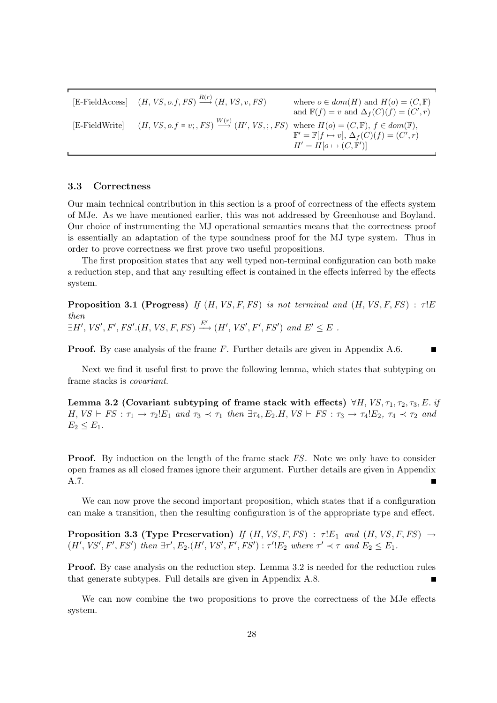[E-FieldAccess]  $(H, VS, o.f, FS) \xrightarrow{R(r)}$ where  $o \in dom(H)$  and  $H(o) = (C, \mathbb{F})$ and  $\mathbb{F}(f) = v$  and  $\Delta_f(C)(f) = (C', r)$ [E-FieldWrite]  $(H, VS, o.f = v; , FS) \stackrel{W(r)}{\longrightarrow} (H', VS, ; , FS)$  where  $H(o) = (C, \mathbb{F}), f \in dom(\mathbb{F}),$  $\mathbb{F}' = \mathbb{F}[f \mapsto v], \Delta_f(C)(f) = (C', r)$  $H' = H[o \mapsto (C, \mathbb{F}')]$ 

### 3.3 Correctness

Our main technical contribution in this section is a proof of correctness of the effects system of MJe. As we have mentioned earlier, this was not addressed by Greenhouse and Boyland. Our choice of instrumenting the MJ operational semantics means that the correctness proof is essentially an adaptation of the type soundness proof for the MJ type system. Thus in order to prove correctness we first prove two useful propositions.

The first proposition states that any well typed non-terminal configuration can both make a reduction step, and that any resulting effect is contained in the effects inferred by the effects system.

**Proposition 3.1 (Progress)** If  $(H, VS, F, FS)$  is not terminal and  $(H, VS, F, FS)$ :  $\tau$ !E then  $\exists H',\,VS',F',\,FS'.(H,\,VS,F,\,FS)\xrightarrow{E'}(H',\,VS',\,F',\,FS')$  and  $E'\leq E$ .

Proof. By case analysis of the frame F. Further details are given in Appendix A.6.

Next we find it useful first to prove the following lemma, which states that subtyping on frame stacks is covariant.

Lemma 3.2 (Covariant subtyping of frame stack with effects)  $\forall H, VS, \tau_1, \tau_2, \tau_3, E$ . if  $H, VS \vdash FS : \tau_1 \rightarrow \tau_2!E_1$  and  $\tau_3 \prec \tau_1$  then  $\exists \tau_4, E_2.H, VS \vdash FS : \tau_3 \rightarrow \tau_4!E_2$ ,  $\tau_4 \prec \tau_2$  and  $E_2 \leq E_1$ .

**Proof.** By induction on the length of the frame stack FS. Note we only have to consider open frames as all closed frames ignore their argument. Further details are given in Appendix A.7.

We can now prove the second important proposition, which states that if a configuration can make a transition, then the resulting configuration is of the appropriate type and effect.

**Proposition 3.3 (Type Preservation)** If  $(H, VS, F, FS)$  :  $\tau E_1$  and  $(H, VS, F, FS) \rightarrow$  $(H', VS', F', FS')$  then  $\exists \tau', E_2.(H', VS', F', FS') : \tau'!E_2$  where  $\tau' \prec \tau$  and  $E_2 \leq E_1$ .

Proof. By case analysis on the reduction step. Lemma 3.2 is needed for the reduction rules that generate subtypes. Full details are given in Appendix A.8.

We can now combine the two propositions to prove the correctness of the MJe effects system.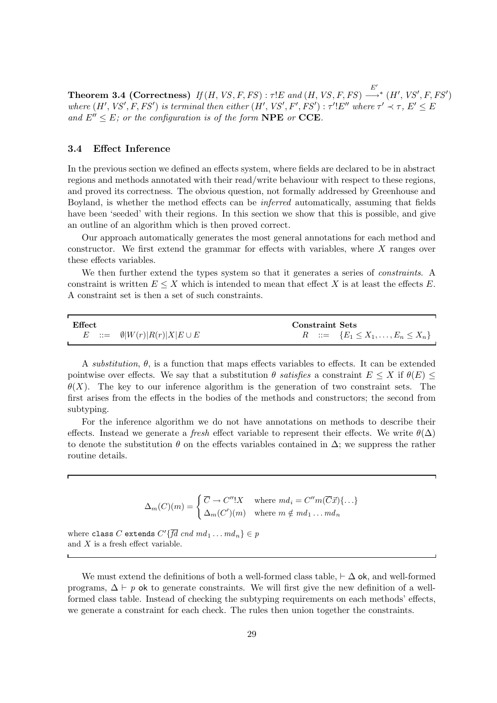Theorem 3.4 (Correctness) If  $(H, VS, F, FS)$  :  $\tau !E$  and  $(H, VS, F, FS)$   $\stackrel{E'}{\longrightarrow}$  $\longrightarrow^* (H',\mathit{VS}',F,\mathit{FS}')$ where  $(H', VS', F, FS')$  is terminal then either  $(H', VS', F', FS')$  :  $\tau'$ ! $E''$  where  $\tau' \prec \tau$ ,  $E' \leq E$ and  $E'' \leq E$ ; or the configuration is of the form **NPE** or **CCE**.

### 3.4 Effect Inference

In the previous section we defined an effects system, where fields are declared to be in abstract regions and methods annotated with their read/write behaviour with respect to these regions, and proved its correctness. The obvious question, not formally addressed by Greenhouse and Boyland, is whether the method effects can be inferred automatically, assuming that fields have been 'seeded' with their regions. In this section we show that this is possible, and give an outline of an algorithm which is then proved correct.

Our approach automatically generates the most general annotations for each method and constructor. We first extend the grammar for effects with variables, where X ranges over these effects variables.

We then further extend the types system so that it generates a series of *constraints*. A constraint is written  $E \leq X$  which is intended to mean that effect X is at least the effects E. A constraint set is then a set of such constraints.

| <b>Effect</b>                             | Constraint Sets                               |
|-------------------------------------------|-----------------------------------------------|
| $E$ ::= $\emptyset  W(r) R(r) X E \cup E$ | $R := \{E_1 \leq X_1, \ldots, E_n \leq X_n\}$ |

A substitution,  $\theta$ , is a function that maps effects variables to effects. It can be extended pointwise over effects. We say that a substitution  $\theta$  satisfies a constraint  $E \leq X$  if  $\theta(E) \leq$  $\theta(X)$ . The key to our inference algorithm is the generation of two constraint sets. The first arises from the effects in the bodies of the methods and constructors; the second from subtyping.

For the inference algorithm we do not have annotations on methods to describe their effects. Instead we generate a fresh effect variable to represent their effects. We write  $\theta(\Delta)$ to denote the substitution  $\theta$  on the effects variables contained in  $\Delta$ ; we suppress the rather routine details.

$$
\Delta_m(C)(m) = \begin{cases} \overline{C} \to C''!X & \text{where } md_i = C''m(\overline{C}\vec{x})\{\dots\} \\ \Delta_m(C')(m) & \text{where } m \notin md_1 \dots md_n \end{cases}
$$

where class C extends  $C'\{fd\, end\, md_1 \dots md_n\} \in p$ and  $X$  is a fresh effect variable.

We must extend the definitions of both a well-formed class table,  $\vdash \Delta$  ok, and well-formed programs,  $\Delta \vdash p$  ok to generate constraints. We will first give the new definition of a wellformed class table. Instead of checking the subtyping requirements on each methods' effects, we generate a constraint for each check. The rules then union together the constraints.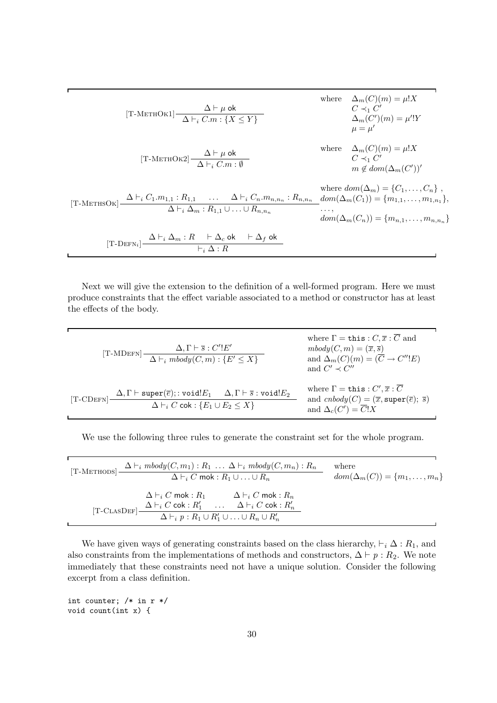$$
[\text{T-METHOK1}] \frac{\Delta \vdash \mu \text{ ok}}{\Delta \vdash_i C.m : \{X \le Y\}}
$$
\nwhere  $\Delta_m(C)(m) = \mu!X$   
\n $C \prec_1 C'$   
\n $\Delta_m(C')(m) = \mu'!Y$   
\n $\mu = \mu'$   
\n $(\text{T-METHOK2}] \frac{\Delta \vdash \mu \text{ ok}}{\Delta \vdash_i C.m : \emptyset}$   
\n $\Delta \vdash_i C.m : \emptyset$   
\nwhere  $\Delta_m(C)(m) = \mu!X$   
\n $C \prec_1 C'$   
\n $m \notin dom(\Delta_m(C'))'$   
\nwhere  $dom(\Delta_m) = \{C_1, ..., C_n\}$ ,  
\n $\Delta \vdash_i C_1.m_{1,1} : R_{1,1} \dots \Delta \vdash_i C_n.m_{n,n_n} : R_{n,n_n} \quad dom(\Delta_m(C_1)) = \{m_{1,1}, ..., m_{1,n_1}\},$   
\n $\Delta \vdash_i \Delta_m : R_1 \perp \Delta \ldots \cup R_{n,n_n}$   
\n $\vdash_i \Delta : R$ 

Next we will give the extension to the definition of a well-formed program. Here we must produce constraints that the effect variable associated to a method or constructor has at least the effects of the body.

 $[T-MDEFN] \frac{\Delta, \Gamma \vdash \overline{s} : C'!E'}{A \vdash A \land B}$  $\Delta \vdash_i \mathit{mbody}(C, m) : \{E' \leq X\}$ where  $\Gamma = \mathtt{this} : C, \overline{x} : \overline{C}$  and  $mbody(C, m) = (\overline{x}, \overline{s})$ and  $\Delta_m(C)(m) = (C \rightarrow C''!E)$ and  $C' \prec C''$  $[T\text{-}C\text{DEFN}] \frac{\Delta, \Gamma \vdash \text{super}(\overline{e}); : \text{void}! E_1 \Delta, \Gamma \vdash \overline{s} : \text{void}! E_2}{\Delta \vdash C \vdash \Gamma \vdash \Gamma \vdash \overline{s} : \text{void}! E_2}$  $\Delta \vdash_i C$  cok :  $\{E_1 \cup E_2 \leq X\}$ where  $\Gamma = \mathtt{this} : C', \overline{x} : C$ and  $cnbody(C) = (\overline{x}, super(\overline{e}); \overline{s})$ and  $\Delta_c(C') = C!X$ 

We use the following three rules to generate the constraint set for the whole program.

| [T-METHODS]   | $\Delta \vdash_i \text{mbody}(C, m_1) : R_1 \ldots \Delta \vdash_i \text{mbody}(C, m_n) : R_n$<br>$\Delta \vdash_i C$ mok : $R_1 \cup  \cup R_n$                                                                                                                             | where<br>$dom(\Delta_m(C)) = \{m_1, \ldots, m_n\}$ |
|---------------|------------------------------------------------------------------------------------------------------------------------------------------------------------------------------------------------------------------------------------------------------------------------------|----------------------------------------------------|
| $[T-CLASDEF]$ | $\Delta \vdash_i C$ mok : $R_1$ $\Delta \vdash_i C$ mok : $R_n$<br>$\label{eq:delta} \begin{array}{ccc} \Delta \vdash_i C \text{ cok}: R'_1 & \dots & \Delta \vdash_i C \text{ cok}: R'_n \end{array}$<br>$\Delta \vdash_i p : R_1 \cup R_1' \cup \ldots \cup R_n \cup R_n'$ |                                                    |

We have given ways of generating constraints based on the class hierarchy,  $\vdash_i \Delta : R_1$ , and also constraints from the implementations of methods and constructors,  $\Delta \vdash p : R_2$ . We note immediately that these constraints need not have a unique solution. Consider the following excerpt from a class definition.

int counter;  $/*$  in  $r$   $*/$ void count(int x) {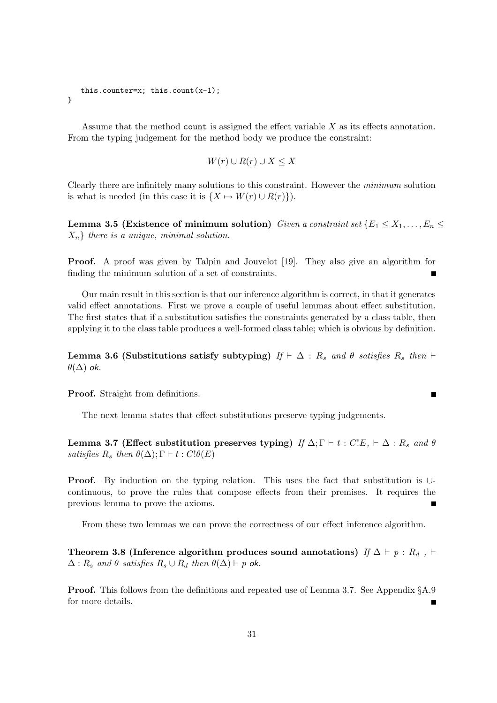```
this.counter=x; this.count(x-1);
}
```
Assume that the method count is assigned the effect variable X as its effects annotation. From the typing judgement for the method body we produce the constraint:

$$
W(r) \cup R(r) \cup X \le X
$$

Clearly there are infinitely many solutions to this constraint. However the minimum solution is what is needed (in this case it is  $\{X \mapsto W(r) \cup R(r)\}\)$ .

Lemma 3.5 (Existence of minimum solution) Given a constraint set  $\{E_1 \le X_1, \ldots, E_n \le$  $X_n$  there is a unique, minimal solution.

Proof. A proof was given by Talpin and Jouvelot [19]. They also give an algorithm for finding the minimum solution of a set of constraints.

Our main result in this section is that our inference algorithm is correct, in that it generates valid effect annotations. First we prove a couple of useful lemmas about effect substitution. The first states that if a substitution satisfies the constraints generated by a class table, then applying it to the class table produces a well-formed class table; which is obvious by definition.

Lemma 3.6 (Substitutions satisfy subtyping) If  $\vdash \Delta : R_s$  and  $\theta$  satisfies  $R_s$  then  $\vdash$  $\theta(\Delta)$  ok.

Proof. Straight from definitions.

The next lemma states that effect substitutions preserve typing judgements.

Lemma 3.7 (Effect substitution preserves typing) If  $\Delta; \Gamma \vdash t : C E, \vdash \Delta : R_s$  and  $\theta$ satisfies  $R_s$  then  $\theta(\Delta)$ ;  $\Gamma \vdash t : C! \theta(E)$ 

Proof. By induction on the typing relation. This uses the fact that substitution is ∪continuous, to prove the rules that compose effects from their premises. It requires the previous lemma to prove the axioms.

From these two lemmas we can prove the correctness of our effect inference algorithm.

Theorem 3.8 (Inference algorithm produces sound annotations) If  $\Delta \vdash p : R_d$ ,  $\vdash$  $\Delta: R_s$  and  $\theta$  satisfies  $R_s \cup R_d$  then  $\theta(\Delta) \vdash p$  ok.

Proof. This follows from the definitions and repeated use of Lemma 3.7. See Appendix §A.9 for more details.

 $\blacksquare$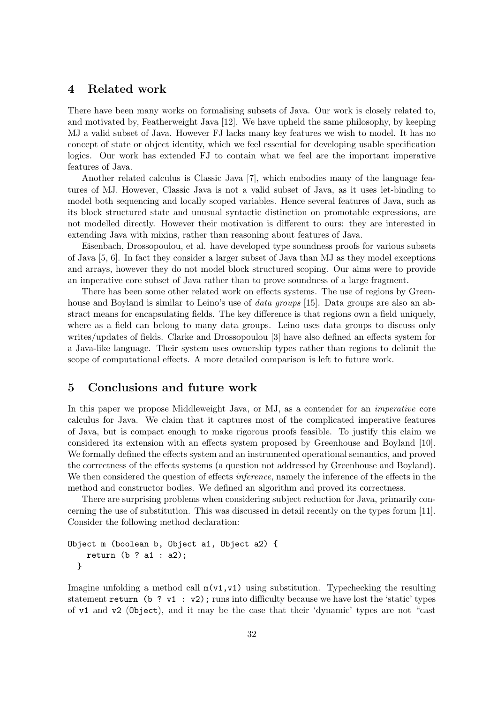# 4 Related work

There have been many works on formalising subsets of Java. Our work is closely related to, and motivated by, Featherweight Java [12]. We have upheld the same philosophy, by keeping MJ a valid subset of Java. However FJ lacks many key features we wish to model. It has no concept of state or object identity, which we feel essential for developing usable specification logics. Our work has extended FJ to contain what we feel are the important imperative features of Java.

Another related calculus is Classic Java [7], which embodies many of the language features of MJ. However, Classic Java is not a valid subset of Java, as it uses let-binding to model both sequencing and locally scoped variables. Hence several features of Java, such as its block structured state and unusual syntactic distinction on promotable expressions, are not modelled directly. However their motivation is different to ours: they are interested in extending Java with mixins, rather than reasoning about features of Java.

Eisenbach, Drossopoulou, et al. have developed type soundness proofs for various subsets of Java [5, 6]. In fact they consider a larger subset of Java than MJ as they model exceptions and arrays, however they do not model block structured scoping. Our aims were to provide an imperative core subset of Java rather than to prove soundness of a large fragment.

There has been some other related work on effects systems. The use of regions by Greenhouse and Boyland is similar to Leino's use of *data groups* [15]. Data groups are also an abstract means for encapsulating fields. The key difference is that regions own a field uniquely, where as a field can belong to many data groups. Leino uses data groups to discuss only writes/updates of fields. Clarke and Drossopoulou [3] have also defined an effects system for a Java-like language. Their system uses ownership types rather than regions to delimit the scope of computational effects. A more detailed comparison is left to future work.

# 5 Conclusions and future work

In this paper we propose Middleweight Java, or MJ, as a contender for an *imperative* core calculus for Java. We claim that it captures most of the complicated imperative features of Java, but is compact enough to make rigorous proofs feasible. To justify this claim we considered its extension with an effects system proposed by Greenhouse and Boyland [10]. We formally defined the effects system and an instrumented operational semantics, and proved the correctness of the effects systems (a question not addressed by Greenhouse and Boyland). We then considered the question of effects *inference*, namely the inference of the effects in the method and constructor bodies. We defined an algorithm and proved its correctness.

There are surprising problems when considering subject reduction for Java, primarily concerning the use of substitution. This was discussed in detail recently on the types forum [11]. Consider the following method declaration:

```
Object m (boolean b, Object a1, Object a2) {
   return (b ? a1 : a2);}
```
Imagine unfolding a method call  $m(v_1,v_1)$  using substitution. Typechecking the resulting statement return (b ? v1 : v2); runs into difficulty because we have lost the 'static' types of v1 and v2 (Object), and it may be the case that their 'dynamic' types are not "cast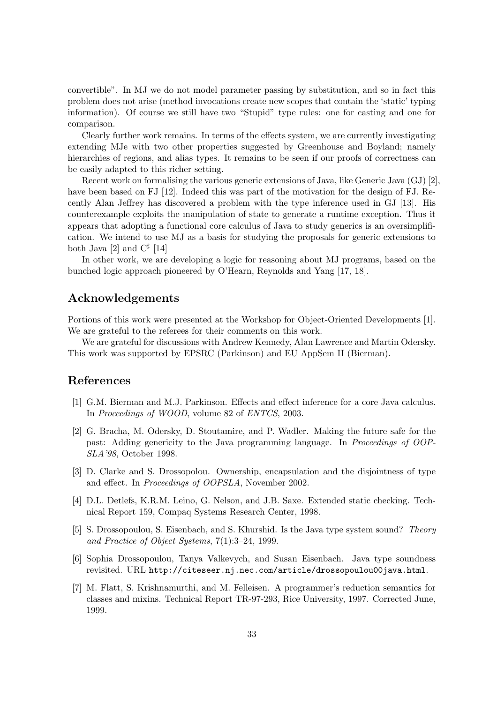convertible". In MJ we do not model parameter passing by substitution, and so in fact this problem does not arise (method invocations create new scopes that contain the 'static' typing information). Of course we still have two "Stupid" type rules: one for casting and one for comparison.

Clearly further work remains. In terms of the effects system, we are currently investigating extending MJe with two other properties suggested by Greenhouse and Boyland; namely hierarchies of regions, and alias types. It remains to be seen if our proofs of correctness can be easily adapted to this richer setting.

Recent work on formalising the various generic extensions of Java, like Generic Java (GJ) [2], have been based on FJ [12]. Indeed this was part of the motivation for the design of FJ. Recently Alan Jeffrey has discovered a problem with the type inference used in GJ [13]. His counterexample exploits the manipulation of state to generate a runtime exception. Thus it appears that adopting a functional core calculus of Java to study generics is an oversimplification. We intend to use MJ as a basis for studying the proposals for generic extensions to both Java [2] and  $C^{\sharp}$  [14]

In other work, we are developing a logic for reasoning about MJ programs, based on the bunched logic approach pioneered by O'Hearn, Reynolds and Yang [17, 18].

# Acknowledgements

Portions of this work were presented at the Workshop for Object-Oriented Developments [1]. We are grateful to the referees for their comments on this work.

We are grateful for discussions with Andrew Kennedy, Alan Lawrence and Martin Odersky. This work was supported by EPSRC (Parkinson) and EU AppSem II (Bierman).

# References

- [1] G.M. Bierman and M.J. Parkinson. Effects and effect inference for a core Java calculus. In Proceedings of WOOD, volume 82 of ENTCS, 2003.
- [2] G. Bracha, M. Odersky, D. Stoutamire, and P. Wadler. Making the future safe for the past: Adding genericity to the Java programming language. In Proceedings of OOP-SLA'98, October 1998.
- [3] D. Clarke and S. Drossopolou. Ownership, encapsulation and the disjointness of type and effect. In Proceedings of OOPSLA, November 2002.
- [4] D.L. Detlefs, K.R.M. Leino, G. Nelson, and J.B. Saxe. Extended static checking. Technical Report 159, Compaq Systems Research Center, 1998.
- [5] S. Drossopoulou, S. Eisenbach, and S. Khurshid. Is the Java type system sound? Theory and Practice of Object Systems, 7(1):3–24, 1999.
- [6] Sophia Drossopoulou, Tanya Valkevych, and Susan Eisenbach. Java type soundness revisited. URL http://citeseer.nj.nec.com/article/drossopoulou00java.html.
- [7] M. Flatt, S. Krishnamurthi, and M. Felleisen. A programmer's reduction semantics for classes and mixins. Technical Report TR-97-293, Rice University, 1997. Corrected June, 1999.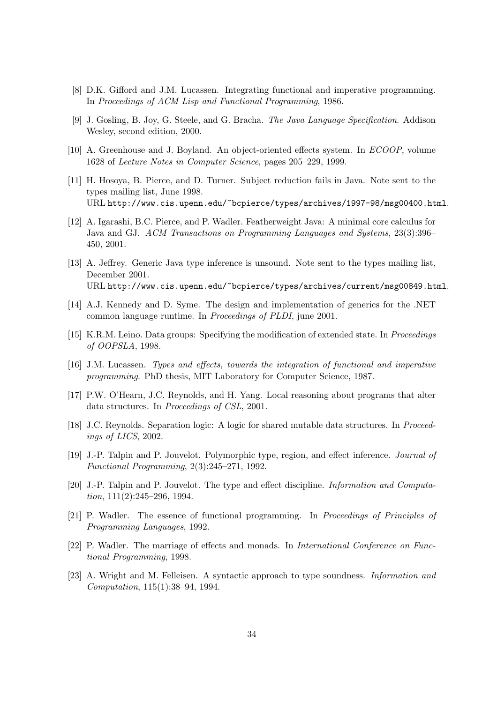- [8] D.K. Gifford and J.M. Lucassen. Integrating functional and imperative programming. In Proceedings of ACM Lisp and Functional Programming, 1986.
- [9] J. Gosling, B. Joy, G. Steele, and G. Bracha. The Java Language Specification. Addison Wesley, second edition, 2000.
- [10] A. Greenhouse and J. Boyland. An object-oriented effects system. In ECOOP, volume 1628 of Lecture Notes in Computer Science, pages 205–229, 1999.
- [11] H. Hosoya, B. Pierce, and D. Turner. Subject reduction fails in Java. Note sent to the types mailing list, June 1998. URL http://www.cis.upenn.edu/~bcpierce/types/archives/1997-98/msg00400.html.
- [12] A. Igarashi, B.C. Pierce, and P. Wadler. Featherweight Java: A minimal core calculus for Java and GJ. ACM Transactions on Programming Languages and Systems, 23(3):396– 450, 2001.
- [13] A. Jeffrey. Generic Java type inference is unsound. Note sent to the types mailing list, December 2001. URL http://www.cis.upenn.edu/~bcpierce/types/archives/current/msg00849.html.
- [14] A.J. Kennedy and D. Syme. The design and implementation of generics for the .NET common language runtime. In Proceedings of PLDI, june 2001.
- [15] K.R.M. Leino. Data groups: Specifying the modification of extended state. In Proceedings of OOPSLA, 1998.
- [16] J.M. Lucassen. Types and effects, towards the integration of functional and imperative programming. PhD thesis, MIT Laboratory for Computer Science, 1987.
- [17] P.W. O'Hearn, J.C. Reynolds, and H. Yang. Local reasoning about programs that alter data structures. In Proceedings of CSL, 2001.
- [18] J.C. Reynolds. Separation logic: A logic for shared mutable data structures. In Proceedings of LICS, 2002.
- [19] J.-P. Talpin and P. Jouvelot. Polymorphic type, region, and effect inference. *Journal of* Functional Programming, 2(3):245–271, 1992.
- [20] J.-P. Talpin and P. Jouvelot. The type and effect discipline. Information and Computation, 111(2):245–296, 1994.
- [21] P. Wadler. The essence of functional programming. In Proceedings of Principles of Programming Languages, 1992.
- [22] P. Wadler. The marriage of effects and monads. In International Conference on Functional Programming, 1998.
- [23] A. Wright and M. Felleisen. A syntactic approach to type soundness. Information and Computation, 115(1):38–94, 1994.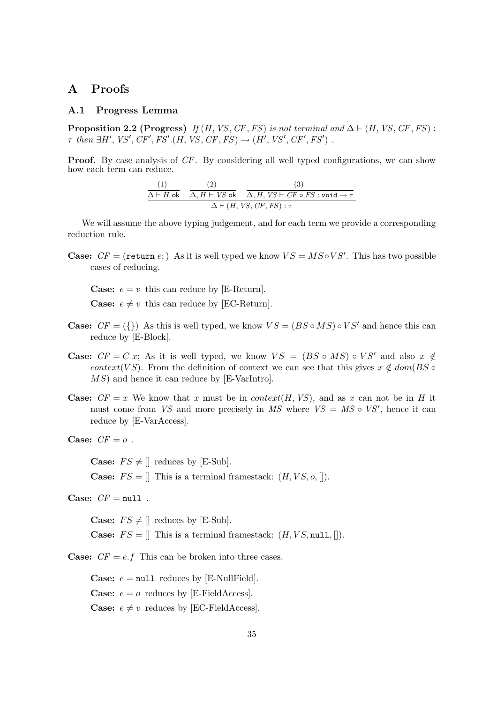# A Proofs

### A.1 Progress Lemma

**Proposition 2.2 (Progress)** If (H, VS, CF, FS) is not terminal and  $\Delta \vdash (H, VS, CF, FS)$ :  $\tau$  then  $\exists H', VS', CF', FS'.(H, VS, CF, FS) \rightarrow (H', VS', CF', FS')$ .

**Proof.** By case analysis of CF. By considering all well typed configurations, we can show how each term can reduce.

$$
\frac{(1)}{\Delta \vdash H \text{ ok}} \quad \frac{(2)}{\Delta, H \vdash VS \text{ ok}} \quad \frac{(3)}{\Delta, H, VS \vdash CF \circ FS : \text{void} \to \tau}
$$
\n
$$
\Delta \vdash (H, VS, CF, FS) : \tau
$$

We will assume the above typing judgement, and for each term we provide a corresponding reduction rule.

**Case:**  $CF = (return e; )$  As it is well typed we know  $VS = MS \circ VS'$ . This has two possible cases of reducing.

**Case:**  $e = v$  this can reduce by [E-Return]. **Case:**  $e \neq v$  this can reduce by [EC-Return].

- **Case:**  $CF = (\{\})$  As this is well typed, we know  $VS = (BS \circ MS) \circ VS'$  and hence this can reduce by [E-Block].
- **Case:**  $CF = C x$ ; As it is well typed, we know  $VS = (BS \circ MS) \circ VS'$  and also  $x \notin$ context(VS). From the definition of context we can see that this gives  $x \notin dom(BS \circ$ MS) and hence it can reduce by [E-VarIntro].
- **Case:**  $CF = x$  We know that x must be in context(H, VS), and as x can not be in H it must come from *VS* and more precisely in *MS* where  $VS = MS \circ VS'$ , hence it can reduce by [E-VarAccess].

Case:  $CF = o$ .

**Case:**  $FS \neq ||$  reduces by [E-Sub]. **Case:**  $FS = \parallel$  This is a terminal framestack:  $(H, VS, o, \parallel)$ .

Case:  $CF = null$ .

**Case:**  $FS \neq ||$  reduces by [E-Sub]. **Case:**  $FS = \Pi$  This is a terminal framestack:  $(H, VS, \text{null}, \Pi)$ .

**Case:**  $CF = e.f$  This can be broken into three cases.

**Case:**  $e = \text{null}$  reduces by [E-NullField]. **Case:**  $e = o$  reduces by [E-FieldAccess]. **Case:**  $e \neq v$  reduces by [EC-FieldAccess].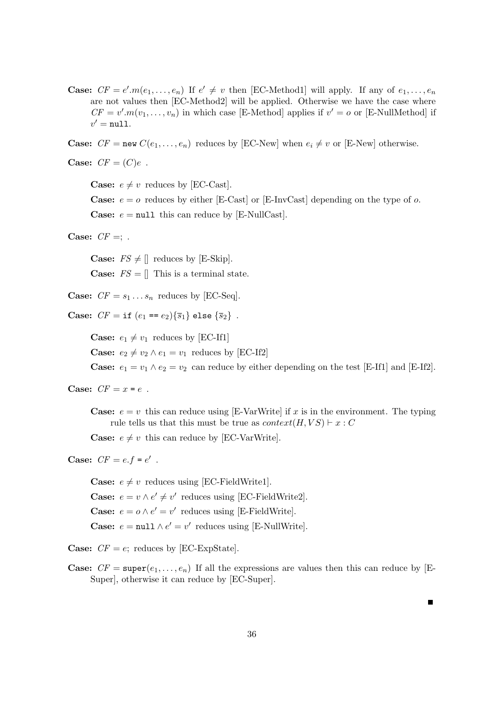**Case:**  $CF = e' \cdot m(e_1, \ldots, e_n)$  If  $e' \neq v$  then [EC-Method1] will apply. If any of  $e_1, \ldots, e_n$ are not values then [EC-Method2] will be applied. Otherwise we have the case where  $CF = v'.m(v_1, \ldots, v_n)$  in which case [E-Method] applies if  $v' = o$  or [E-NullMethod] if  $v' = \texttt{null}.$ 

**Case:**  $CF = new C(e_1, \ldots, e_n)$  reduces by [EC-New] when  $e_i \neq v$  or [E-New] otherwise.

**Case:**  $CF = (C)e$ .

**Case:**  $e \neq v$  reduces by [EC-Cast].

**Case:**  $e = o$  reduces by either [E-Cast] or [E-InvCast] depending on the type of o. **Case:**  $e = \text{null}$  this can reduce by [E-NullCast].

Case:  $CF =$ ; .

**Case:**  $FS \neq ||$  reduces by [E-Skip]. **Case:**  $FS = \parallel$  This is a terminal state.

**Case:**  $CF = s_1 \dots s_n$  reduces by [EC-Seq].

**Case:**  $CF = if (e_1 == e_2) {\overline{s_1}}$  else  ${\overline{s_2}}$ .

**Case:**  $e_1 \neq v_1$  reduces by [EC-If1] **Case:**  $e_2 \neq v_2 \land e_1 = v_1$  reduces by [EC-If2] **Case:**  $e_1 = v_1 \wedge e_2 = v_2$  can reduce by either depending on the test [E-If1] and [E-If2].

Case:  $CF = x = e$ .

**Case:**  $e = v$  this can reduce using [E-VarWrite] if x is in the environment. The typing rule tells us that this must be true as  $context(H, VS) \vdash x : C$ 

**Case:**  $e \neq v$  this can reduce by [EC-VarWrite].

Case:  $CF = e.f = e'$ .

**Case:**  $e \neq v$  reduces using [EC-FieldWrite1]. **Case:**  $e = v \wedge e' \neq v'$  reduces using [EC-FieldWrite2]. **Case:**  $e = o \wedge e' = v'$  reduces using [E-FieldWrite]. **Case:**  $e = \text{null} \land e' = v'$  reduces using [E-NullWrite].

**Case:**  $CF = e$ ; reduces by [EC-ExpState].

**Case:**  $CF = \text{super}(e_1, \ldots, e_n)$  If all the expressions are values then this can reduce by [E-Super], otherwise it can reduce by [EC-Super].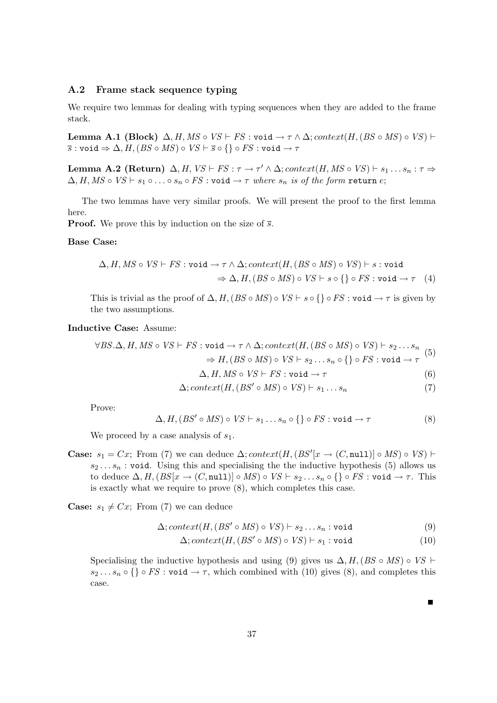### A.2 Frame stack sequence typing

We require two lemmas for dealing with typing sequences when they are added to the frame stack.

Lemma A.1 (Block)  $\Delta$ , H, MS ∘ VS  $\vdash$  FS : void  $\rightarrow \tau \wedge \Delta$ ; context(H, (BS ∘ MS) ∘ VS)  $\vdash$  $\overline{s}$  : void  $\Rightarrow \Delta, H, (BS \circ MS) \circ VS \vdash \overline{s} \circ \{\} \circ FS : \text{void} \to \tau$ 

**Lemma A.2 (Return)**  $\Delta$ ,  $H$ ,  $VS \vdash FS : \tau \to \tau' \wedge \Delta$ ; context $(H, MS \circ VS) \vdash s_1 \dots s_n : \tau \Rightarrow$  $\Delta$ , H, MS  $\circ$  VS  $\vdash$   $s_1 \circ \ldots \circ s_n \circ FS$  : void  $\rightarrow \tau$  where  $s_n$  is of the form return e;

The two lemmas have very similar proofs. We will present the proof to the first lemma here.

**Proof.** We prove this by induction on the size of  $\overline{s}$ .

### Base Case:

$$
\Delta, H, MS \circ VS \vdash FS : \text{void} \rightarrow \tau \wedge \Delta; context(H, (BS \circ MS) \circ VS) \vdash s : \text{void} \n\Rightarrow \Delta, H, (BS \circ MS) \circ VS \vdash s \circ \{\} \circ FS : \text{void} \rightarrow \tau \quad (4)
$$

This is trivial as the proof of  $\Delta$ , H, (BS ◦ MS) ◦ VS  $\vdash$  s ◦ {} ◦ FS : void  $\rightarrow \tau$  is given by the two assumptions.

### Inductive Case: Assume:

$$
\forall BS.\Delta, H, MS \circ VS \vdash FS : \text{void} \to \tau \wedge \Delta; context(H, (BS \circ MS) \circ VS) \vdash s_2 \dots s_n
$$
  

$$
\Rightarrow H, (BS \circ MS) \circ VS \vdash s_2 \dots s_n \circ \{\} \circ FS : \text{void} \to \tau
$$
 (5)

$$
\Delta, H, MS \circ VS \vdash FS : \text{void} \to \tau \tag{6}
$$

$$
\Delta; context(H, (BS' \circ MS) \circ VS) \vdash s_1 \dots s_n \tag{7}
$$

Prove:

$$
\Delta, H, (BS' \circ MS) \circ VS \vdash s_1 \dots s_n \circ \{\} \circ FS : \text{void} \to \tau
$$
 (8)

We proceed by a case analysis of  $s_1$ .

**Case:**  $s_1 = Cx$ ; From (7) we can deduce  $\Delta$ ;  $context(H, (BS'[x \rightarrow (C, null)] \circ MS) \circ VS)$   $\vdash$  $s_2 \ldots s_n$ : void. Using this and specialising the the inductive hypothesis (5) allows us to deduce  $\Delta$ ,  $H$ ,  $(BS[x \rightarrow (C, \text{null})] \circ MS) \circ VS \vdash s_2 \dots s_n \circ \{\} \circ FS : \text{void} \rightarrow \tau$ . This is exactly what we require to prove (8), which completes this case.

**Case:**  $s_1 \neq Cx$ ; From (7) we can deduce

$$
\Delta; context(H, (BS' \circ MS) \circ VS) \vdash s_2 \dots s_n : \text{void} \tag{9}
$$

$$
\Delta; context(H, (BS' \circ MS) \circ VS) \vdash s_1 : \text{void} \tag{10}
$$

Specialising the inductive hypothesis and using (9) gives us  $\Delta$ , H, (BS ◦ MS) ◦ VS  $\vdash$  $s_2 \ldots s_n \circ \{\}\circ FS : \text{void} \to \tau$ , which combined with (10) gives (8), and completes this case.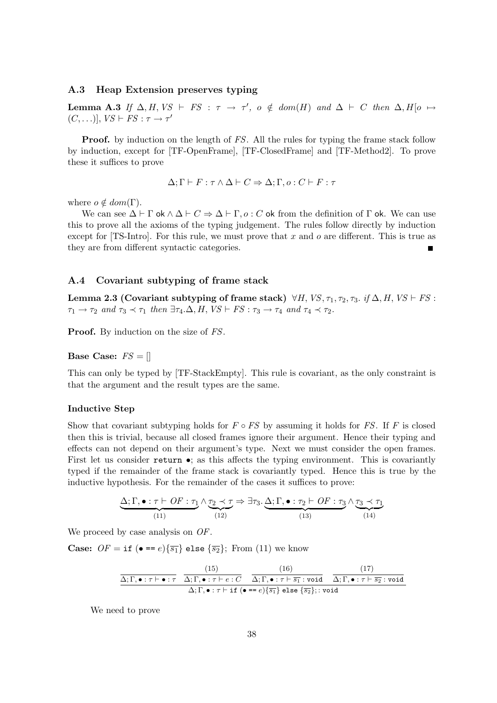# A.3 Heap Extension preserves typing

Lemma A.3 If  $\Delta$ , H, VS  $\vdash$  FS :  $\tau \rightarrow \tau'$ ,  $o \notin dom(H)$  and  $\Delta \vdash C$  then  $\Delta$ , H[ $o \mapsto$  $(C, \ldots)], VS \vdash FS : \tau \to \tau'$ 

**Proof.** by induction on the length of FS. All the rules for typing the frame stack follow by induction, except for [TF-OpenFrame], [TF-ClosedFrame] and [TF-Method2]. To prove these it suffices to prove

$$
\Delta;\Gamma \vdash F:\tau \wedge \Delta \vdash C \Rightarrow \Delta;\Gamma,o:C \vdash F:\tau
$$

where  $o \notin dom(\Gamma)$ .

We can see  $\Delta \vdash \Gamma$  ok  $\wedge \Delta \vdash C \Rightarrow \Delta \vdash \Gamma$ ,  $o: C$  ok from the definition of  $\Gamma$  ok. We can use this to prove all the axioms of the typing judgement. The rules follow directly by induction except for [TS-Intro]. For this rule, we must prove that x and o are different. This is true as they are from different syntactic categories.

### A.4 Covariant subtyping of frame stack

Lemma 2.3 (Covariant subtyping of frame stack)  $\forall H, VS, \tau_1, \tau_2, \tau_3$ . if  $\Delta, H, VS \vdash FS$ :  $\tau_1 \rightarrow \tau_2$  and  $\tau_3 \prec \tau_1$  then  $\exists \tau_4 \Delta, H, VS \vdash FS : \tau_3 \rightarrow \tau_4$  and  $\tau_4 \prec \tau_2$ .

Proof. By induction on the size of  $FS$ .

**Base Case:**  $FS = \Pi$ 

This can only be typed by [TF-StackEmpty]. This rule is covariant, as the only constraint is that the argument and the result types are the same.

### Inductive Step

Show that covariant subtyping holds for  $F \circ FS$  by assuming it holds for FS. If F is closed then this is trivial, because all closed frames ignore their argument. Hence their typing and effects can not depend on their argument's type. Next we must consider the open frames. First let us consider return  $\bullet$ ; as this affects the typing environment. This is covariantly typed if the remainder of the frame stack is covariantly typed. Hence this is true by the inductive hypothesis. For the remainder of the cases it suffices to prove:

$$
\underbrace{\Delta; \Gamma, \bullet : \tau \vdash \mathit{OF} : \tau_1 \land \tau_2 \prec \tau}_{(11)} \Rightarrow \exists \tau_3. \underbrace{\Delta; \Gamma, \bullet : \tau_2 \vdash \mathit{OF} : \tau_3 \land \tau_3 \prec \tau_1}_{(13)} \land \underbrace{\tau_3 \prec \tau_1}_{(14)}
$$

We proceed by case analysis on  $OF$ .

**Case:**  $OF = \text{if } (\bullet == e) \{\overline{s_1}\}$  else  $\{\overline{s_2}\}$ ; From (11) we know

$$
\frac{\Delta; \Gamma, \bullet: \tau \vdash \bullet: \tau \quad \frac{(15)}{\Delta; \Gamma, \bullet: \tau \vdash e: C} \quad \frac{(16)}{\Delta; \Gamma, \bullet: \tau \vdash \overline{s_1}: \text{void}} \quad \frac{(17)}{\Delta; \Gamma, \bullet: \tau \vdash \overline{s_2}: \text{void}}}{\Delta; \Gamma, \bullet: \tau \vdash \text{if } (\bullet == e) \{ \overline{s_1} \} \text{ else } \{ \overline{s_2} \};: \text{void}}
$$

We need to prove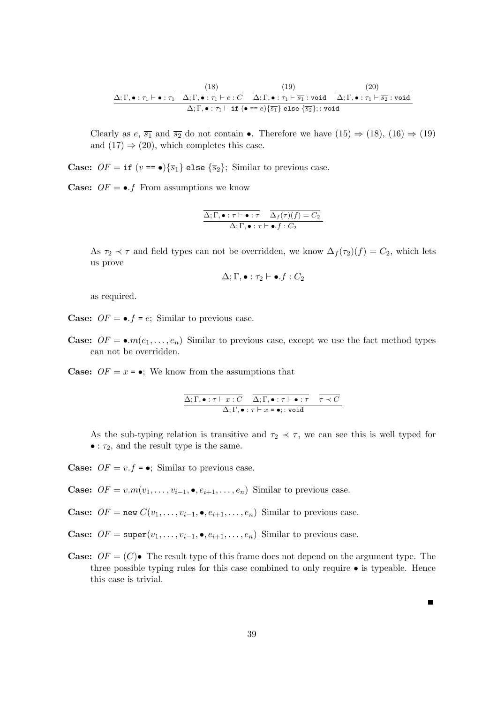$$
\frac{\overbrace{\Delta; \Gamma, \bullet : \tau_1 \vdash \bullet : \tau_1}^{(18)} \quad \overbrace{\Delta; \Gamma, \bullet : \tau_1 \vdash e : C}^{(19)} \quad \overbrace{\Delta; \Gamma, \bullet : \tau_1 \vdash \overline{s_1} : \text{void}}^{(19)} \quad \overbrace{\Delta; \Gamma, \bullet : \tau_1 \vdash \overline{s_2} : \text{void}}^{(20)} }{\Delta; \Gamma, \bullet : \tau_1 \vdash \text{if } (\bullet == e) \{ \overline{s_1} \} \text{ else } \{ \overline{s_2} \} : \text{void}}
$$

Clearly as  $e, \overline{s_1}$  and  $\overline{s_2}$  do not contain •. Therefore we have  $(15) \Rightarrow (18), (16) \Rightarrow (19)$ and  $(17) \Rightarrow (20)$ , which completes this case.

**Case:**  $OF = \textbf{if } (v == \bullet) {\overline{s}_1} \textbf{else } {\overline{s}_2};$  Similar to previous case.

**Case:**  $OF = \bullet.f$  From assumptions we know

$$
\frac{\Delta; \Gamma, \bullet: \tau \vdash \bullet: \tau}{\Delta; \Gamma, \bullet: \tau \vdash \bullet, f: C_2} \cdot \frac{\Delta_f(\tau)(f) = C_2}{\Delta; \Gamma, \bullet: \tau \vdash \bullet, f: C_2}
$$

As  $\tau_2 \prec \tau$  and field types can not be overridden, we know  $\Delta_f(\tau_2)(f) = C_2$ , which lets us prove

$$
\Delta;\Gamma,\bullet:\tau_2\vdash\bullet.f:C_2
$$

as required.

**Case:**  $OF = \bullet.f = e$ ; Similar to previous case.

**Case:**  $OF = \bullet.m(e_1, \ldots, e_n)$  Similar to previous case, except we use the fact method types can not be overridden.

**Case:**  $OF = x = \bullet$ ; We know from the assumptions that

$$
\frac{\Delta; \Gamma, \bullet : \tau \vdash x : C \quad \overline{\Delta; \Gamma, \bullet : \tau \vdash \bullet : \tau} \quad \overline{\tau \prec C}}{\Delta; \Gamma, \bullet : \tau \vdash x = \bullet; : \text{void}}
$$

As the sub-typing relation is transitive and  $\tau_2 \prec \tau$ , we can see this is well typed for  $\bullet$  :  $\tau_2$ , and the result type is the same.

**Case:**  $OF = v.f = \bullet$ ; Similar to previous case.

**Case:**  $OF = v.m(v_1, \ldots, v_{i-1}, \bullet, e_{i+1}, \ldots, e_n)$  Similar to previous case.

Case:  $OF = new C(v_1, \ldots, v_{i-1}, \bullet, e_{i+1}, \ldots, e_n)$  Similar to previous case.

**Case:**  $OF = \text{super}(v_1, \ldots, v_{i-1}, \bullet, e_{i+1}, \ldots, e_n)$  Similar to previous case.

**Case:**  $OF = (C)$  The result type of this frame does not depend on the argument type. The three possible typing rules for this case combined to only require • is typeable. Hence this case is trivial.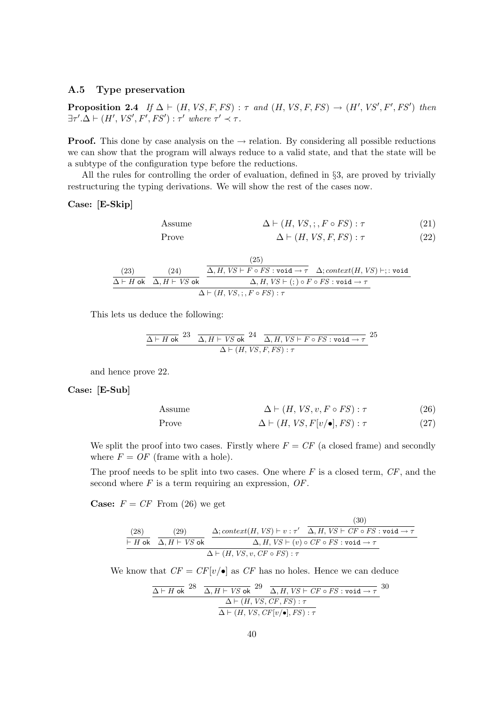### A.5 Type preservation

Proposition 2.4 If  $\Delta \vdash (H, VS, F, FS) : \tau$  and  $(H, VS, F, FS) \rightarrow (H', VS', F', FS')$  then  $\exists \tau'. \Delta \vdash (H',\mathit{VS}',\mathit{F}',\mathit{FS}') : \tau'$  where  $\tau' \prec \tau$ .

**Proof.** This done by case analysis on the  $\rightarrow$  relation. By considering all possible reductions we can show that the program will always reduce to a valid state, and that the state will be a subtype of the configuration type before the reductions.

All the rules for controlling the order of evaluation, defined in §3, are proved by trivially restructuring the typing derivations. We will show the rest of the cases now.

### Case: [E-Skip]

Assume 
$$
\Delta \vdash (H, VS, ; F \circ FS) : \tau
$$
 (21)  
Prove 
$$
\Delta \vdash (H, VS, F, FS) : \tau
$$
 (22)

(23)  
\n
$$
\frac{(24)}{\Delta \vdash H \text{ ok}} \frac{(24)}{\Delta, H \vdash VS \text{ ok}} \frac{\overbrace{\Delta, H, VS \vdash F \circ FS : \text{void} \rightarrow \tau}^{(25)} \Delta; context(H, VS) \vdash; : \text{void}}{\Delta, H, VS \vdash (;) \circ F \circ FS : \text{void} \rightarrow \tau}
$$

This lets us deduce the following:

$$
\frac{\Delta \vdash H \text{ ok}}{4} \frac{23}{\Delta, H \vdash VS \text{ ok}} \frac{24}{\Delta, H, VS \vdash F \circ FS : \text{void} \to \tau}{\Delta \vdash (H, VS, F, FS) : \tau} 25
$$

and hence prove 22.

Case: [E-Sub]

Assume 
$$
\Delta \vdash (H, VS, v, F \circ FS) : \tau
$$
 (26)

Prove 
$$
\Delta \vdash (H, VS, F[v/\bullet], FS) : \tau
$$
 (27)

We split the proof into two cases. Firstly where  $F = CF$  (a closed frame) and secondly where  $F = OF$  (frame with a hole).

The proof needs to be split into two cases. One where  $F$  is a closed term,  $CF$ , and the second where  $F$  is a term requiring an expression,  $OF$ .

**Case:**  $F = CF$  From (26) we get

(30)  
\n
$$
\frac{(28)}{\vdash H \text{ ok }} \frac{(29)}{\Delta, H \vdash VS \text{ ok }} \frac{\Delta; context(H, VS) \vdash v : \tau' \overline{\Delta, H, VS \vdash CF \circ FS : \text{void } \rightarrow \tau}}{\Delta, H, VS \vdash (v) \circ CF \circ FS : \text{void } \rightarrow \tau}
$$
\n
$$
\Delta \vdash (H, VS, v, CF \circ FS) : \tau
$$

We know that  $CF = CF[v/\bullet]$  as CF has no holes. Hence we can deduce

$$
\frac{\Delta \vdash H \text{ ok}}{4} \frac{28}{\Delta, H \vdash VS \text{ ok}} \frac{29}{\Delta, H, VS \vdash CF \circ FS : \text{void} \to \tau}{\Delta \vdash (H, VS, CF, FS) : \tau}
$$
\n
$$
\frac{\Delta \vdash (H, VS, CF[v/\bullet], FS) : \tau}{\Delta \vdash (H, VS, CF[v/\bullet], FS) : \tau}
$$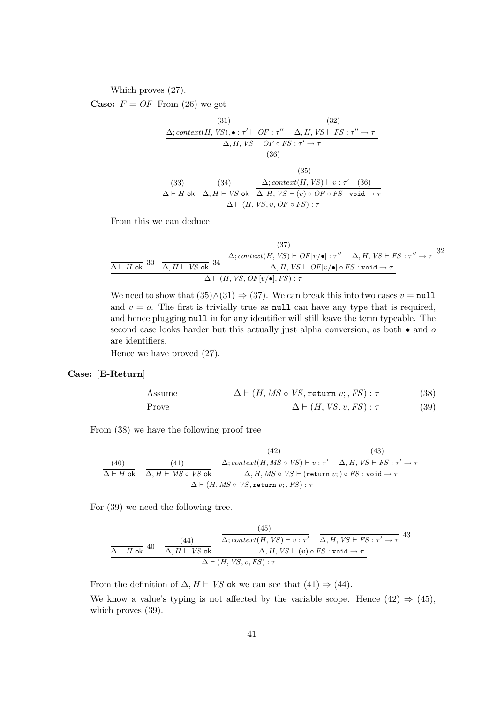### Which proves (27).

**Case:**  $F = OF$  From (26) we get

(31)  
\n
$$
\frac{(31)}{\Delta; context(H, VS), \bullet : \tau' \vdash OF : \tau'' \quad \Delta, H, VS \vdash FS : \tau'' \rightarrow \tau}
$$
\n
$$
\frac{\Delta, H, VS \vdash OF \circ FS : \tau' \rightarrow \tau}{(36)}
$$
\n(35)  
\n(33)  
\n(34)  
\n(35)  
\n(36)  
\n(37)  
\n(38)  
\n(39)  
\n(35)  
\n(36)  
\n(37)  
\n(38)  
\n(39)  
\n(35)  
\n(36)  
\n(39)  
\n(35)  
\n(36)  
\n(36)  
\n(37)  
\n(38)  
\n(39)  
\n(39)  
\n(35)  
\n(36)  
\n(36)  
\n(37)  
\n(36)  
\n(38)  
\n(39)  
\n(39)  
\n(35)  
\n(36)  
\n(36)  
\n(37)  
\n(36)  
\n(38)  
\n(39)  
\n(39)  
\n(39)  
\n(39)  
\n(39)  
\n(30)  
\n(35)  
\n(36)  
\n(36)  
\n(37)  
\n(38)  
\n(39)  
\n(39)  
\n(39)  
\n(39)  
\n(39)  
\n(39)  
\n(39)  
\n(39)  
\n(39)  
\n(39)  
\n(39)  
\n(39)  
\n(39)  
\n(39)  
\n(39)  
\n(39)  
\n(39)  
\n(39)  
\n(39)  
\n(39)  
\n(39)  
\n(39)  
\n(39)  
\n(39)  
\n(39)  
\n(39)  
\n(39)  
\n(39)  
\n(39)  
\n(39)  
\n(39)  
\n(39)  
\n(39)  
\n(39)  
\n(39)  
\n(39)  
\n(39)  
\n(39)  
\n(39)  
\n(30)  
\n(30)  
\n(37)  
\n(39)  
\n(39)  
\n(39)  
\n(39)  
\n(30)  
\n

From this we can deduce

$$
\frac{(37)}{\Delta \vdash H \text{ ok}} 33 \quad \frac{\Delta; context(H, VS) \vdash OF[v/\bullet]: \tau'' \quad \Delta, H, VS \vdash FS : \tau'' \to \tau}{\Delta, H, VS \vdash FS : \tau'' \to \tau} 32
$$
\n
$$
\frac{\Delta, H, VS \vdash OF[v/\bullet] \circ FS : \text{void} \to \tau}{\Delta \vdash (H, VS, OF[v/\bullet], FS) : \tau}
$$

We need to show that  $(35)\wedge(31) \Rightarrow (37)$ . We can break this into two cases  $v = \text{null}$ and  $v = o$ . The first is trivially true as null can have any type that is required, and hence plugging null in for any identifier will still leave the term typeable. The second case looks harder but this actually just alpha conversion, as both  $\bullet$  and  $\omicron$ are identifiers.

Hence we have proved (27).

### Case: [E-Return]

Assume 
$$
\Delta \vdash (H, MS \circ VS, \text{return } v; , FS) : \tau
$$
 (38)  
Prove 
$$
\Delta \vdash (H, VS, v, FS) : \tau
$$
 (39)

From (38) we have the following proof tree

(43)  
\n
$$
\begin{array}{c}\n (40) \quad (41) \quad \Delta; context(H, MS \circ VS) \vdash v : \tau' \quad \Delta, H, VS \vdash FS : \tau' \to \tau \\
 \Delta \vdash H \text{ ok} \quad \Delta, H \vdash MS \circ VS \text{ ok} \quad \Delta, H, MS \circ VS \vdash (\text{return } v; ) \circ FS : \text{void} \to \tau \\
 \Delta \vdash (H, MS \circ VS, \text{return } v; , FS) : \tau\n \end{array}
$$

For (39) we need the following tree.

$$
\frac{(43)}{\Delta \vdash H \text{ ok}} \quad 40 \quad \frac{(44)}{\Delta, H \vdash V S \text{ ok}} \quad \frac{\overbrace{\Delta; context(H, VS) \vdash v : \tau'}{\Delta, H, VS \vdash FS : \tau' \rightarrow \tau}} \quad 43
$$
\n
$$
\Delta \vdash (H, VS, v, FS) : \tau
$$

From the definition of  $\Delta$ ,  $H \vdash VS$  ok we can see that (41)  $\Rightarrow$  (44).

We know a value's typing is not affected by the variable scope. Hence  $(42) \Rightarrow (45)$ , which proves  $(39)$ .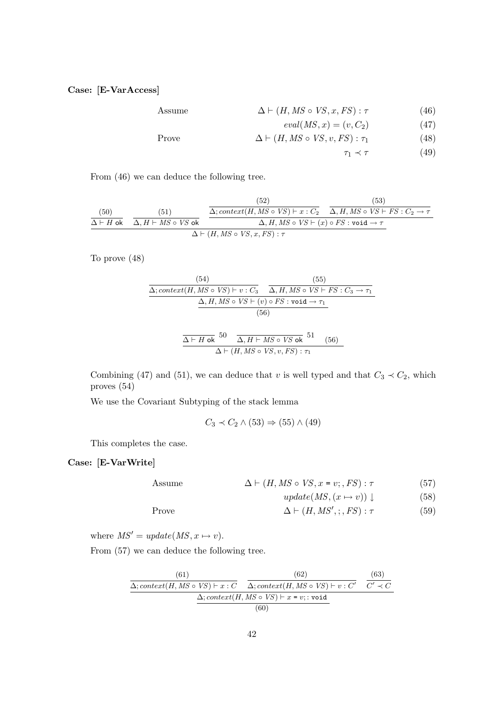# Case: [E-VarAccess]

Assume 
$$
\Delta \vdash (H, MS \circ VS, x, FS) : \tau
$$
 (46)

$$
eval(MS, x) = (v, C_2) \tag{47}
$$

$$
\Delta \vdash (H, MS \circ VS, v, FS) : \tau_1 \tag{48}
$$

$$
\tau_1 \prec \tau \tag{49}
$$

From (46) we can deduce the following tree.

(53)  
\n
$$
\frac{(50)}{\Delta \vdash H \text{ ok}} \quad \frac{(51)}{\Delta, H \vdash MS \circ VS \text{ ok}} \quad \frac{\Delta; context(H, MS \circ VS) \vdash x : C_2}{\Delta, H, MS \circ VS \vdash (x) \circ FS : \text{void} \rightarrow \tau} \quad \frac{(53)}{\Delta \vdash (H, MS \circ VS) \vdash x : C_2 \rightarrow \tau}
$$

To prove (48)

$$
\frac{(54)}{\Delta; context(H, MS \circ VS) \vdash v : C_3} \quad \frac{(55)}{\Delta, H, MS \circ VS \vdash FS : C_3 \rightarrow \tau_1}
$$
\n
$$
\frac{\Delta, H, MS \circ VS \vdash (v) \circ FS : \text{void} \rightarrow \tau_1}{(56)}
$$
\n
$$
\frac{\Delta \vdash H \text{ ok}}{\Delta \vdash (H, MS \circ VS, v, FS) : \tau_1} \quad (56)
$$

Combining (47) and (51), we can deduce that v is well typed and that  $C_3 \prec C_2$ , which proves (54)

We use the Covariant Subtyping of the stack lemma

$$
C_3 \prec C_2 \wedge (53) \Rightarrow (55) \wedge (49)
$$

This completes the case.

# Case: [E-VarWrite]

Assume  $\Delta \vdash (H, MS \circ VS, x = v; , FS) : \tau$  (57)

$$
update(MS, (x \mapsto v)) \downarrow \tag{58}
$$

Prove 
$$
\Delta \vdash (H, MS'; ; FS) : \tau
$$
 (59)

where  $MS' = update(MS, x \mapsto v)$ .

From (57) we can deduce the following tree.

(61)  
\n
$$
\Delta; context(H, MS \circ VS) \vdash x : C
$$
\n
$$
\Delta; context(H, MS \circ VS) \vdash x = v; : void
$$
\n
$$
\Delta; context(H, MS \circ VS) \vdash x = v; : void
$$
\n(60)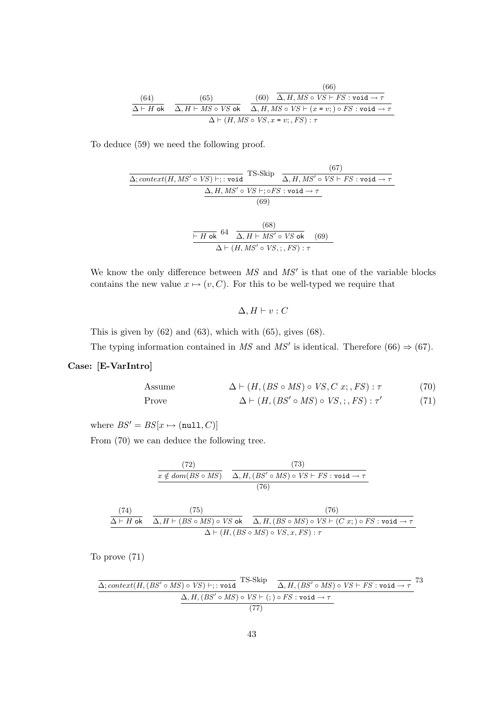(66)  
\n
$$
\begin{array}{c|c}\n(64) & (65) & (60) & \overline{\Delta, H, MS \circ VS + FS : \text{void} \to \tau} \\
\hline\n\Delta + H \text{ ok} & \Delta, H + MS \circ VS \text{ ok} & \Delta, H, MS \circ VS + (x = v; ) \circ FS : \text{void} \to \tau \\
\Delta + (H, MS \circ VS, x = v; , FS) : \tau\n\end{array}
$$

To deduce (59) we need the following proof.

$$
\frac{\Delta; context(H, MS' \circ VS) \vdash; : \text{void} \quad \text{TS-Skip}}{\Delta, H, MS' \circ VS \vdash; \text{e's: void} \rightarrow \tau}
$$
\n
$$
\frac{\Delta, H, MS' \circ VS \vdash; \text{e's: void} \rightarrow \tau}{(69)}
$$
\n
$$
\frac{\vdash H \text{ ok}}{\Delta, H \vdash MS' \circ VS \text{ ok}} \quad (69)
$$
\n
$$
\frac{\vdash H \text{ ok}}{\Delta \vdash (H, MS' \circ VS; ; FS) : \tau}
$$

We know the only difference between  $MS$  and  $MS'$  is that one of the variable blocks contains the new value  $x \mapsto (v, C)$ . For this to be well-typed we require that

$$
\Delta, H \vdash v : C
$$

This is given by  $(62)$  and  $(63)$ , which with  $(65)$ , gives  $(68)$ .

The typing information contained in MS and MS' is identical. Therefore  $(66) \Rightarrow (67)$ .

### Case: [E-VarIntro]

Assume 
$$
\Delta \vdash (H, (BS \circ MS) \circ VS, C x; , FS) : \tau
$$
 (70)

Prove  $\Delta \vdash (H, (BS' \circ MS) \circ VS, ;, FS) : \tau'$ (71)

where  $BS' = BS[x \mapsto (null, C)]$ 

From (70) we can deduce the following tree.

$$
\frac{(72)}{x \notin dom(BS \circ MS)} \quad \frac{(73)}{\Delta, H, (BS' \circ MS) \circ VS \vdash FS : \text{void} \to \tau}
$$
\n
$$
\frac{(76)}{}
$$

$$
\begin{array}{c|c}\n(74) & (75) & (76) \\
\hline\n\Delta \vdash H \text{ ok} & \Delta, H \vdash (BS \circ MS) \circ VS \text{ ok} & \Delta, H, (BS \circ MS) \circ VS \vdash (C x; ) \circ FS : \text{void} \rightarrow \tau \\
\Delta \vdash (H, (BS \circ MS) \circ VS, x, FS) : \tau\n\end{array}
$$

To prove (71)

$$
\Delta; context(H, (BS' \circ MS) \circ VS) \vdash; : void \qquad \qquad TS-Skip \qquad \overline{\Delta, H, (BS' \circ MS) \circ VS \vdash FS : void \rightarrow \tau} \qquad \qquad 73
$$
  

$$
\Delta, H, (BS' \circ MS) \circ VS \vdash); \qquad \qquad \overline{\Delta, H, (BS' \circ MS) \circ VS \vdash \tau};
$$
  

$$
(77)
$$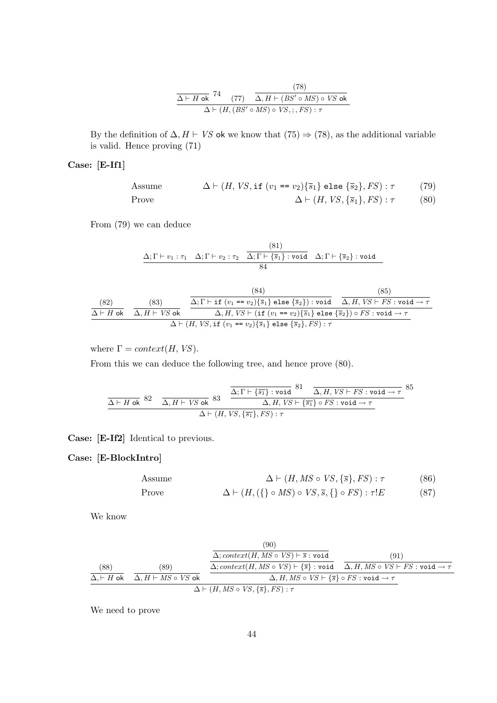$$
\frac{\Delta \vdash H \text{ ok}}{\Delta \vdash (H, (BS' \circ MS) \circ VS \text{ ok}} \cdot \frac{(78)}{\Delta \vdash (H, (BS' \circ MS) \circ VS, \cdot, FS) : \tau}
$$

By the definition of  $\Delta$ ,  $H \vdash VS$  ok we know that (75)  $\Rightarrow$  (78), as the additional variable is valid. Hence proving (71)

# Case: [E-If1]

Assume 
$$
\Delta \vdash (H, VS, \text{if } (v_1 == v_2) \{ \overline{s}_1 \} \text{ else } \{ \overline{s}_2 \}, FS) : \tau
$$
 (79)

Prove 
$$
\Delta \vdash (H, VS, \{\overline{s}_1\}, FS) : \tau \tag{80}
$$

From  $(79)$  we can deduce

$$
\underline{\Delta;\Gamma\vdash v_1:\tau_1\quad\Delta;\Gamma\vdash v_2:\tau_2\quad\frac{\text{(81)}}{\Delta;\Gamma\vdash \{\overline{s}_1\}: \text{void}\quad\Delta;\Gamma\vdash \{\overline{s}_2\}: \text{void}\quad}}{84}
$$

(83) (84) (85)  
\n
$$
\frac{\Delta; \Gamma \vdash \text{if } (v_1 == v_2) \{ \overline{s}_1 \} \text{ else } \{ \overline{s}_2 \} ) : \text{void } \overline{\Delta}, H, VS \vdash FS : \text{void } \rightarrow \tau
$$
\n
$$
\frac{\Delta \vdash H \text{ ok}}{\Delta, H \vdash VS \text{ ok}} \frac{\Delta, H, VS \vdash (\text{if } (v_1 == v_2) \{ \overline{s}_1 \} \text{ else } \{ \overline{s}_2 \} ) \circ FS : \text{void } \rightarrow \tau}{\Delta \vdash (H, VS, \text{if } (v_1 == v_2) \{ \overline{s}_1 \} \text{ else } \{ \overline{s}_2 \}, FS) : \tau}
$$

where  $\Gamma = context(H, VS)$ .

From this we can deduce the following tree, and hence prove (80).

$$
\frac{\overline{\Delta \vdash H \text{ ok}} \ 82}{\Delta \vdash H \text{ ok}} \ \frac{\overline{\Delta}; \Gamma \vdash \overline{\{s_1\}} : \text{void} \ 81 \quad \overline{\Delta}, H, \text{VS} \vdash \text{FS} : \text{void} \rightarrow \tau}{\Delta, H, \text{VS} \vdash \overline{\{s_1\}} \circ \text{FS} : \text{void} \rightarrow \tau} 85
$$
\n
$$
\Delta \vdash (H, \text{VS}, \overline{\{s_1\}}, \text{FS}) : \tau
$$

Case: [E-If2] Identical to previous.

# Case: [E-BlockIntro]

Assume  $\Delta \vdash (H, MS \circ VS, \{\overline{s}\}, FS) : \tau$  (86)

Prove 
$$
\Delta \vdash (H, (\{\}\circ MS) \circ VS, \overline{s}, \{\}\circ FS) : \tau!E
$$
 (87)

We know

(88)  
\n
$$
\frac{(89)}{\Delta, H \text{ ok}} \quad \frac{(\text{89})}{\Delta, H \vdash MS \circ VS \text{ ok}} \quad \frac{\Delta; context(H, MS \circ VS) \vdash \overline{s} : \text{void}}{\Delta, H, MS \circ VS \vdash \overline{s} : \text{void}} \quad \frac{(91)}{\Delta, H, MS \circ VS \vdash FS : \text{void} \rightarrow \tau} \quad \frac{(\text{90})}{\Delta, H, MS \circ VS \vdash \overline{s} \circ FS : \text{void} \rightarrow \tau}
$$

We need to prove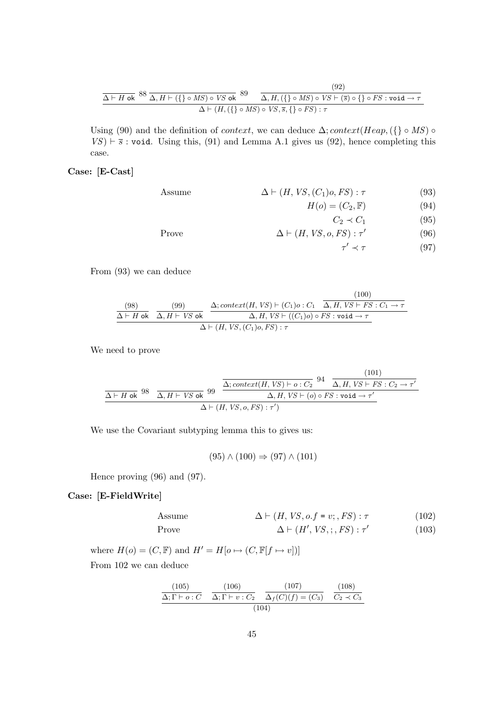$$
\frac{\Delta \vdash H \text{ ok}}{\Delta \vdash H \text{ ok}} \frac{88}{\Delta, H \vdash (\{\}\circ MS) \circ VS \text{ ok}} \frac{89}{\Delta, H, (\{\}\circ MS) \circ VS \vdash (\overline{s}) \circ \{\}\circ FS : \text{void} \rightarrow \tau}{\Delta \vdash (H, (\{\}\circ MS) \circ VS, \overline{s}, \{\}\circ FS) : \tau}
$$
\n(92)

Using (90) and the definition of *context*, we can deduce  $\Delta$ ; *context*(Heap, { } ◦ MS) ◦  $VS$ )  $\vdash$   $\overline{s}$  : void. Using this, (91) and Lemma A.1 gives us (92), hence completing this case.

### Case: [E-Cast]

Assume  $\Delta \vdash (H, VS, (C_1)o, FS) : \tau$  (93)

 $H(o) = (C_2, \mathbb{F})$  (94)

$$
C_2 \prec C_1 \tag{95}
$$

Prove 
$$
\Delta \vdash (H, VS, o, FS) : \tau'
$$
 (96)

$$
\tau' \prec \tau \tag{97}
$$

From (93) we can deduce

$$
\frac{(98)}{\Delta \vdash H \text{ ok}} \quad \frac{(99)}{\Delta, H \vdash VS \text{ ok}} \quad \frac{\Delta; context(H, VS) \vdash (C_1)o : C_1 \quad \overline{\Delta, H, VS \vdash FS : C_1 \rightarrow \tau}}{\Delta, H, VS \vdash ((C_1)o) \circ FS : \text{void} \rightarrow \tau} \quad \Delta \vdash (H, VS, (C_1)o, FS) : \tau
$$

We need to prove

$$
\frac{\Delta \vdash H \text{ ok}}{\Delta \vdash H \text{ ok}} 98 \quad \frac{\Delta; context(H, VS) \vdash o: C_2}{\Delta, H, VS \vdash (o) \circ FS : void \rightarrow \tau'} \quad \frac{(101)}{\Delta \vdash (H, VS), o, FS) : \tau')}
$$

We use the Covariant subtyping lemma this to gives us:

 $(95) \wedge (100) \Rightarrow (97) \wedge (101)$ 

Hence proving (96) and (97).

### Case: [E-FieldWrite]

Assume 
$$
\Delta \vdash (H, VS, o.f = v; , FS) : \tau
$$
 (102)  
Prove 
$$
\Delta \vdash (H', VS, ; , FS) : \tau'
$$
 (103)

$$
\Delta \vdash (H',\, V\,S,\,;\, F\,S) : \tau' \tag{103}
$$

where  $H(o) = (C, \mathbb{F})$  and  $H' = H[o \mapsto (C, \mathbb{F}[f \mapsto v])]$ From 102 we can deduce

$$
\frac{(105)}{\Delta; \Gamma \vdash o: C} \quad \frac{(106)}{\Delta; \Gamma \vdash v: C_2} \quad \frac{(107)}{\Delta_f(C)(f) = (C_3)} \quad \frac{(108)}{C_2 \prec C_3}
$$
\n
$$
(104)
$$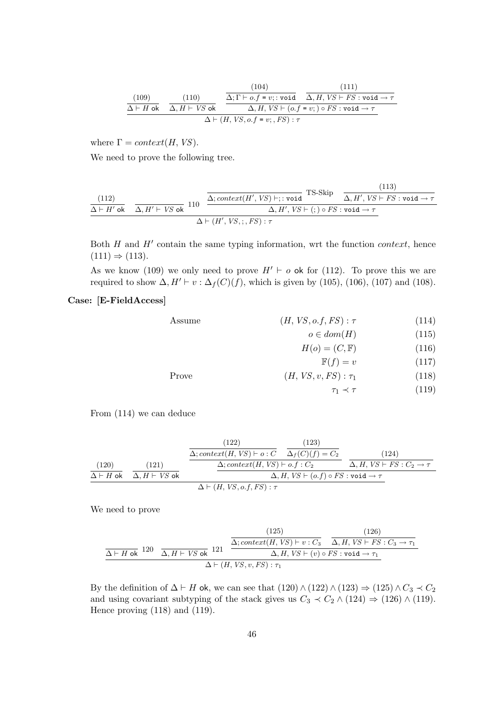(109)  
\n
$$
\frac{(100)}{\Delta \vdash H \text{ ok}} \quad \frac{(110)}{\Delta, H \vdash VS \text{ ok}} \quad \frac{\overbrace{\Delta; \Gamma \vdash o.f = v; : \text{void}}{\Delta, H, VS \vdash (o.f = v;) \circ FS : \text{void} \to \tau}}{\Delta \vdash (H, VS, o.f = v; , FS) : \tau}
$$
\n(111)

where  $\Gamma = context(H, VS)$ .

We need to prove the following tree.

$$
\frac{(112)}{\Delta \vdash H' \text{ ok}} \quad \frac{\Delta, H' \vdash VS \text{ ok}}{\Delta, H' \vdash VS \text{ ok}} \quad 110 \quad \frac{\Delta; context(H', VS) \vdash; : \text{void}}{\Delta, H', VS \vdash (;) \circ FS : \text{void} \rightarrow \tau} \quad \frac{(113)}{\Delta \vdash (H', VS, ;, FS) : \tau}
$$

Both  $H$  and  $H'$  contain the same typing information, wrt the function *context*, hence  $(111) \Rightarrow (113).$ 

As we know (109) we only need to prove  $H' \vdash o$  ok for (112). To prove this we are required to show  $\Delta, H' \vdash v : \Delta_f(C)(f)$ , which is given by (105), (106), (107) and (108).

# Case: [E-FieldAccess]

| Assume | $(H, VS, o.f, FS): \tau$ | (114) |
|--------|--------------------------|-------|
|--------|--------------------------|-------|

$$
o \in dom(H) \tag{115}
$$

$$
H(o) = (C, \mathbb{F}) \tag{116}
$$

$$
\mathbb{F}(f) = v \tag{117}
$$

$$
Prove \qquad (H, VS, v, FS) : \tau_1 \qquad (118)
$$

$$
\tau_1 \prec \tau \tag{119}
$$

From (114) we can deduce

(120) ∆ ` H ok (121) ∆, H ` VS ok (122) ∆; context(H, VS) ` o : C (123) ∆<sup>f</sup> (C)(f) = C<sup>2</sup> ∆; context(H, VS) ` o.f : C<sup>2</sup> (124) ∆, H, VS ` FS : C<sup>2</sup> → τ ∆, H, VS ` (o.f) ◦ FS : void → τ ∆ ` (H, VS, o.f, FS) : τ

We need to prove

$$
\frac{\text{(125)}}{\Delta \vdash H \text{ ok}} \cdot 120 \quad \frac{\text{(126)}}{\Delta, H \vdash VS \text{ ok}} \cdot 121 \quad \frac{\Delta; context(H, VS) \vdash v : C_3}{\Delta, H, VS \vdash (v) \circ FS : \text{void} \rightarrow \tau_1} \quad \frac{\Delta, H, VS \vdash (v) \circ FS : \text{void} \rightarrow \tau_1}{\Delta \vdash (H, VS, v, FS) : \tau_1}
$$

By the definition of  $\Delta \vdash H$  ok, we can see that  $(120) \wedge (122) \wedge (123) \Rightarrow (125) \wedge C_3 \prec C_2$ and using covariant subtyping of the stack gives us  $C_3 \prec C_2 \wedge (124) \Rightarrow (126) \wedge (119)$ . Hence proving (118) and (119).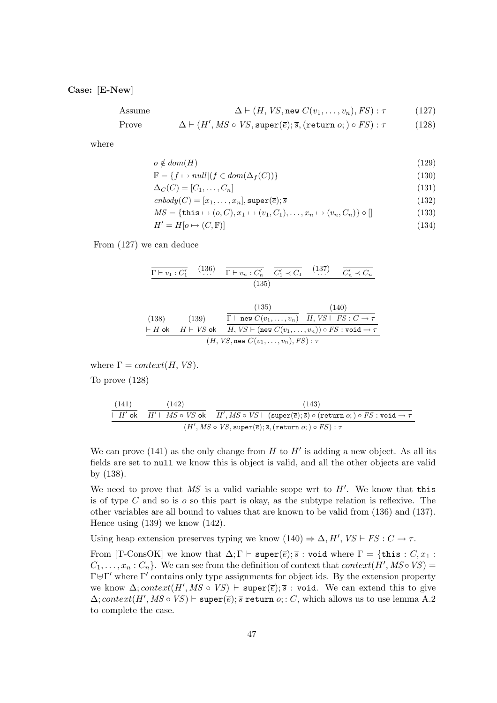### Case: [E-New]

Assume 
$$
\Delta \vdash (H, VS, \text{new } C(v_1, \ldots, v_n), FS) : \tau
$$
 (127)

Prove 
$$
\Delta \vdash (H', MS \circ VS, \text{super}(\overline{e}); \overline{s}, (\text{return } o; ) \circ FS) : \tau
$$
 (128)

where

$$
o \notin dom(H) \tag{129}
$$

$$
\mathbb{F} = \{ f \mapsto null | (f \in dom(\Delta_f(C))) \}
$$
\n(130)

$$
\Delta_C(C) = [C_1, \dots, C_n]
$$
\n
$$
cnbody(C) = [x_1, \dots, x_n], \text{super}(\overline{e}); \overline{s}
$$
\n(131)

$$
MS = \{\text{this} \mapsto (o, C), x_1 \mapsto (v_1, C_1), \dots, x_n \mapsto (v_n, C_n)\} \circ []
$$
\n(133)

$$
H' = H[o \mapsto (C, \mathbb{F})]
$$
\n(134)

From (127) we can deduce

$$
\overline{\Gamma \vdash v_1 : C'_1} \quad (136) \quad \overline{\Gamma \vdash v_n : C'_n} \quad \overline{C'_1 \prec C_1} \quad (137) \quad \overline{C'_n \prec C_n}
$$
\n
$$
(135)
$$

(138)  
\n
$$
\begin{array}{c}\n(139) \\
\hline\n\text{H ob } H + VS \text{ ok } H + VS \text{ ok } H, VS \vdash (\text{new } C(v_1, \ldots, v_n)) \circ FS : C \to \tau \\
\hline\n\text{H} & (H, VS, \text{new } C(v_1, \ldots, v_n)) \circ FS : \text{void} \to \tau\n\end{array}
$$

where  $\Gamma = context(H, VS)$ .

To prove (128)

$$
\begin{array}{c|c|c} \text{(141)} & \text{(142)}\\ \hline \text{-- } H' \text{ ok} & \text{-- } H' \vdash MS \circ VS \text{ ok} \\ \hline \text{-- } (H', MS \circ VS + (\text{super}(\overline{e}); \overline{s}) \circ (\text{return } o; ) \circ FS : \text{void } \rightarrow \tau \\ \hline \text{-- } (H', MS \circ VS, \text{super}(\overline{e}); \overline{s}, (\text{return } o; ) \circ FS) : \tau \end{array}
$$

We can prove (141) as the only change from  $H$  to  $H'$  is adding a new object. As all its fields are set to null we know this is object is valid, and all the other objects are valid by (138).

We need to prove that MS is a valid variable scope wrt to  $H'$ . We know that this is of type C and so is  $\sigma$  so this part is okay, as the subtype relation is reflexive. The other variables are all bound to values that are known to be valid from (136) and (137). Hence using  $(139)$  we know  $(142)$ .

Using heap extension preserves typing we know  $(140) \Rightarrow \Delta, H', VS \vdash FS : C \to \tau$ .

From [T-ConsOK] we know that  $\Delta; \Gamma \vdash \texttt{super}(\overline{e}); \overline{s} : \texttt{void where } \Gamma = \{\texttt{this} : C, x_1 :$  $C_1, \ldots, x_n : C_n$ . We can see from the definition of context that *context*( $H', MS \circ VS$ ) =  $\Gamma \oplus \Gamma'$  where  $\Gamma'$  contains only type assignments for object ids. By the extension property we know  $\Delta$ ; context(H', MS ∘ VS)  $\vdash$  super( $\overline{e}$ );  $\overline{s}$  : void. We can extend this to give  $\Delta$ ; context(H', MS ∘ VS)  $\vdash$  super( $\overline{e}$ );  $\overline{s}$  return  $o; : C$ , which allows us to use lemma A.2 to complete the case.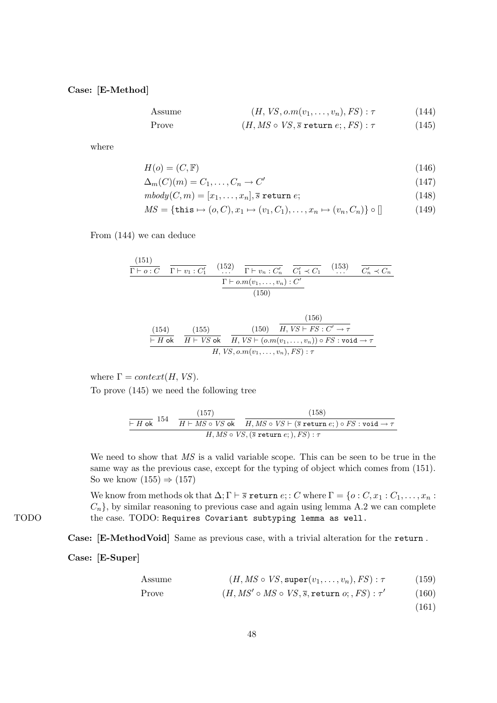Case: [E-Method]

Assume 
$$
(H, VS, o.m(v_1, ..., v_n), FS): \tau
$$
 (144)

Prove 
$$
(H, MS \circ VS, \overline{s} \text{ return } e; , FS) : \tau
$$
 (145)

where

$$
H(o) = (C, \mathbb{F})
$$
\n<sup>(146)</sup>

$$
\Delta_m(C)(m) = C_1, \dots, C_n \to C' \tag{147}
$$

$$
mbody(C, m) = [x_1, \dots, x_n], \overline{s} \text{ return } e;
$$
\n(148)

$$
MS = \{ \text{this} \mapsto (o, C), x_1 \mapsto (v_1, C_1), \dots, x_n \mapsto (v_n, C_n) \} \circ [] \tag{149}
$$

From (144) we can deduce

$$
\frac{(151)}{\Gamma \vdash o:C} \quad \frac{(152)}{\Gamma \vdash v_1:C_1'} \quad (152) \quad \frac{\Gamma \vdash v_n:C_n'}{\Gamma \vdash v_n:C_n'} \quad \frac{C_1' \prec C_1}{C_1' \prec C_1} \quad (153) \quad \frac{C_n' \prec C_n}{C_n' \prec C_n}
$$
\n
$$
\frac{\Gamma \vdash o.m(v_1,\ldots,v_n):C'}{(150)}
$$

(154)  
\n
$$
\frac{(154)}{\vdash H \text{ ok}} \quad \frac{(155)}{H \vdash VS \text{ ok}} \quad \frac{(150)}{H, VS \vdash (o.m(v_1, \ldots, v_n)) \circ FS : \text{void} \to \tau}{H, VS, o.m(v_1, \ldots, v_n), FS) : \tau}
$$

where  $\Gamma = context(H, VS)$ . To prove (145) we need the following tree

$$
\frac{\boxed{(157)}}{\text{H ok}} \frac{\text{(158)}}{H + MS \circ VS \text{ ok}} \frac{\boxed{(158)}}{H, MS \circ VS + (\overline{s} \text{ return } e; ) \circ FS : \text{void} \rightarrow \tau}{H, MS \circ VS, (\overline{s} \text{ return } e; ), FS) : \tau}
$$

We need to show that  $MS$  is a valid variable scope. This can be seen to be true in the same way as the previous case, except for the typing of object which comes from (151). So we know  $(155) \Rightarrow (157)$ 

We know from methods ok that  $\Delta; \Gamma \vdash \overline{s}$  return  $e; : C$  where  $\Gamma = \{o : C, x_1 : C_1, \ldots, x_n :$  $C_n$ , by similar reasoning to previous case and again using lemma A.2 we can complete TODO the case. TODO: Requires Covariant subtyping lemma as well.

Case: [E-MethodVoid] Same as previous case, with a trivial alteration for the return .

Case: [E-Super]

Assume 
$$
(H, MS \circ VS, \text{super}(v_1, \ldots, v_n), FS) : \tau
$$
 (159)

Prove 
$$
(H, MS' \circ MS \circ VS, \overline{s}, \text{return } o; , FS) : \tau'
$$
 (160)

(161)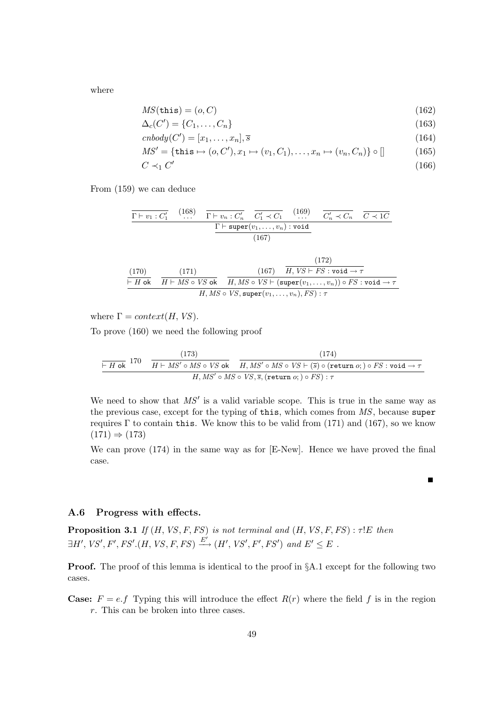where

$$
MS(\mathtt{this}) = (o, C) \tag{162}
$$

$$
\Delta_c(C') = \{C_1, \dots, C_n\} \tag{163}
$$

$$
cnbody(C') = [x_1, \dots, x_n], \overline{s}
$$
\n
$$
(164)
$$

$$
MS' = \{ \text{this} \mapsto (o, C'), x_1 \mapsto (v_1, C_1), \dots, x_n \mapsto (v_n, C_n) \} \circ [] \tag{165}
$$

$$
C \prec_1 C' \tag{166}
$$

From (159) we can deduce

$$
\frac{\Gamma \vdash v_1 : C'_1 \quad (168) \quad \Gamma \vdash v_n : C'_n \quad C'_1 \prec C_1 \quad (169) \quad C'_n \prec C_n \quad \overline{C \prec 1C}}{\Gamma \vdash \text{super}(v_1, \dots, v_n) : \text{void}}
$$
\n(167) (172)

$$
\frac{(170)}{\vdash H \text{ ok}} \quad \frac{(171)}{H \vdash MS \circ VS \text{ ok}} \quad \frac{(167)}{H, MS \circ VS \vdash (\text{super}(v_1, \ldots, v_n)) \circ FS : \text{void} \rightarrow \tau}{H, MS \circ VS, \text{super}(v_1, \ldots, v_n), FS) : \tau}
$$

where  $\Gamma = context(H, VS)$ .

To prove (160) we need the following proof

$$
\frac{(173)}{F \cdot H \cdot \text{ok}} \cdot \frac{(173)}{H \cdot MS' \circ MS \circ VS \cdot \text{ok}} \cdot \frac{(174)}{H, MS' \circ MS \circ VS \cdot (5) \circ (\text{return } o; ) \circ FS : \text{void} \rightarrow \tau}{H, MS' \circ MS \circ VS, 5, (\text{return } o; ) \circ FS : \tau}
$$

We need to show that  $MS'$  is a valid variable scope. This is true in the same way as the previous case, except for the typing of this, which comes from MS, because super requires Γ to contain this. We know this to be valid from  $(171)$  and  $(167)$ , so we know  $(171) \Rightarrow (173)$ 

We can prove (174) in the same way as for [E-New]. Hence we have proved the final case.

П

### A.6 Progress with effects.

**Proposition 3.1** If  $(H, VS, F, FS)$  is not terminal and  $(H, VS, F, FS)$ :  $\tau$ !E then  $\exists H',\,VS',\,F',\,FS'.(H,\,VS,\,F,\,FS)\xrightarrow{E'}(H',\,VS',\,F',\,FS')\,$  and  $E'\leq E$ .

**Proof.** The proof of this lemma is identical to the proof in  $\AA$ .1 except for the following two cases.

**Case:**  $F = e.f$  Typing this will introduce the effect  $R(r)$  where the field f is in the region r. This can be broken into three cases.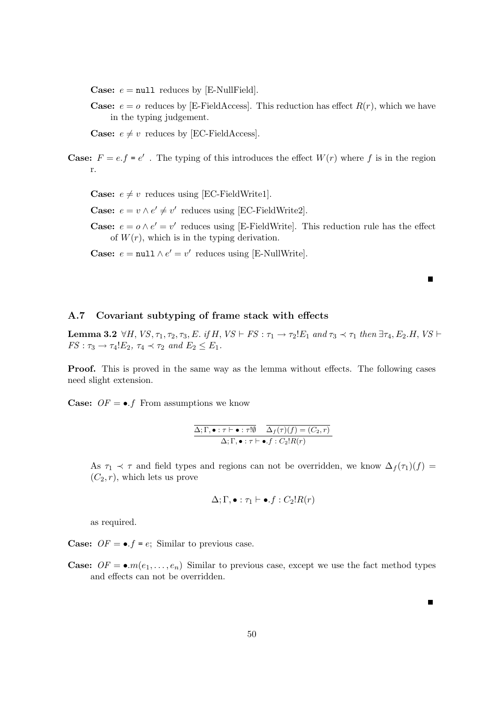**Case:**  $e = \text{null}$  reduces by [E-NullField].

**Case:**  $e = o$  reduces by [E-FieldAccess]. This reduction has effect  $R(r)$ , which we have in the typing judgement.

**Case:**  $e \neq v$  reduces by [EC-FieldAccess].

**Case:**  $F = e \cdot f = e'$ . The typing of this introduces the effect  $W(r)$  where f is in the region r.

**Case:**  $e \neq v$  reduces using [EC-FieldWrite1].

**Case:**  $e = v \wedge e' \neq v'$  reduces using [EC-FieldWrite2].

**Case:**  $e = o \wedge e' = v'$  reduces using [E-FieldWrite]. This reduction rule has the effect of  $W(r)$ , which is in the typing derivation.

**Case:**  $e = \text{null} \wedge e' = v'$  reduces using [E-NullWrite].

# A.7 Covariant subtyping of frame stack with effects

**Lemma 3.2** ∀H, VS,  $\tau_1$ ,  $\tau_2$ ,  $\tau_3$ , E. if H, VS  $\vdash$  FS :  $\tau_1 \rightarrow \tau_2!E_1$  and  $\tau_3 \prec \tau_1$  then  $\exists \tau_4$ ,  $E_2$ .H, VS  $\vdash$  $FS: \tau_3 \rightarrow \tau_4!E_2$ ,  $\tau_4 \prec \tau_2$  and  $E_2 \leq E_1$ .

Proof. This is proved in the same way as the lemma without effects. The following cases need slight extension.

**Case:**  $OF = \bullet$ . From assumptions we know

$$
\frac{\Delta; \Gamma, \bullet : \tau \vdash \bullet : \tau! \emptyset \quad \Delta_f(\tau)(f) = (C_2, r)}{\Delta; \Gamma, \bullet : \tau \vdash \bullet .f : C_2! R(r)}
$$

As  $\tau_1 \prec \tau$  and field types and regions can not be overridden, we know  $\Delta_f(\tau_1)(f)$  =  $(C_2, r)$ , which lets us prove

$$
\Delta; \Gamma, \bullet : \tau_1 \vdash \bullet.f : C_2!R(r)
$$

as required.

**Case:**  $OF = \bullet$ .  $f = e$ ; Similar to previous case.

**Case:**  $OF = \bullet.m(e_1, \ldots, e_n)$  Similar to previous case, except we use the fact method types and effects can not be overridden.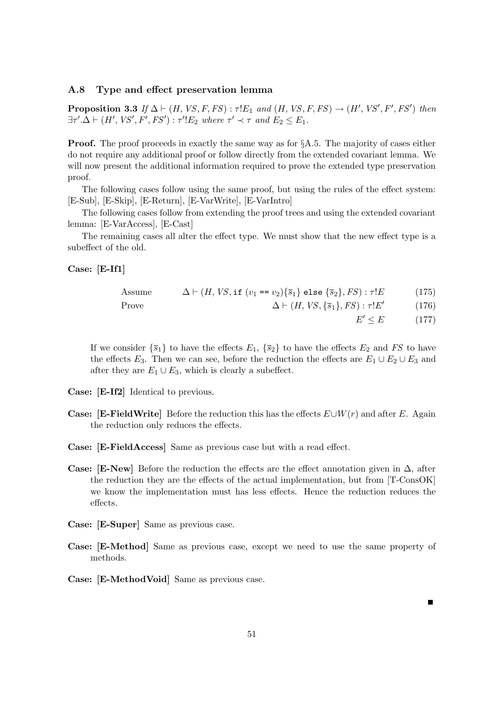# A.8 Type and effect preservation lemma

**Proposition 3.3** If  $\Delta \vdash (H, VS, F, FS) : \tau!E_1$  and  $(H, VS, F, FS) \rightarrow (H', VS', F', FS')$  then  $\exists \tau'. \Delta \vdash (H',\textit{VS}',\textit{F}',\textit{FS}') : \tau'!E_2$  where  $\tau' \prec \tau$  and  $E_2 \leq E_1$ .

**Proof.** The proof proceeds in exactly the same way as for §A.5. The majority of cases either do not require any additional proof or follow directly from the extended covariant lemma. We will now present the additional information required to prove the extended type preservation proof.

The following cases follow using the same proof, but using the rules of the effect system: [E-Sub], [E-Skip], [E-Return], [E-VarWrite], [E-VarIntro]

The following cases follow from extending the proof trees and using the extended covariant lemma: [E-VarAccess], [E-Cast]

The remaining cases all alter the effect type. We must show that the new effect type is a subeffect of the old.

Case: [E-If1]

Assume  $\Delta \vdash (H, VS, \text{if } (v_1 == v_2) \{ \overline{s}_1 \} \text{ else } \{ \overline{s}_2 \}, FS) : \tau !E$  (175)

Prove 
$$
\Delta \vdash (H, VS, \{\overline{s}_1\}, FS) : \tau!E'
$$
 (176)

 $E' \le E$  (177)

If we consider  $\{\overline{s}_1\}$  to have the effects  $E_1$ ,  $\{\overline{s}_2\}$  to have the effects  $E_2$  and FS to have the effects  $E_3$ . Then we can see, before the reduction the effects are  $E_1 \cup E_2 \cup E_3$  and after they are  $E_1 \cup E_3$ , which is clearly a subeffect.

Case: [E-If2] Identical to previous.

- **Case:** [E-FieldWrite] Before the reduction this has the effects  $E\cup W(r)$  and after E. Again the reduction only reduces the effects.
- Case: [E-FieldAccess] Same as previous case but with a read effect.
- **Case:** [E-New] Before the reduction the effects are the effect annotation given in  $\Delta$ , after the reduction they are the effects of the actual implementation, but from [T-ConsOK] we know the implementation must has less effects. Hence the reduction reduces the effects.
- Case: [E-Super] Same as previous case.
- Case: [E-Method] Same as previous case, except we need to use the same property of methods.
- Case: [E-MethodVoid] Same as previous case.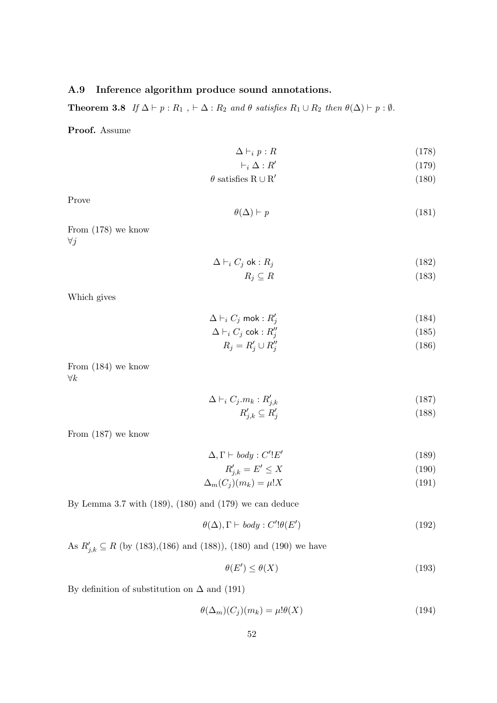# A.9 Inference algorithm produce sound annotations.

**Theorem 3.8** If  $\Delta \vdash p : R_1$ ,  $\vdash \Delta : R_2$  and  $\theta$  satisfies  $R_1 \cup R_2$  then  $\theta(\Delta) \vdash p : \emptyset$ .

Proof. Assume

$$
\Delta \vdash_i p : R \tag{178}
$$

$$
\vdash_i \Delta : R' \tag{179}
$$

$$
\theta \text{ satisfies } R \cup R' \tag{180}
$$

Prove

$$
\theta(\Delta) \vdash p \tag{181}
$$

From (178) we know  $\forall j$ 

$$
\Delta \vdash_i C_j \text{ ok}: R_j \tag{182}
$$

$$
R_j \subseteq R \tag{183}
$$

Which gives

$$
\Delta \vdash_i C_j \text{ mok}: R'_j \tag{184}
$$

$$
\Delta \vdash_i C_j \text{ cok} : R''_j \tag{185}
$$

$$
R_j = R'_j \cup R''_j \tag{186}
$$

From (184) we know ∀k

$$
\Delta \vdash_i C_j.m_k: R'_{j,k} \tag{187}
$$

$$
R'_{j,k} \subseteq R'_j \tag{188}
$$

From (187) we know

$$
\Delta, \Gamma \vdash body : C'!E'
$$
\n<sup>(189)</sup>

$$
R'_{j,k} = E' \le X \tag{190}
$$

$$
\Delta_m(C_j)(m_k) = \mu!X\tag{191}
$$

By Lemma 3.7 with (189), (180) and (179) we can deduce

$$
\theta(\Delta), \Gamma \vdash body : C'! \theta(E') \tag{192}
$$

As  $R'_{j,k} \subseteq R$  (by (183),(186) and (188)), (180) and (190) we have

$$
\theta(E') \le \theta(X) \tag{193}
$$

By definition of substitution on  $\Delta$  and (191)

$$
\theta(\Delta_m)(C_j)(m_k) = \mu! \theta(X) \tag{194}
$$